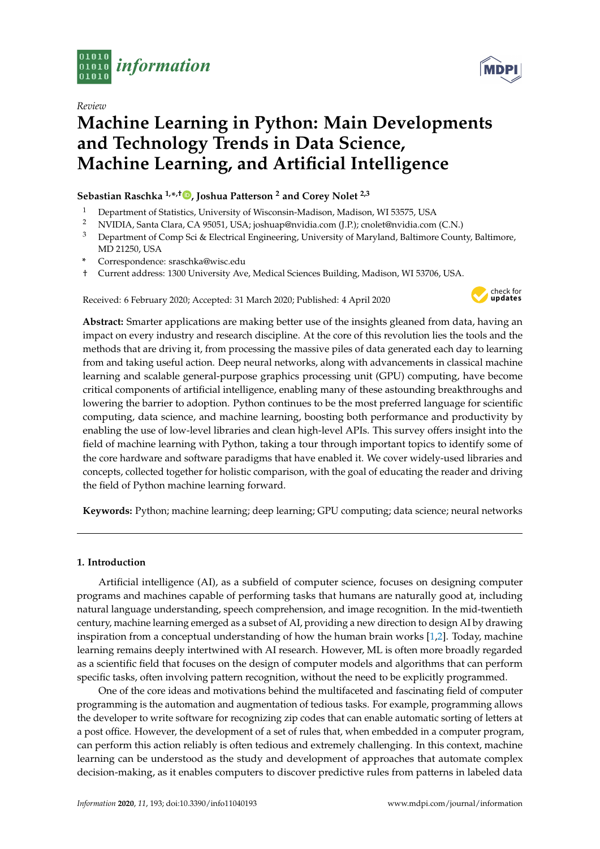

*Review*



# **Machine Learning in Python: Main Developments and Technology Trends in Data Science, Machine Learning, and Artificial Intelligence**

# **Sebastian Raschka 1,\* ,† [,](https://orcid.org/0000-0001-6989-4493) Joshua Patterson <sup>2</sup> and Corey Nolet 2,3**

- <sup>1</sup> Department of Statistics, University of Wisconsin-Madison, Madison, WI 53575, USA
- <sup>2</sup> NVIDIA, Santa Clara, CA 95051, USA; joshuap@nvidia.com (J.P.); cnolet@nvidia.com (C.N.)
- <sup>3</sup> Department of Comp Sci & Electrical Engineering, University of Maryland, Baltimore County, Baltimore, MD 21250, USA
- **\*** Correspondence: sraschka@wisc.edu
- † Current address: 1300 University Ave, Medical Sciences Building, Madison, WI 53706, USA.

Received: 6 February 2020; Accepted: 31 March 2020; Published: 4 April 2020



**Abstract:** Smarter applications are making better use of the insights gleaned from data, having an impact on every industry and research discipline. At the core of this revolution lies the tools and the methods that are driving it, from processing the massive piles of data generated each day to learning from and taking useful action. Deep neural networks, along with advancements in classical machine learning and scalable general-purpose graphics processing unit (GPU) computing, have become critical components of artificial intelligence, enabling many of these astounding breakthroughs and lowering the barrier to adoption. Python continues to be the most preferred language for scientific computing, data science, and machine learning, boosting both performance and productivity by enabling the use of low-level libraries and clean high-level APIs. This survey offers insight into the field of machine learning with Python, taking a tour through important topics to identify some of the core hardware and software paradigms that have enabled it. We cover widely-used libraries and concepts, collected together for holistic comparison, with the goal of educating the reader and driving the field of Python machine learning forward.

**Keywords:** Python; machine learning; deep learning; GPU computing; data science; neural networks

# **1. Introduction**

Artificial intelligence (AI), as a subfield of computer science, focuses on designing computer programs and machines capable of performing tasks that humans are naturally good at, including natural language understanding, speech comprehension, and image recognition. In the mid-twentieth century, machine learning emerged as a subset of AI, providing a new direction to design AI by drawing inspiration from a conceptual understanding of how the human brain works [\[1,](#page-32-0)[2\]](#page-32-1). Today, machine learning remains deeply intertwined with AI research. However, ML is often more broadly regarded as a scientific field that focuses on the design of computer models and algorithms that can perform specific tasks, often involving pattern recognition, without the need to be explicitly programmed.

One of the core ideas and motivations behind the multifaceted and fascinating field of computer programming is the automation and augmentation of tedious tasks. For example, programming allows the developer to write software for recognizing zip codes that can enable automatic sorting of letters at a post office. However, the development of a set of rules that, when embedded in a computer program, can perform this action reliably is often tedious and extremely challenging. In this context, machine learning can be understood as the study and development of approaches that automate complex decision-making, as it enables computers to discover predictive rules from patterns in labeled data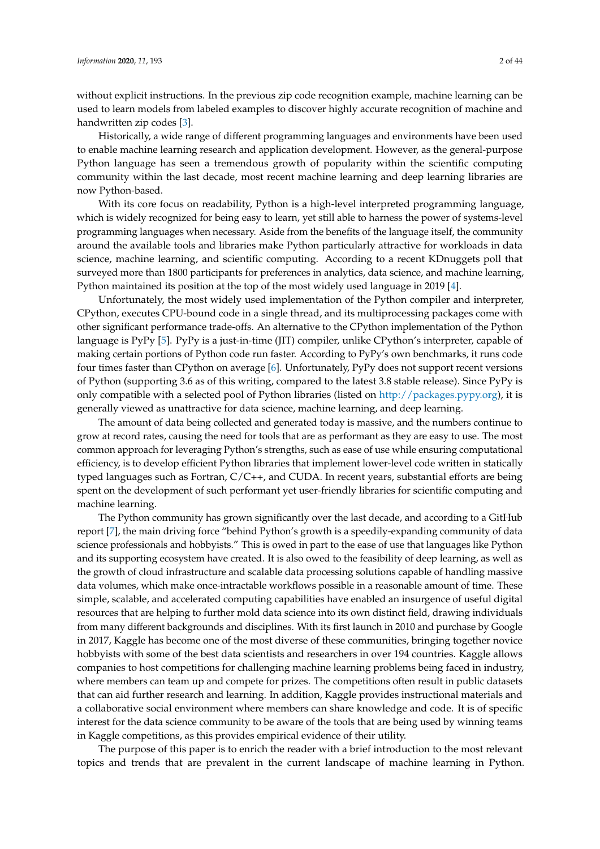without explicit instructions. In the previous zip code recognition example, machine learning can be used to learn models from labeled examples to discover highly accurate recognition of machine and handwritten zip codes [\[3\]](#page-32-2).

Historically, a wide range of different programming languages and environments have been used to enable machine learning research and application development. However, as the general-purpose Python language has seen a tremendous growth of popularity within the scientific computing community within the last decade, most recent machine learning and deep learning libraries are now Python-based.

With its core focus on readability, Python is a high-level interpreted programming language, which is widely recognized for being easy to learn, yet still able to harness the power of systems-level programming languages when necessary. Aside from the benefits of the language itself, the community around the available tools and libraries make Python particularly attractive for workloads in data science, machine learning, and scientific computing. According to a recent KDnuggets poll that surveyed more than 1800 participants for preferences in analytics, data science, and machine learning, Python maintained its position at the top of the most widely used language in 2019 [\[4\]](#page-33-0).

Unfortunately, the most widely used implementation of the Python compiler and interpreter, CPython, executes CPU-bound code in a single thread, and its multiprocessing packages come with other significant performance trade-offs. An alternative to the CPython implementation of the Python language is PyPy [\[5\]](#page-33-1). PyPy is a just-in-time (JIT) compiler, unlike CPython's interpreter, capable of making certain portions of Python code run faster. According to PyPy's own benchmarks, it runs code four times faster than CPython on average [\[6\]](#page-33-2). Unfortunately, PyPy does not support recent versions of Python (supporting 3.6 as of this writing, compared to the latest 3.8 stable release). Since PyPy is only compatible with a selected pool of Python libraries (listed on [http://packages.pypy.org\)](http://packages.pypy.org), it is generally viewed as unattractive for data science, machine learning, and deep learning.

The amount of data being collected and generated today is massive, and the numbers continue to grow at record rates, causing the need for tools that are as performant as they are easy to use. The most common approach for leveraging Python's strengths, such as ease of use while ensuring computational efficiency, is to develop efficient Python libraries that implement lower-level code written in statically typed languages such as Fortran, C/C++, and CUDA. In recent years, substantial efforts are being spent on the development of such performant yet user-friendly libraries for scientific computing and machine learning.

The Python community has grown significantly over the last decade, and according to a GitHub report [\[7\]](#page-33-3), the main driving force "behind Python's growth is a speedily-expanding community of data science professionals and hobbyists." This is owed in part to the ease of use that languages like Python and its supporting ecosystem have created. It is also owed to the feasibility of deep learning, as well as the growth of cloud infrastructure and scalable data processing solutions capable of handling massive data volumes, which make once-intractable workflows possible in a reasonable amount of time. These simple, scalable, and accelerated computing capabilities have enabled an insurgence of useful digital resources that are helping to further mold data science into its own distinct field, drawing individuals from many different backgrounds and disciplines. With its first launch in 2010 and purchase by Google in 2017, Kaggle has become one of the most diverse of these communities, bringing together novice hobbyists with some of the best data scientists and researchers in over 194 countries. Kaggle allows companies to host competitions for challenging machine learning problems being faced in industry, where members can team up and compete for prizes. The competitions often result in public datasets that can aid further research and learning. In addition, Kaggle provides instructional materials and a collaborative social environment where members can share knowledge and code. It is of specific interest for the data science community to be aware of the tools that are being used by winning teams in Kaggle competitions, as this provides empirical evidence of their utility.

The purpose of this paper is to enrich the reader with a brief introduction to the most relevant topics and trends that are prevalent in the current landscape of machine learning in Python.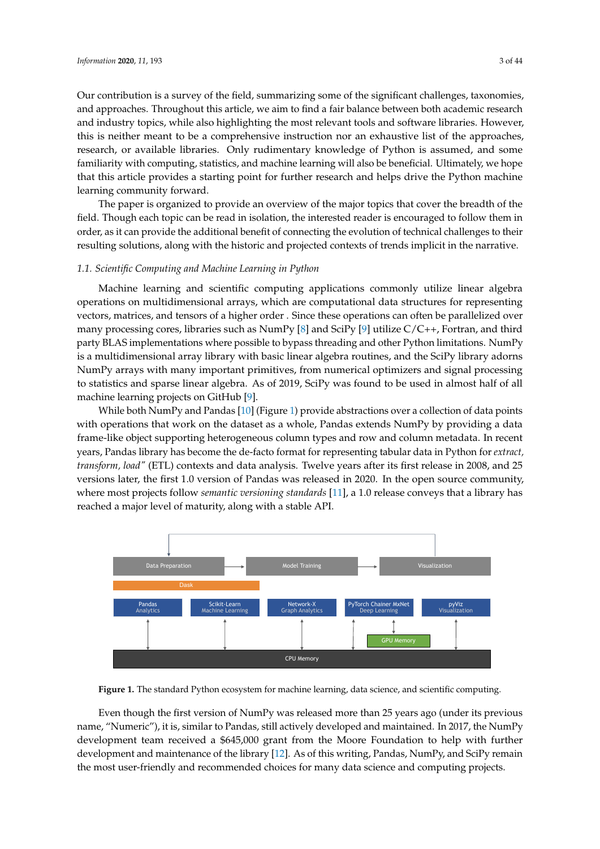Our contribution is a survey of the field, summarizing some of the significant challenges, taxonomies, and approaches. Throughout this article, we aim to find a fair balance between both academic research and industry topics, while also highlighting the most relevant tools and software libraries. However, this is neither meant to be a comprehensive instruction nor an exhaustive list of the approaches, research, or available libraries. Only rudimentary knowledge of Python is assumed, and some familiarity with computing, statistics, and machine learning will also be beneficial. Ultimately, we hope that this article provides a starting point for further research and helps drive the Python machine learning community forward.

The paper is organized to provide an overview of the major topics that cover the breadth of the field. Though each topic can be read in isolation, the interested reader is encouraged to follow them in order, as it can provide the additional benefit of connecting the evolution of technical challenges to their resulting solutions, along with the historic and projected contexts of trends implicit in the narrative.

# *1.1. Scientific Computing and Machine Learning in Python*

Machine learning and scientific computing applications commonly utilize linear algebra operations on multidimensional arrays, which are computational data structures for representing vectors, matrices, and tensors of a higher order . Since these operations can often be parallelized over many processing cores, libraries such as NumPy [\[8\]](#page-33-4) and SciPy [\[9\]](#page-33-5) utilize C/C++, Fortran, and third party BLAS implementations where possible to bypass threading and other Python limitations. NumPy is a multidimensional array library with basic linear algebra routines, and the SciPy library adorns NumPy arrays with many important primitives, from numerical optimizers and signal processing to statistics and sparse linear algebra. As of 2019, SciPy was found to be used in almost half of all machine learning projects on GitHub [\[9\]](#page-33-5).

While both NumPy and Pandas [\[10\]](#page-33-6) (Figure [1\)](#page-2-0) provide abstractions over a collection of data points with operations that work on the dataset as a whole, Pandas extends NumPy by providing a data frame-like object supporting heterogeneous column types and row and column metadata. In recent years, Pandas library has become the de-facto format for representing tabular data in Python for *extract, transform, load"* (ETL) contexts and data analysis. Twelve years after its first release in 2008, and 25 versions later, the first 1.0 version of Pandas was released in 2020. In the open source community, where most projects follow *semantic versioning standards* [\[11\]](#page-33-7), a 1.0 release conveys that a library has reached a major level of maturity, along with a stable API.

<span id="page-2-0"></span>

**Figure 1.** The standard Python ecosystem for machine learning, data science, and scientific computing.

Even though the first version of NumPy was released more than 25 years ago (under its previous name, "Numeric"), it is, similar to Pandas, still actively developed and maintained. In 2017, the NumPy development team received a \$645,000 grant from the Moore Foundation to help with further development and maintenance of the library [\[12\]](#page-33-8). As of this writing, Pandas, NumPy, and SciPy remain the most user-friendly and recommended choices for many data science and computing projects.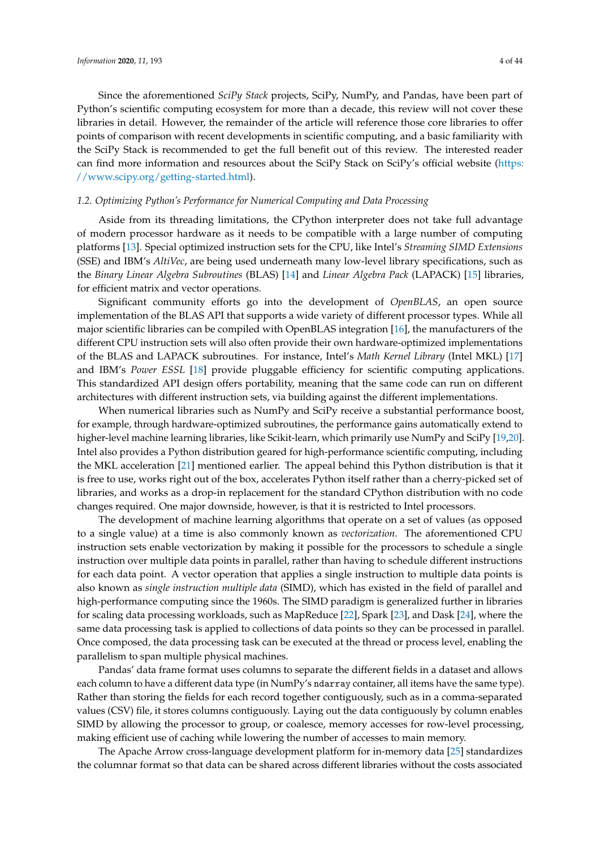Since the aforementioned *SciPy Stack* projects, SciPy, NumPy, and Pandas, have been part of Python's scientific computing ecosystem for more than a decade, this review will not cover these libraries in detail. However, the remainder of the article will reference those core libraries to offer points of comparison with recent developments in scientific computing, and a basic familiarity with the SciPy Stack is recommended to get the full benefit out of this review. The interested reader can find more information and resources about the SciPy Stack on SciPy's official website [\(https:](https://www.scipy.org/getting-started.html) [//www.scipy.org/getting-started.html\)](https://www.scipy.org/getting-started.html).

# <span id="page-3-0"></span>*1.2. Optimizing Python's Performance for Numerical Computing and Data Processing*

Aside from its threading limitations, the CPython interpreter does not take full advantage of modern processor hardware as it needs to be compatible with a large number of computing platforms [\[13\]](#page-33-9). Special optimized instruction sets for the CPU, like Intel's *Streaming SIMD Extensions* (SSE) and IBM's *AltiVec*, are being used underneath many low-level library specifications, such as the *Binary Linear Algebra Subroutines* (BLAS) [\[14\]](#page-33-10) and *Linear Algebra Pack* (LAPACK) [\[15\]](#page-33-11) libraries, for efficient matrix and vector operations.

Significant community efforts go into the development of *OpenBLAS*, an open source implementation of the BLAS API that supports a wide variety of different processor types. While all major scientific libraries can be compiled with OpenBLAS integration [\[16\]](#page-33-12), the manufacturers of the different CPU instruction sets will also often provide their own hardware-optimized implementations of the BLAS and LAPACK subroutines. For instance, Intel's *Math Kernel Library* (Intel MKL) [\[17\]](#page-33-13) and IBM's *Power ESSL* [\[18\]](#page-33-14) provide pluggable efficiency for scientific computing applications. This standardized API design offers portability, meaning that the same code can run on different architectures with different instruction sets, via building against the different implementations.

When numerical libraries such as NumPy and SciPy receive a substantial performance boost, for example, through hardware-optimized subroutines, the performance gains automatically extend to higher-level machine learning libraries, like Scikit-learn, which primarily use NumPy and SciPy [\[19](#page-33-15)[,20\]](#page-33-16). Intel also provides a Python distribution geared for high-performance scientific computing, including the MKL acceleration [\[21\]](#page-33-17) mentioned earlier. The appeal behind this Python distribution is that it is free to use, works right out of the box, accelerates Python itself rather than a cherry-picked set of libraries, and works as a drop-in replacement for the standard CPython distribution with no code changes required. One major downside, however, is that it is restricted to Intel processors.

The development of machine learning algorithms that operate on a set of values (as opposed to a single value) at a time is also commonly known as *vectorization*. The aforementioned CPU instruction sets enable vectorization by making it possible for the processors to schedule a single instruction over multiple data points in parallel, rather than having to schedule different instructions for each data point. A vector operation that applies a single instruction to multiple data points is also known as *single instruction multiple data* (SIMD), which has existed in the field of parallel and high-performance computing since the 1960s. The SIMD paradigm is generalized further in libraries for scaling data processing workloads, such as MapReduce [\[22\]](#page-33-18), Spark [\[23\]](#page-33-19), and Dask [\[24\]](#page-33-20), where the same data processing task is applied to collections of data points so they can be processed in parallel. Once composed, the data processing task can be executed at the thread or process level, enabling the parallelism to span multiple physical machines.

Pandas' data frame format uses columns to separate the different fields in a dataset and allows each column to have a different data type (in NumPy's ndarray container, all items have the same type). Rather than storing the fields for each record together contiguously, such as in a comma-separated values (CSV) file, it stores columns contiguously. Laying out the data contiguously by column enables SIMD by allowing the processor to group, or coalesce, memory accesses for row-level processing, making efficient use of caching while lowering the number of accesses to main memory.

The Apache Arrow cross-language development platform for in-memory data [\[25\]](#page-33-21) standardizes the columnar format so that data can be shared across different libraries without the costs associated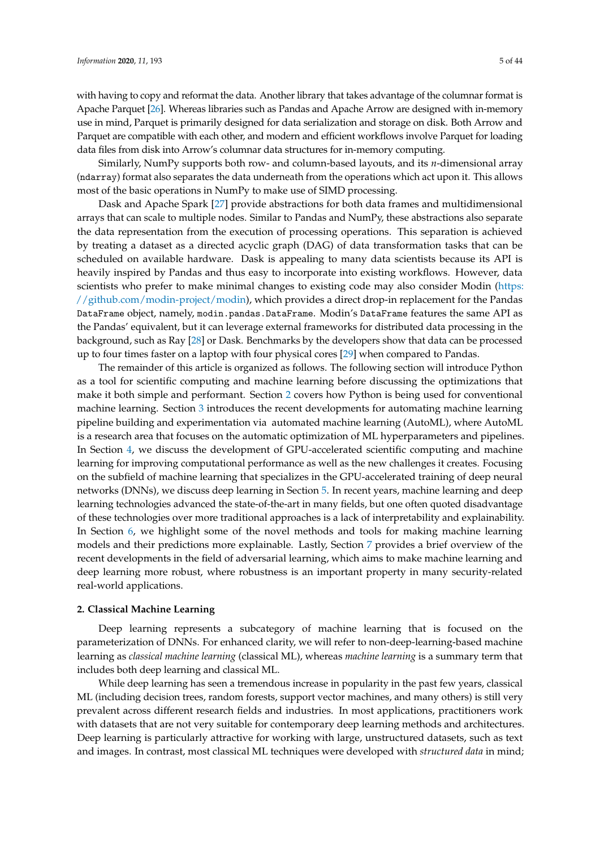Similarly, NumPy supports both row- and column-based layouts, and its *n*-dimensional array (ndarray) format also separates the data underneath from the operations which act upon it. This allows most of the basic operations in NumPy to make use of SIMD processing.

Dask and Apache Spark [\[27\]](#page-34-0) provide abstractions for both data frames and multidimensional arrays that can scale to multiple nodes. Similar to Pandas and NumPy, these abstractions also separate the data representation from the execution of processing operations. This separation is achieved by treating a dataset as a directed acyclic graph (DAG) of data transformation tasks that can be scheduled on available hardware. Dask is appealing to many data scientists because its API is heavily inspired by Pandas and thus easy to incorporate into existing workflows. However, data scientists who prefer to make minimal changes to existing code may also consider Modin [\(https:](https://github.com/modin-project/modin) [//github.com/modin-project/modin\)](https://github.com/modin-project/modin), which provides a direct drop-in replacement for the Pandas DataFrame object, namely, modin.pandas.DataFrame. Modin's DataFrame features the same API as the Pandas' equivalent, but it can leverage external frameworks for distributed data processing in the background, such as Ray [\[28\]](#page-34-1) or Dask. Benchmarks by the developers show that data can be processed up to four times faster on a laptop with four physical cores [\[29\]](#page-34-2) when compared to Pandas.

The remainder of this article is organized as follows. The following section will introduce Python as a tool for scientific computing and machine learning before discussing the optimizations that make it both simple and performant. Section [2](#page-4-0) covers how Python is being used for conventional machine learning. Section [3](#page-9-0) introduces the recent developments for automating machine learning pipeline building and experimentation via automated machine learning (AutoML), where AutoML is a research area that focuses on the automatic optimization of ML hyperparameters and pipelines. In Section [4,](#page-13-0) we discuss the development of GPU-accelerated scientific computing and machine learning for improving computational performance as well as the new challenges it creates. Focusing on the subfield of machine learning that specializes in the GPU-accelerated training of deep neural networks (DNNs), we discuss deep learning in Section [5.](#page-20-0) In recent years, machine learning and deep learning technologies advanced the state-of-the-art in many fields, but one often quoted disadvantage of these technologies over more traditional approaches is a lack of interpretability and explainability. In Section [6,](#page-26-0) we highlight some of the novel methods and tools for making machine learning models and their predictions more explainable. Lastly, Section [7](#page-29-0) provides a brief overview of the recent developments in the field of adversarial learning, which aims to make machine learning and deep learning more robust, where robustness is an important property in many security-related real-world applications.

## <span id="page-4-0"></span>**2. Classical Machine Learning**

Deep learning represents a subcategory of machine learning that is focused on the parameterization of DNNs. For enhanced clarity, we will refer to non-deep-learning-based machine learning as *classical machine learning* (classical ML), whereas *machine learning* is a summary term that includes both deep learning and classical ML.

While deep learning has seen a tremendous increase in popularity in the past few years, classical ML (including decision trees, random forests, support vector machines, and many others) is still very prevalent across different research fields and industries. In most applications, practitioners work with datasets that are not very suitable for contemporary deep learning methods and architectures. Deep learning is particularly attractive for working with large, unstructured datasets, such as text and images. In contrast, most classical ML techniques were developed with *structured data* in mind;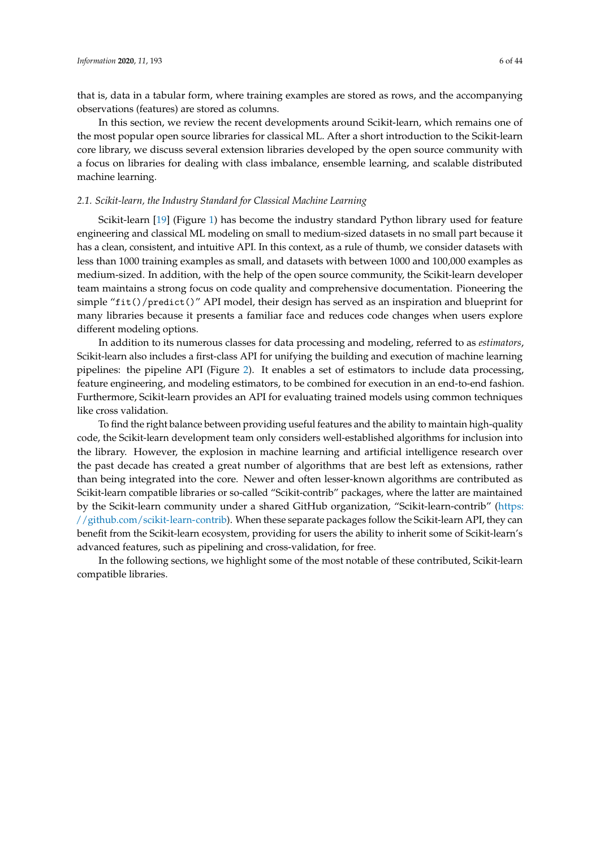that is, data in a tabular form, where training examples are stored as rows, and the accompanying observations (features) are stored as columns.

In this section, we review the recent developments around Scikit-learn, which remains one of the most popular open source libraries for classical ML. After a short introduction to the Scikit-learn core library, we discuss several extension libraries developed by the open source community with a focus on libraries for dealing with class imbalance, ensemble learning, and scalable distributed machine learning.

# *2.1. Scikit-learn, the Industry Standard for Classical Machine Learning*

Scikit-learn [\[19\]](#page-33-15) (Figure [1\)](#page-2-0) has become the industry standard Python library used for feature engineering and classical ML modeling on small to medium-sized datasets in no small part because it has a clean, consistent, and intuitive API. In this context, as a rule of thumb, we consider datasets with less than 1000 training examples as small, and datasets with between 1000 and 100,000 examples as medium-sized. In addition, with the help of the open source community, the Scikit-learn developer team maintains a strong focus on code quality and comprehensive documentation. Pioneering the simple "fit()/predict()" API model, their design has served as an inspiration and blueprint for many libraries because it presents a familiar face and reduces code changes when users explore different modeling options.

In addition to its numerous classes for data processing and modeling, referred to as *estimators*, Scikit-learn also includes a first-class API for unifying the building and execution of machine learning pipelines: the pipeline API (Figure [2\)](#page-6-0). It enables a set of estimators to include data processing, feature engineering, and modeling estimators, to be combined for execution in an end-to-end fashion. Furthermore, Scikit-learn provides an API for evaluating trained models using common techniques like cross validation.

To find the right balance between providing useful features and the ability to maintain high-quality code, the Scikit-learn development team only considers well-established algorithms for inclusion into the library. However, the explosion in machine learning and artificial intelligence research over the past decade has created a great number of algorithms that are best left as extensions, rather than being integrated into the core. Newer and often lesser-known algorithms are contributed as Scikit-learn compatible libraries or so-called "Scikit-contrib" packages, where the latter are maintained by the Scikit-learn community under a shared GitHub organization, "Scikit-learn-contrib" [\(https:]( https://github.com/scikit-learn-contrib) [//github.com/scikit-learn-contrib\)]( https://github.com/scikit-learn-contrib). When these separate packages follow the Scikit-learn API, they can benefit from the Scikit-learn ecosystem, providing for users the ability to inherit some of Scikit-learn's advanced features, such as pipelining and cross-validation, for free.

In the following sections, we highlight some of the most notable of these contributed, Scikit-learn compatible libraries.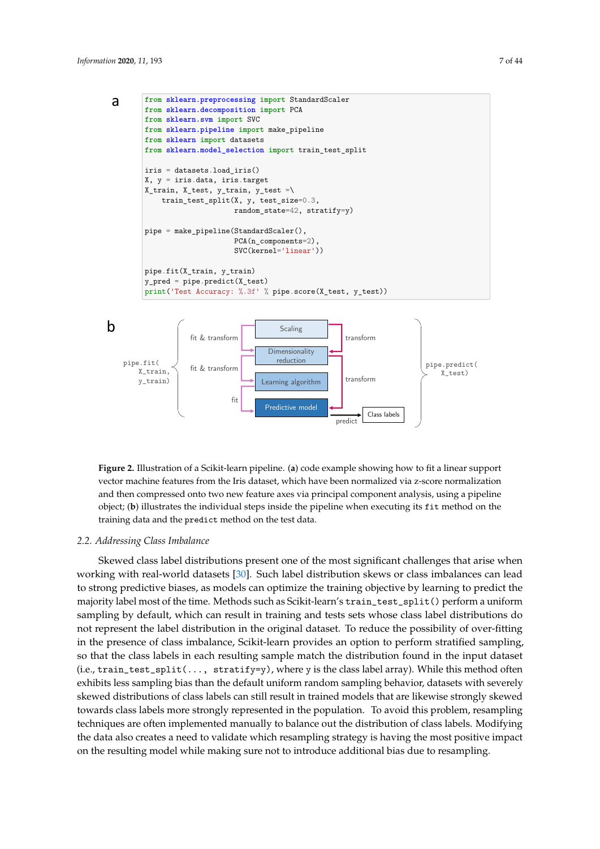<span id="page-6-0"></span>



and then compressed onto two new feature axes via principal component analysis, using a pipeline **Figure 2.** Illustration of a Scikit-learn pipeline. (**a**) code example showing how to fit a linear support vector machine features from the Iris dataset, which have been normalized via z-score normalization object; (**b**) illustrates the individual steps inside the pipeline when executing its fit method on the training data and the predict method on the test data.

# *2.2. Addressing Class Imbalance*

Skewed class label distributions present one of the most significant challenges that arise when working with real-world datasets [\[30\]](#page-34-3). Such label distribution skews or class imbalances can lead to strong predictive biases, as models can optimize the training objective by learning to predict the majority label most of the time. Methods such as Scikit-learn's train\_test\_split() perform a uniform sampling by default, which can result in training and tests sets whose class label distributions do not represent the label distribution in the original dataset. To reduce the possibility of over-fitting in the presence of class imbalance, Scikit-learn provides an option to perform stratified sampling, so that the class labels in each resulting sample match the distribution found in the input dataset  $(i.e., train_test_split(..., stratify=y), where y is the class label array). While this method often$ exhibits less sampling bias than the default uniform random sampling behavior, datasets with severely skewed distributions of class labels can still result in trained models that are likewise strongly skewed towards class labels more strongly represented in the population. To avoid this problem, resampling techniques are often implemented manually to balance out the distribution of class labels. Modifying the data also creates a need to validate which resampling strategy is having the most positive impact on the resulting model while making sure not to introduce additional bias due to resampling.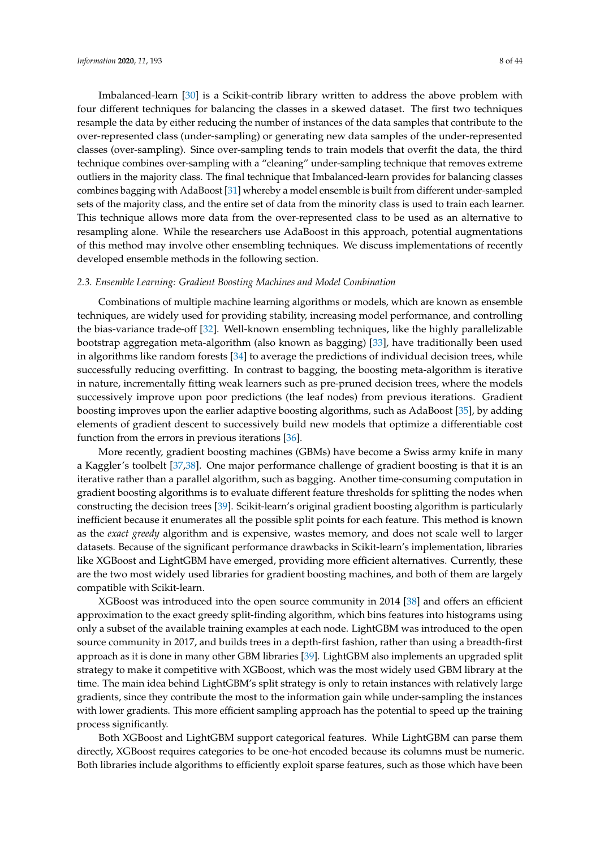Imbalanced-learn [\[30\]](#page-34-3) is a Scikit-contrib library written to address the above problem with four different techniques for balancing the classes in a skewed dataset. The first two techniques resample the data by either reducing the number of instances of the data samples that contribute to the over-represented class (under-sampling) or generating new data samples of the under-represented classes (over-sampling). Since over-sampling tends to train models that overfit the data, the third technique combines over-sampling with a "cleaning" under-sampling technique that removes extreme outliers in the majority class. The final technique that Imbalanced-learn provides for balancing classes combines bagging with AdaBoost [\[31\]](#page-34-4) whereby a model ensemble is built from different under-sampled sets of the majority class, and the entire set of data from the minority class is used to train each learner. This technique allows more data from the over-represented class to be used as an alternative to resampling alone. While the researchers use AdaBoost in this approach, potential augmentations of this method may involve other ensembling techniques. We discuss implementations of recently developed ensemble methods in the following section.

## <span id="page-7-0"></span>*2.3. Ensemble Learning: Gradient Boosting Machines and Model Combination*

Combinations of multiple machine learning algorithms or models, which are known as ensemble techniques, are widely used for providing stability, increasing model performance, and controlling the bias-variance trade-off [\[32\]](#page-34-5). Well-known ensembling techniques, like the highly parallelizable bootstrap aggregation meta-algorithm (also known as bagging) [\[33\]](#page-34-6), have traditionally been used in algorithms like random forests [\[34\]](#page-34-7) to average the predictions of individual decision trees, while successfully reducing overfitting. In contrast to bagging, the boosting meta-algorithm is iterative in nature, incrementally fitting weak learners such as pre-pruned decision trees, where the models successively improve upon poor predictions (the leaf nodes) from previous iterations. Gradient boosting improves upon the earlier adaptive boosting algorithms, such as AdaBoost [\[35\]](#page-34-8), by adding elements of gradient descent to successively build new models that optimize a differentiable cost function from the errors in previous iterations [\[36\]](#page-34-9).

More recently, gradient boosting machines (GBMs) have become a Swiss army knife in many a Kaggler's toolbelt [\[37](#page-34-10)[,38\]](#page-34-11). One major performance challenge of gradient boosting is that it is an iterative rather than a parallel algorithm, such as bagging. Another time-consuming computation in gradient boosting algorithms is to evaluate different feature thresholds for splitting the nodes when constructing the decision trees [\[39\]](#page-34-12). Scikit-learn's original gradient boosting algorithm is particularly inefficient because it enumerates all the possible split points for each feature. This method is known as the *exact greedy* algorithm and is expensive, wastes memory, and does not scale well to larger datasets. Because of the significant performance drawbacks in Scikit-learn's implementation, libraries like XGBoost and LightGBM have emerged, providing more efficient alternatives. Currently, these are the two most widely used libraries for gradient boosting machines, and both of them are largely compatible with Scikit-learn.

XGBoost was introduced into the open source community in 2014 [\[38\]](#page-34-11) and offers an efficient approximation to the exact greedy split-finding algorithm, which bins features into histograms using only a subset of the available training examples at each node. LightGBM was introduced to the open source community in 2017, and builds trees in a depth-first fashion, rather than using a breadth-first approach as it is done in many other GBM libraries [\[39\]](#page-34-12). LightGBM also implements an upgraded split strategy to make it competitive with XGBoost, which was the most widely used GBM library at the time. The main idea behind LightGBM's split strategy is only to retain instances with relatively large gradients, since they contribute the most to the information gain while under-sampling the instances with lower gradients. This more efficient sampling approach has the potential to speed up the training process significantly.

Both XGBoost and LightGBM support categorical features. While LightGBM can parse them directly, XGBoost requires categories to be one-hot encoded because its columns must be numeric. Both libraries include algorithms to efficiently exploit sparse features, such as those which have been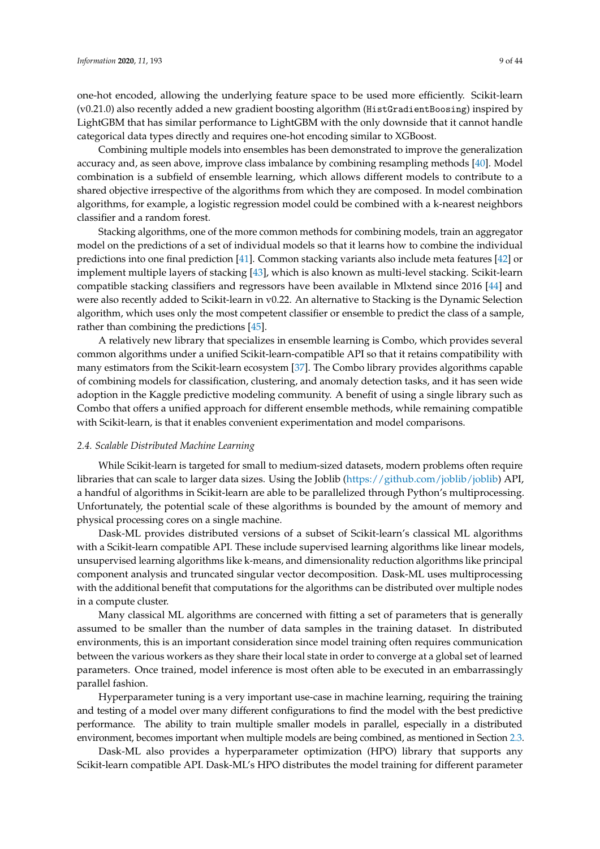one-hot encoded, allowing the underlying feature space to be used more efficiently. Scikit-learn (v0.21.0) also recently added a new gradient boosting algorithm (HistGradientBoosing) inspired by LightGBM that has similar performance to LightGBM with the only downside that it cannot handle categorical data types directly and requires one-hot encoding similar to XGBoost.

Combining multiple models into ensembles has been demonstrated to improve the generalization accuracy and, as seen above, improve class imbalance by combining resampling methods [\[40\]](#page-34-13). Model combination is a subfield of ensemble learning, which allows different models to contribute to a shared objective irrespective of the algorithms from which they are composed. In model combination algorithms, for example, a logistic regression model could be combined with a k-nearest neighbors classifier and a random forest.

Stacking algorithms, one of the more common methods for combining models, train an aggregator model on the predictions of a set of individual models so that it learns how to combine the individual predictions into one final prediction [\[41\]](#page-34-14). Common stacking variants also include meta features [\[42\]](#page-34-15) or implement multiple layers of stacking [\[43\]](#page-34-16), which is also known as multi-level stacking. Scikit-learn compatible stacking classifiers and regressors have been available in Mlxtend since 2016 [\[44\]](#page-34-17) and were also recently added to Scikit-learn in v0.22. An alternative to Stacking is the Dynamic Selection algorithm, which uses only the most competent classifier or ensemble to predict the class of a sample, rather than combining the predictions [\[45\]](#page-34-18).

A relatively new library that specializes in ensemble learning is Combo, which provides several common algorithms under a unified Scikit-learn-compatible API so that it retains compatibility with many estimators from the Scikit-learn ecosystem [\[37\]](#page-34-10). The Combo library provides algorithms capable of combining models for classification, clustering, and anomaly detection tasks, and it has seen wide adoption in the Kaggle predictive modeling community. A benefit of using a single library such as Combo that offers a unified approach for different ensemble methods, while remaining compatible with Scikit-learn, is that it enables convenient experimentation and model comparisons.

# <span id="page-8-0"></span>*2.4. Scalable Distributed Machine Learning*

While Scikit-learn is targeted for small to medium-sized datasets, modern problems often require libraries that can scale to larger data sizes. Using the Joblib [\(https://github.com/joblib/joblib\)](https://github.com/joblib/joblib) API, a handful of algorithms in Scikit-learn are able to be parallelized through Python's multiprocessing. Unfortunately, the potential scale of these algorithms is bounded by the amount of memory and physical processing cores on a single machine.

Dask-ML provides distributed versions of a subset of Scikit-learn's classical ML algorithms with a Scikit-learn compatible API. These include supervised learning algorithms like linear models, unsupervised learning algorithms like k-means, and dimensionality reduction algorithms like principal component analysis and truncated singular vector decomposition. Dask-ML uses multiprocessing with the additional benefit that computations for the algorithms can be distributed over multiple nodes in a compute cluster.

Many classical ML algorithms are concerned with fitting a set of parameters that is generally assumed to be smaller than the number of data samples in the training dataset. In distributed environments, this is an important consideration since model training often requires communication between the various workers as they share their local state in order to converge at a global set of learned parameters. Once trained, model inference is most often able to be executed in an embarrassingly parallel fashion.

Hyperparameter tuning is a very important use-case in machine learning, requiring the training and testing of a model over many different configurations to find the model with the best predictive performance. The ability to train multiple smaller models in parallel, especially in a distributed environment, becomes important when multiple models are being combined, as mentioned in Section [2.3.](#page-7-0)

Dask-ML also provides a hyperparameter optimization (HPO) library that supports any Scikit-learn compatible API. Dask-ML's HPO distributes the model training for different parameter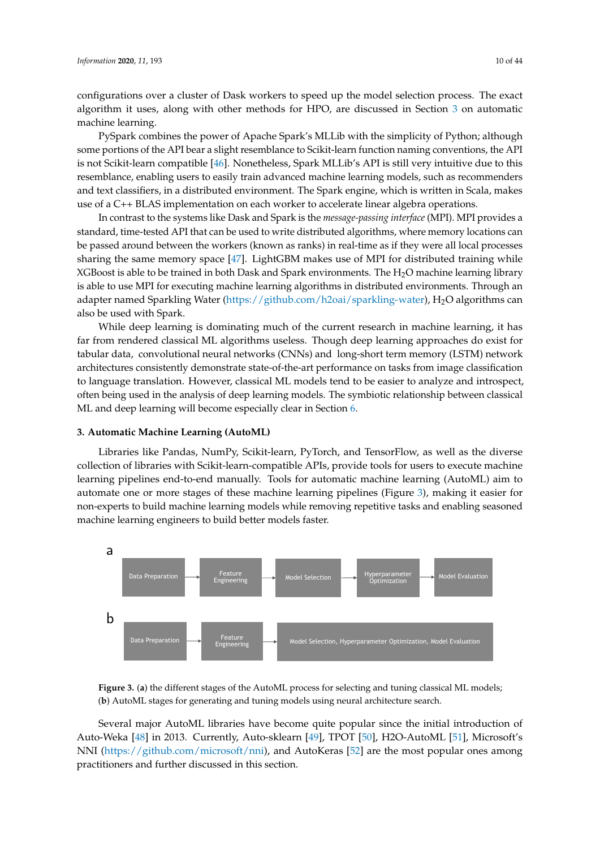configurations over a cluster of Dask workers to speed up the model selection process. The exact algorithm it uses, along with other methods for HPO, are discussed in Section [3](#page-9-0) on automatic machine learning.

PySpark combines the power of Apache Spark's MLLib with the simplicity of Python; although some portions of the API bear a slight resemblance to Scikit-learn function naming conventions, the API is not Scikit-learn compatible [\[46\]](#page-34-19). Nonetheless, Spark MLLib's API is still very intuitive due to this resemblance, enabling users to easily train advanced machine learning models, such as recommenders and text classifiers, in a distributed environment. The Spark engine, which is written in Scala, makes use of a C++ BLAS implementation on each worker to accelerate linear algebra operations.

In contrast to the systems like Dask and Spark is the *message-passing interface* (MPI). MPI provides a standard, time-tested API that can be used to write distributed algorithms, where memory locations can be passed around between the workers (known as ranks) in real-time as if they were all local processes sharing the same memory space [\[47\]](#page-34-20). LightGBM makes use of MPI for distributed training while XGBoost is able to be trained in both Dask and Spark environments. The  $H_2O$  machine learning library is able to use MPI for executing machine learning algorithms in distributed environments. Through an adapter named Sparkling Water [\(https://github.com/h2oai/sparkling-water\)](https://github.com/h2oai/sparkling-water), H<sub>2</sub>O algorithms can also be used with Spark.

While deep learning is dominating much of the current research in machine learning, it has far from rendered classical ML algorithms useless. Though deep learning approaches do exist for tabular data, convolutional neural networks (CNNs) and long-short term memory (LSTM) network architectures consistently demonstrate state-of-the-art performance on tasks from image classification to language translation. However, classical ML models tend to be easier to analyze and introspect, often being used in the analysis of deep learning models. The symbiotic relationship between classical ML and deep learning will become especially clear in Section [6.](#page-26-0)

#### <span id="page-9-0"></span>**3. Automatic Machine Learning (AutoML)**

Libraries like Pandas, NumPy, Scikit-learn, PyTorch, and TensorFlow, as well as the diverse collection of libraries with Scikit-learn-compatible APIs, provide tools for users to execute machine learning pipelines end-to-end manually. Tools for automatic machine learning (AutoML) aim to automate one or more stages of these machine learning pipelines (Figure [3\)](#page-9-1), making it easier for non-experts to build machine learning models while removing repetitive tasks and enabling seasoned machine learning engineers to build better models faster.

<span id="page-9-1"></span>

**Figure 3.** (**a**) the different stages of the AutoML process for selecting and tuning classical ML models; (**b**) AutoML stages for generating and tuning models using neural architecture search.

Several major AutoML libraries have become quite popular since the initial introduction of Auto-Weka [\[48\]](#page-34-21) in 2013. Currently, Auto-sklearn [\[49\]](#page-34-22), TPOT [\[50\]](#page-34-23), H2O-AutoML [\[51\]](#page-34-24), Microsoft's NNI [\(https://github.com/microsoft/nni\)](https://github.com/microsoft/nni), and AutoKeras [\[52\]](#page-35-0) are the most popular ones among practitioners and further discussed in this section.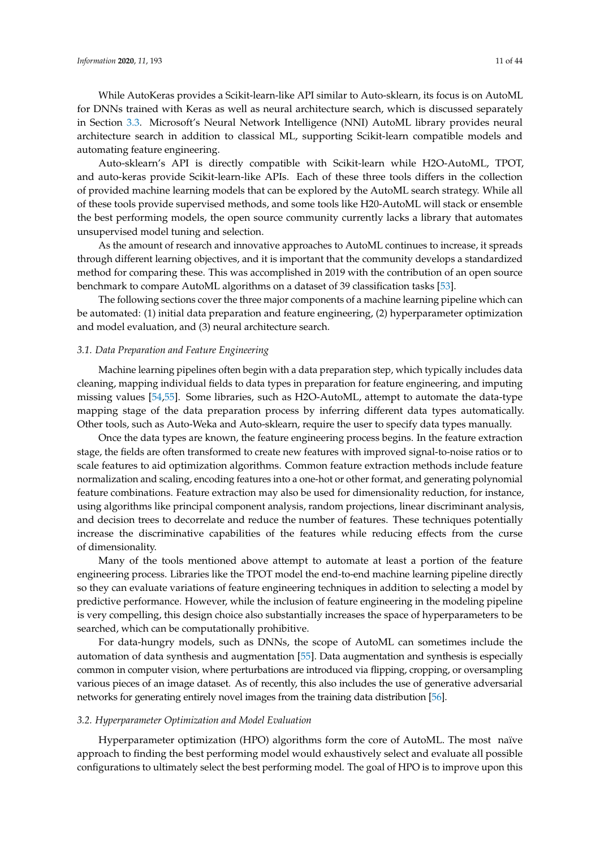While AutoKeras provides a Scikit-learn-like API similar to Auto-sklearn, its focus is on AutoML for DNNs trained with Keras as well as neural architecture search, which is discussed separately in Section [3.3.](#page-12-0) Microsoft's Neural Network Intelligence (NNI) AutoML library provides neural architecture search in addition to classical ML, supporting Scikit-learn compatible models and automating feature engineering.

Auto-sklearn's API is directly compatible with Scikit-learn while H2O-AutoML, TPOT, and auto-keras provide Scikit-learn-like APIs. Each of these three tools differs in the collection of provided machine learning models that can be explored by the AutoML search strategy. While all of these tools provide supervised methods, and some tools like H20-AutoML will stack or ensemble the best performing models, the open source community currently lacks a library that automates unsupervised model tuning and selection.

As the amount of research and innovative approaches to AutoML continues to increase, it spreads through different learning objectives, and it is important that the community develops a standardized method for comparing these. This was accomplished in 2019 with the contribution of an open source benchmark to compare AutoML algorithms on a dataset of 39 classification tasks [\[53\]](#page-35-1).

The following sections cover the three major components of a machine learning pipeline which can be automated: (1) initial data preparation and feature engineering, (2) hyperparameter optimization and model evaluation, and (3) neural architecture search.

# *3.1. Data Preparation and Feature Engineering*

Machine learning pipelines often begin with a data preparation step, which typically includes data cleaning, mapping individual fields to data types in preparation for feature engineering, and imputing missing values [\[54,](#page-35-2)[55\]](#page-35-3). Some libraries, such as H2O-AutoML, attempt to automate the data-type mapping stage of the data preparation process by inferring different data types automatically. Other tools, such as Auto-Weka and Auto-sklearn, require the user to specify data types manually.

Once the data types are known, the feature engineering process begins. In the feature extraction stage, the fields are often transformed to create new features with improved signal-to-noise ratios or to scale features to aid optimization algorithms. Common feature extraction methods include feature normalization and scaling, encoding features into a one-hot or other format, and generating polynomial feature combinations. Feature extraction may also be used for dimensionality reduction, for instance, using algorithms like principal component analysis, random projections, linear discriminant analysis, and decision trees to decorrelate and reduce the number of features. These techniques potentially increase the discriminative capabilities of the features while reducing effects from the curse of dimensionality.

Many of the tools mentioned above attempt to automate at least a portion of the feature engineering process. Libraries like the TPOT model the end-to-end machine learning pipeline directly so they can evaluate variations of feature engineering techniques in addition to selecting a model by predictive performance. However, while the inclusion of feature engineering in the modeling pipeline is very compelling, this design choice also substantially increases the space of hyperparameters to be searched, which can be computationally prohibitive.

For data-hungry models, such as DNNs, the scope of AutoML can sometimes include the automation of data synthesis and augmentation [\[55\]](#page-35-3). Data augmentation and synthesis is especially common in computer vision, where perturbations are introduced via flipping, cropping, or oversampling various pieces of an image dataset. As of recently, this also includes the use of generative adversarial networks for generating entirely novel images from the training data distribution [\[56\]](#page-35-4).

# <span id="page-10-0"></span>*3.2. Hyperparameter Optimization and Model Evaluation*

Hyperparameter optimization (HPO) algorithms form the core of AutoML. The most naïve approach to finding the best performing model would exhaustively select and evaluate all possible configurations to ultimately select the best performing model. The goal of HPO is to improve upon this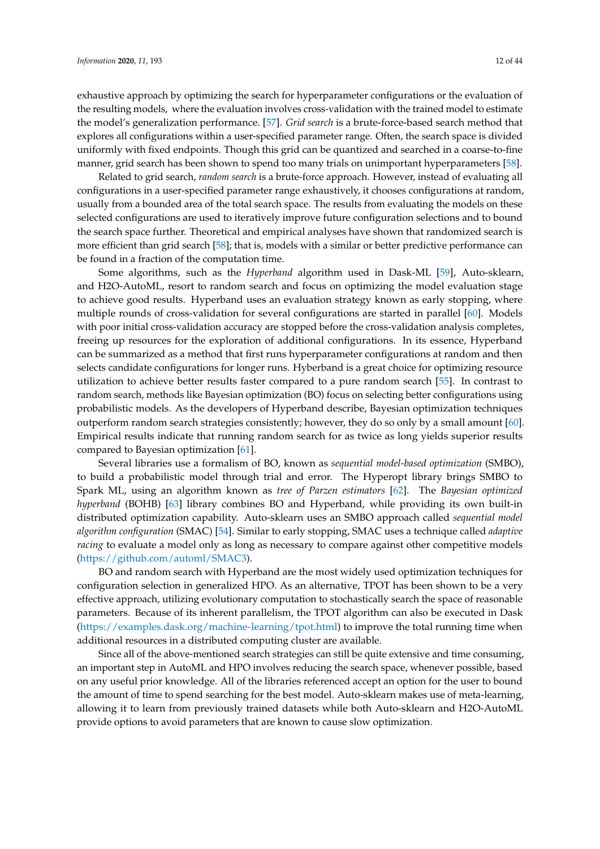exhaustive approach by optimizing the search for hyperparameter configurations or the evaluation of the resulting models, where the evaluation involves cross-validation with the trained model to estimate the model's generalization performance. [\[57\]](#page-35-5). *Grid search* is a brute-force-based search method that explores all configurations within a user-specified parameter range. Often, the search space is divided uniformly with fixed endpoints. Though this grid can be quantized and searched in a coarse-to-fine manner, grid search has been shown to spend too many trials on unimportant hyperparameters [\[58\]](#page-35-6).

Related to grid search, *random search* is a brute-force approach. However, instead of evaluating all configurations in a user-specified parameter range exhaustively, it chooses configurations at random, usually from a bounded area of the total search space. The results from evaluating the models on these selected configurations are used to iteratively improve future configuration selections and to bound the search space further. Theoretical and empirical analyses have shown that randomized search is more efficient than grid search [\[58\]](#page-35-6); that is, models with a similar or better predictive performance can be found in a fraction of the computation time.

Some algorithms, such as the *Hyperband* algorithm used in Dask-ML [\[59\]](#page-35-7), Auto-sklearn, and H2O-AutoML, resort to random search and focus on optimizing the model evaluation stage to achieve good results. Hyperband uses an evaluation strategy known as early stopping, where multiple rounds of cross-validation for several configurations are started in parallel [\[60\]](#page-35-8). Models with poor initial cross-validation accuracy are stopped before the cross-validation analysis completes, freeing up resources for the exploration of additional configurations. In its essence, Hyperband can be summarized as a method that first runs hyperparameter configurations at random and then selects candidate configurations for longer runs. Hyberband is a great choice for optimizing resource utilization to achieve better results faster compared to a pure random search [\[55\]](#page-35-3). In contrast to random search, methods like Bayesian optimization (BO) focus on selecting better configurations using probabilistic models. As the developers of Hyperband describe, Bayesian optimization techniques outperform random search strategies consistently; however, they do so only by a small amount [\[60\]](#page-35-8). Empirical results indicate that running random search for as twice as long yields superior results compared to Bayesian optimization [\[61\]](#page-35-9).

Several libraries use a formalism of BO, known as *sequential model-based optimization* (SMBO), to build a probabilistic model through trial and error. The Hyperopt library brings SMBO to Spark ML, using an algorithm known as *tree of Parzen estimators* [\[62\]](#page-35-10). The *Bayesian optimized hyperband* (BOHB) [\[63\]](#page-35-11) library combines BO and Hyperband, while providing its own built-in distributed optimization capability. Auto-sklearn uses an SMBO approach called *sequential model algorithm configuration* (SMAC) [\[54\]](#page-35-2). Similar to early stopping, SMAC uses a technique called *adaptive racing* to evaluate a model only as long as necessary to compare against other competitive models [\(https://github.com/automl/SMAC3\)](https://github.com/automl/SMAC3).

BO and random search with Hyperband are the most widely used optimization techniques for configuration selection in generalized HPO. As an alternative, TPOT has been shown to be a very effective approach, utilizing evolutionary computation to stochastically search the space of reasonable parameters. Because of its inherent parallelism, the TPOT algorithm can also be executed in Dask [\(https://examples.dask.org/machine-learning/tpot.html\)](https://examples.dask.org/machine-learning/tpot.html) to improve the total running time when additional resources in a distributed computing cluster are available.

Since all of the above-mentioned search strategies can still be quite extensive and time consuming, an important step in AutoML and HPO involves reducing the search space, whenever possible, based on any useful prior knowledge. All of the libraries referenced accept an option for the user to bound the amount of time to spend searching for the best model. Auto-sklearn makes use of meta-learning, allowing it to learn from previously trained datasets while both Auto-sklearn and H2O-AutoML provide options to avoid parameters that are known to cause slow optimization.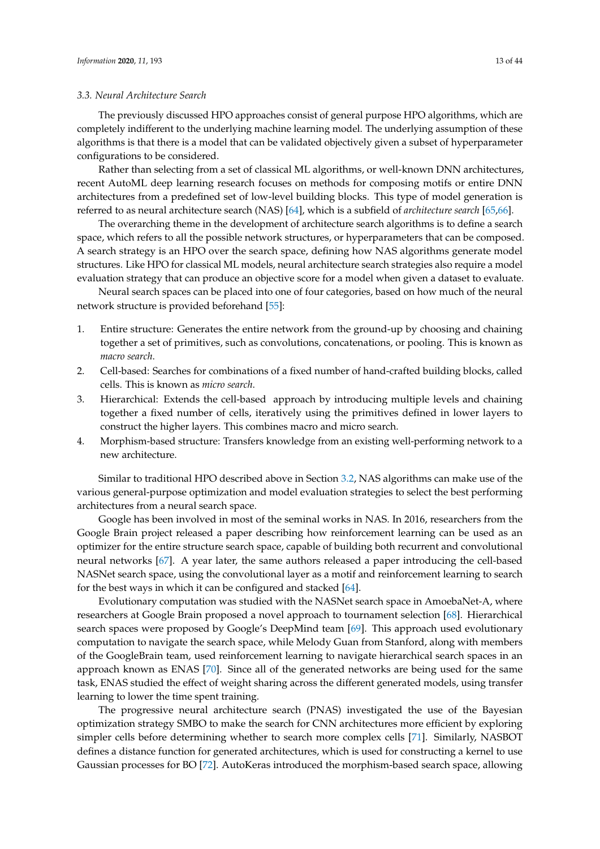## <span id="page-12-0"></span>*3.3. Neural Architecture Search*

The previously discussed HPO approaches consist of general purpose HPO algorithms, which are completely indifferent to the underlying machine learning model. The underlying assumption of these algorithms is that there is a model that can be validated objectively given a subset of hyperparameter configurations to be considered.

Rather than selecting from a set of classical ML algorithms, or well-known DNN architectures, recent AutoML deep learning research focuses on methods for composing motifs or entire DNN architectures from a predefined set of low-level building blocks. This type of model generation is referred to as neural architecture search (NAS) [\[64\]](#page-35-12), which is a subfield of *architecture search* [\[65](#page-35-13)[,66\]](#page-35-14).

The overarching theme in the development of architecture search algorithms is to define a search space, which refers to all the possible network structures, or hyperparameters that can be composed. A search strategy is an HPO over the search space, defining how NAS algorithms generate model structures. Like HPO for classical ML models, neural architecture search strategies also require a model evaluation strategy that can produce an objective score for a model when given a dataset to evaluate.

Neural search spaces can be placed into one of four categories, based on how much of the neural network structure is provided beforehand [\[55\]](#page-35-3):

- 1. Entire structure: Generates the entire network from the ground-up by choosing and chaining together a set of primitives, such as convolutions, concatenations, or pooling. This is known as *macro search*.
- 2. Cell-based: Searches for combinations of a fixed number of hand-crafted building blocks, called cells. This is known as *micro search*.
- 3. Hierarchical: Extends the cell-based approach by introducing multiple levels and chaining together a fixed number of cells, iteratively using the primitives defined in lower layers to construct the higher layers. This combines macro and micro search.
- 4. Morphism-based structure: Transfers knowledge from an existing well-performing network to a new architecture.

Similar to traditional HPO described above in Section [3.2,](#page-10-0) NAS algorithms can make use of the various general-purpose optimization and model evaluation strategies to select the best performing architectures from a neural search space.

Google has been involved in most of the seminal works in NAS. In 2016, researchers from the Google Brain project released a paper describing how reinforcement learning can be used as an optimizer for the entire structure search space, capable of building both recurrent and convolutional neural networks [\[67\]](#page-35-15). A year later, the same authors released a paper introducing the cell-based NASNet search space, using the convolutional layer as a motif and reinforcement learning to search for the best ways in which it can be configured and stacked [\[64\]](#page-35-12).

Evolutionary computation was studied with the NASNet search space in AmoebaNet-A, where researchers at Google Brain proposed a novel approach to tournament selection [\[68\]](#page-35-16). Hierarchical search spaces were proposed by Google's DeepMind team [\[69\]](#page-35-17). This approach used evolutionary computation to navigate the search space, while Melody Guan from Stanford, along with members of the GoogleBrain team, used reinforcement learning to navigate hierarchical search spaces in an approach known as ENAS [\[70\]](#page-35-18). Since all of the generated networks are being used for the same task, ENAS studied the effect of weight sharing across the different generated models, using transfer learning to lower the time spent training.

The progressive neural architecture search (PNAS) investigated the use of the Bayesian optimization strategy SMBO to make the search for CNN architectures more efficient by exploring simpler cells before determining whether to search more complex cells [\[71\]](#page-35-19). Similarly, NASBOT defines a distance function for generated architectures, which is used for constructing a kernel to use Gaussian processes for BO [\[72\]](#page-35-20). AutoKeras introduced the morphism-based search space, allowing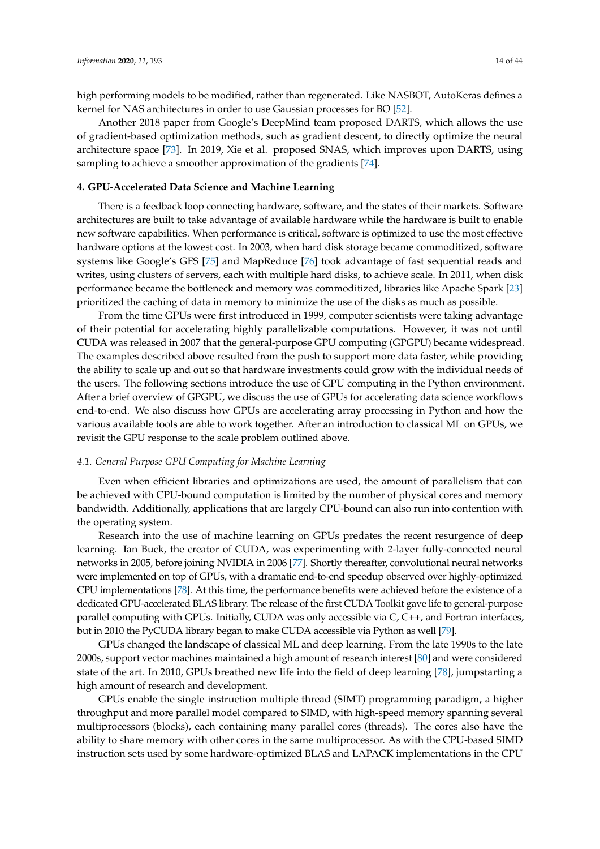high performing models to be modified, rather than regenerated. Like NASBOT, AutoKeras defines a kernel for NAS architectures in order to use Gaussian processes for BO [\[52\]](#page-35-0).

Another 2018 paper from Google's DeepMind team proposed DARTS, which allows the use of gradient-based optimization methods, such as gradient descent, to directly optimize the neural architecture space [\[73\]](#page-35-21). In 2019, Xie et al. proposed SNAS, which improves upon DARTS, using sampling to achieve a smoother approximation of the gradients [\[74\]](#page-36-0).

## <span id="page-13-0"></span>**4. GPU-Accelerated Data Science and Machine Learning**

There is a feedback loop connecting hardware, software, and the states of their markets. Software architectures are built to take advantage of available hardware while the hardware is built to enable new software capabilities. When performance is critical, software is optimized to use the most effective hardware options at the lowest cost. In 2003, when hard disk storage became commoditized, software systems like Google's GFS [\[75\]](#page-36-1) and MapReduce [\[76\]](#page-36-2) took advantage of fast sequential reads and writes, using clusters of servers, each with multiple hard disks, to achieve scale. In 2011, when disk performance became the bottleneck and memory was commoditized, libraries like Apache Spark [\[23\]](#page-33-19) prioritized the caching of data in memory to minimize the use of the disks as much as possible.

From the time GPUs were first introduced in 1999, computer scientists were taking advantage of their potential for accelerating highly parallelizable computations. However, it was not until CUDA was released in 2007 that the general-purpose GPU computing (GPGPU) became widespread. The examples described above resulted from the push to support more data faster, while providing the ability to scale up and out so that hardware investments could grow with the individual needs of the users. The following sections introduce the use of GPU computing in the Python environment. After a brief overview of GPGPU, we discuss the use of GPUs for accelerating data science workflows end-to-end. We also discuss how GPUs are accelerating array processing in Python and how the various available tools are able to work together. After an introduction to classical ML on GPUs, we revisit the GPU response to the scale problem outlined above.

# *4.1. General Purpose GPU Computing for Machine Learning*

Even when efficient libraries and optimizations are used, the amount of parallelism that can be achieved with CPU-bound computation is limited by the number of physical cores and memory bandwidth. Additionally, applications that are largely CPU-bound can also run into contention with the operating system.

Research into the use of machine learning on GPUs predates the recent resurgence of deep learning. Ian Buck, the creator of CUDA, was experimenting with 2-layer fully-connected neural networks in 2005, before joining NVIDIA in 2006 [\[77\]](#page-36-3). Shortly thereafter, convolutional neural networks were implemented on top of GPUs, with a dramatic end-to-end speedup observed over highly-optimized CPU implementations [\[78\]](#page-36-4). At this time, the performance benefits were achieved before the existence of a dedicated GPU-accelerated BLAS library. The release of the first CUDA Toolkit gave life to general-purpose parallel computing with GPUs. Initially, CUDA was only accessible via C, C++, and Fortran interfaces, but in 2010 the PyCUDA library began to make CUDA accessible via Python as well [\[79\]](#page-36-5).

GPUs changed the landscape of classical ML and deep learning. From the late 1990s to the late 2000s, support vector machines maintained a high amount of research interest [\[80\]](#page-36-6) and were considered state of the art. In 2010, GPUs breathed new life into the field of deep learning [\[78\]](#page-36-4), jumpstarting a high amount of research and development.

GPUs enable the single instruction multiple thread (SIMT) programming paradigm, a higher throughput and more parallel model compared to SIMD, with high-speed memory spanning several multiprocessors (blocks), each containing many parallel cores (threads). The cores also have the ability to share memory with other cores in the same multiprocessor. As with the CPU-based SIMD instruction sets used by some hardware-optimized BLAS and LAPACK implementations in the CPU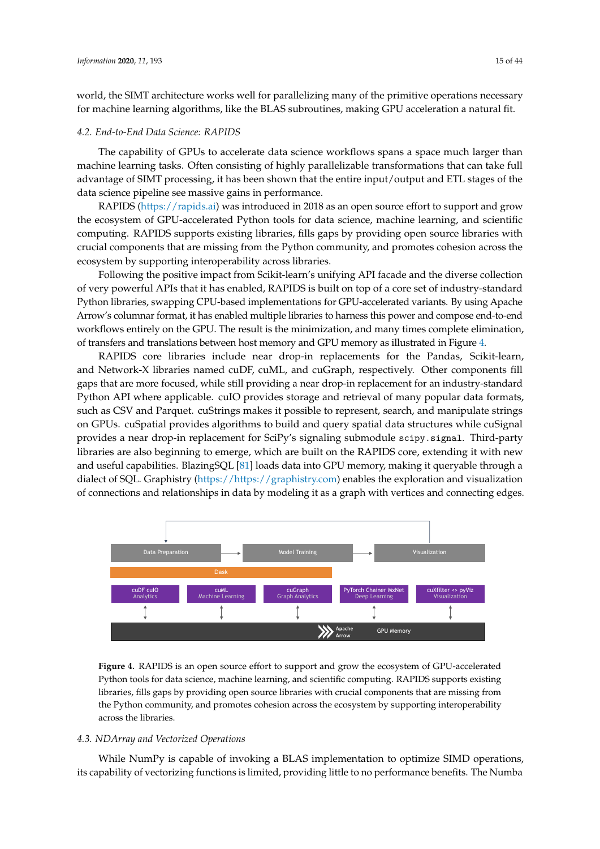world, the SIMT architecture works well for parallelizing many of the primitive operations necessary for machine learning algorithms, like the BLAS subroutines, making GPU acceleration a natural fit.

# *4.2. End-to-End Data Science: RAPIDS*

The capability of GPUs to accelerate data science workflows spans a space much larger than machine learning tasks. Often consisting of highly parallelizable transformations that can take full advantage of SIMT processing, it has been shown that the entire input/output and ETL stages of the data science pipeline see massive gains in performance.

RAPIDS [\(https://rapids.ai\)](https://rapids.ai) was introduced in 2018 as an open source effort to support and grow the ecosystem of GPU-accelerated Python tools for data science, machine learning, and scientific computing. RAPIDS supports existing libraries, fills gaps by providing open source libraries with crucial components that are missing from the Python community, and promotes cohesion across the ecosystem by supporting interoperability across libraries.

Following the positive impact from Scikit-learn's unifying API facade and the diverse collection of very powerful APIs that it has enabled, RAPIDS is built on top of a core set of industry-standard Python libraries, swapping CPU-based implementations for GPU-accelerated variants. By using Apache Arrow's columnar format, it has enabled multiple libraries to harness this power and compose end-to-end workflows entirely on the GPU. The result is the minimization, and many times complete elimination, of transfers and translations between host memory and GPU memory as illustrated in Figure [4.](#page-14-0)

RAPIDS core libraries include near drop-in replacements for the Pandas, Scikit-learn, and Network-X libraries named cuDF, cuML, and cuGraph, respectively. Other components fill gaps that are more focused, while still providing a near drop-in replacement for an industry-standard Python API where applicable. cuIO provides storage and retrieval of many popular data formats, such as CSV and Parquet. cuStrings makes it possible to represent, search, and manipulate strings on GPUs. cuSpatial provides algorithms to build and query spatial data structures while cuSignal provides a near drop-in replacement for SciPy's signaling submodule scipy.signal. Third-party libraries are also beginning to emerge, which are built on the RAPIDS core, extending it with new and useful capabilities. BlazingSQL [\[81\]](#page-36-7) loads data into GPU memory, making it queryable through a dialect of SQL. Graphistry [\(https://https://graphistry.com\)](https://https://graphistry.com) enables the exploration and visualization of connections and relationships in data by modeling it as a graph with vertices and connecting edges.

<span id="page-14-0"></span>

**Figure 4.** RAPIDS is an open source effort to support and grow the ecosystem of GPU-accelerated Python tools for data science, machine learning, and scientific computing. RAPIDS supports existing libraries, fills gaps by providing open source libraries with crucial components that are missing from the Python community, and promotes cohesion across the ecosystem by supporting interoperability across the libraries.

# *4.3. NDArray and Vectorized Operations*

While NumPy is capable of invoking a BLAS implementation to optimize SIMD operations, its capability of vectorizing functions is limited, providing little to no performance benefits. The Numba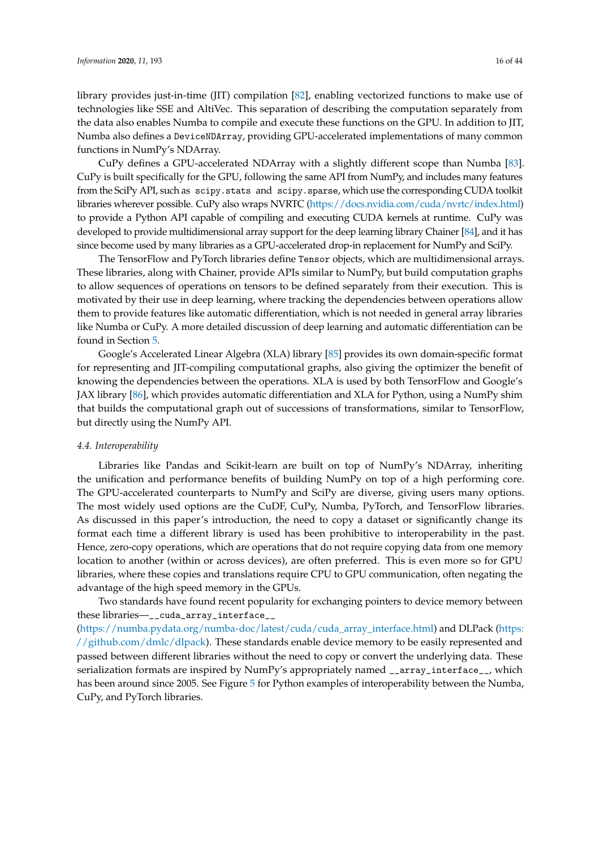library provides just-in-time (JIT) compilation [\[82\]](#page-36-8), enabling vectorized functions to make use of technologies like SSE and AltiVec. This separation of describing the computation separately from the data also enables Numba to compile and execute these functions on the GPU. In addition to JIT, Numba also defines a DeviceNDArray, providing GPU-accelerated implementations of many common functions in NumPy's NDArray.

CuPy defines a GPU-accelerated NDArray with a slightly different scope than Numba [\[83\]](#page-36-9). CuPy is built specifically for the GPU, following the same API from NumPy, and includes many features from the SciPy API, such as scipy.stats and scipy.sparse, which use the corresponding CUDA toolkit libraries wherever possible. CuPy also wraps NVRTC [\(https://docs.nvidia.com/cuda/nvrtc/index.html\)](https://docs.nvidia.com/cuda/nvrtc/index.html) to provide a Python API capable of compiling and executing CUDA kernels at runtime. CuPy was developed to provide multidimensional array support for the deep learning library Chainer [\[84\]](#page-36-10), and it has since become used by many libraries as a GPU-accelerated drop-in replacement for NumPy and SciPy.

The TensorFlow and PyTorch libraries define Tensor objects, which are multidimensional arrays. These libraries, along with Chainer, provide APIs similar to NumPy, but build computation graphs to allow sequences of operations on tensors to be defined separately from their execution. This is motivated by their use in deep learning, where tracking the dependencies between operations allow them to provide features like automatic differentiation, which is not needed in general array libraries like Numba or CuPy. A more detailed discussion of deep learning and automatic differentiation can be found in Section [5.](#page-20-0)

Google's Accelerated Linear Algebra (XLA) library [\[85\]](#page-36-11) provides its own domain-specific format for representing and JIT-compiling computational graphs, also giving the optimizer the benefit of knowing the dependencies between the operations. XLA is used by both TensorFlow and Google's JAX library [\[86\]](#page-36-12), which provides automatic differentiation and XLA for Python, using a NumPy shim that builds the computational graph out of successions of transformations, similar to TensorFlow, but directly using the NumPy API.

# <span id="page-15-0"></span>*4.4. Interoperability*

Libraries like Pandas and Scikit-learn are built on top of NumPy's NDArray, inheriting the unification and performance benefits of building NumPy on top of a high performing core. The GPU-accelerated counterparts to NumPy and SciPy are diverse, giving users many options. The most widely used options are the CuDF, CuPy, Numba, PyTorch, and TensorFlow libraries. As discussed in this paper's introduction, the need to copy a dataset or significantly change its format each time a different library is used has been prohibitive to interoperability in the past. Hence, zero-copy operations, which are operations that do not require copying data from one memory location to another (within or across devices), are often preferred. This is even more so for GPU libraries, where these copies and translations require CPU to GPU communication, often negating the advantage of the high speed memory in the GPUs.

Two standards have found recent popularity for exchanging pointers to device memory between these libraries—\_\_cuda\_array\_interface\_\_

[\(https://numba.pydata.org/numba-doc/latest/cuda/cuda\\_array\\_interface.html\)](https://numba.pydata.org/numba-doc/latest/cuda/cuda_array_interface.html) and DLPack [\(https:](https://github.com/dmlc/dlpack) [//github.com/dmlc/dlpack\)](https://github.com/dmlc/dlpack). These standards enable device memory to be easily represented and passed between different libraries without the need to copy or convert the underlying data. These serialization formats are inspired by NumPy's appropriately named \_\_array\_interface\_\_, which has been around since 2005. See Figure [5](#page-16-0) for Python examples of interoperability between the Numba, CuPy, and PyTorch libraries.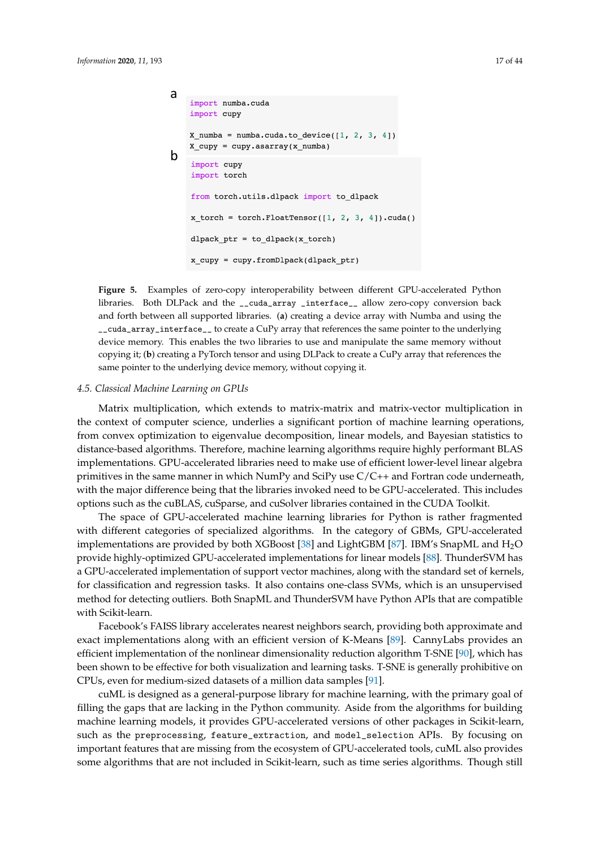```
a
    import numba.cuda
    import cupy
    X numba = numba.cuda.to device([1, 2, 3, 4])
    X_cupy = cupy.asarray(x_numba)
b
    import cupy
    import torch
    from torch.utils.dlpack import to_dlpack
    x torch = torch.FloatTensor([1, 2, 3, 4]).cuda()
    dlpack\_ptr = to_dlpack(x\_torch)x_cupy = cupy.fromDlpack(dlpack_ptr)
```
**Figure 5.** Examples of zero-copy interoperability between different GPU-accelerated Python libraries. Both DLPack and the \_\_cuda\_array \_interface\_\_ allow zero-copy conversion back and forth between all supported libraries. (**a**) creating a device array with Numba and using the \_\_cuda\_array\_interface\_\_ to create a CuPy array that references the same pointer to the underlying device memory. This enables the two libraries to use and manipulate the same memory without copying it; (**b**) creating a PyTorch tensor and using DLPack to create a CuPy array that references the same pointer to the underlying device memory, without copying it.

#### <span id="page-16-1"></span>*4.5. Classical Machine Learning on GPUs*

Matrix multiplication, which extends to matrix-matrix and matrix-vector multiplication in the context of computer science, underlies a significant portion of machine learning operations, from convex optimization to eigenvalue decomposition, linear models, and Bayesian statistics to distance-based algorithms. Therefore, machine learning algorithms require highly performant BLAS implementations. GPU-accelerated libraries need to make use of efficient lower-level linear algebra primitives in the same manner in which NumPy and SciPy use C/C++ and Fortran code underneath, with the major difference being that the libraries invoked need to be GPU-accelerated. This includes options such as the cuBLAS, cuSparse, and cuSolver libraries contained in the CUDA Toolkit.

The space of GPU-accelerated machine learning libraries for Python is rather fragmented with different categories of specialized algorithms. In the category of GBMs, GPU-accelerated implementations are provided by both XGBoost [\[38\]](#page-34-11) and LightGBM [\[87\]](#page-36-13). IBM's SnapML and H2O provide highly-optimized GPU-accelerated implementations for linear models [\[88\]](#page-36-14). ThunderSVM has a GPU-accelerated implementation of support vector machines, along with the standard set of kernels, for classification and regression tasks. It also contains one-class SVMs, which is an unsupervised method for detecting outliers. Both SnapML and ThunderSVM have Python APIs that are compatible with Scikit-learn.

Facebook's FAISS library accelerates nearest neighbors search, providing both approximate and exact implementations along with an efficient version of K-Means [\[89\]](#page-36-15). CannyLabs provides an efficient implementation of the nonlinear dimensionality reduction algorithm T-SNE [\[90\]](#page-36-16), which has been shown to be effective for both visualization and learning tasks. T-SNE is generally prohibitive on CPUs, even for medium-sized datasets of a million data samples [\[91\]](#page-36-17).

cuML is designed as a general-purpose library for machine learning, with the primary goal of filling the gaps that are lacking in the Python community. Aside from the algorithms for building machine learning models, it provides GPU-accelerated versions of other packages in Scikit-learn, such as the preprocessing, feature\_extraction, and model\_selection APIs. By focusing on important features that are missing from the ecosystem of GPU-accelerated tools, cuML also provides some algorithms that are not included in Scikit-learn, such as time series algorithms. Though still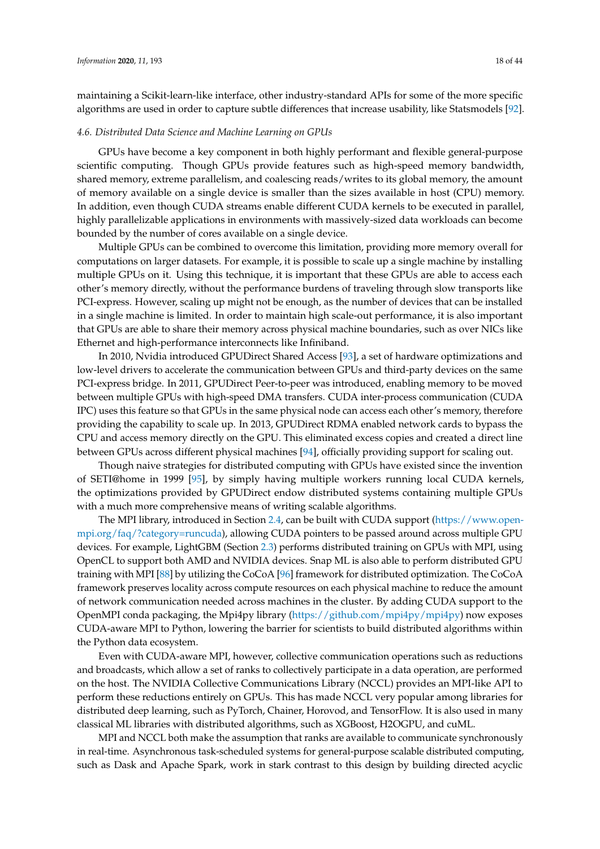maintaining a Scikit-learn-like interface, other industry-standard APIs for some of the more specific algorithms are used in order to capture subtle differences that increase usability, like Statsmodels [\[92\]](#page-36-18).

# *4.6. Distributed Data Science and Machine Learning on GPUs*

GPUs have become a key component in both highly performant and flexible general-purpose scientific computing. Though GPUs provide features such as high-speed memory bandwidth, shared memory, extreme parallelism, and coalescing reads/writes to its global memory, the amount of memory available on a single device is smaller than the sizes available in host (CPU) memory. In addition, even though CUDA streams enable different CUDA kernels to be executed in parallel, highly parallelizable applications in environments with massively-sized data workloads can become bounded by the number of cores available on a single device.

Multiple GPUs can be combined to overcome this limitation, providing more memory overall for computations on larger datasets. For example, it is possible to scale up a single machine by installing multiple GPUs on it. Using this technique, it is important that these GPUs are able to access each other's memory directly, without the performance burdens of traveling through slow transports like PCI-express. However, scaling up might not be enough, as the number of devices that can be installed in a single machine is limited. In order to maintain high scale-out performance, it is also important that GPUs are able to share their memory across physical machine boundaries, such as over NICs like Ethernet and high-performance interconnects like Infiniband.

In 2010, Nvidia introduced GPUDirect Shared Access [\[93\]](#page-36-19), a set of hardware optimizations and low-level drivers to accelerate the communication between GPUs and third-party devices on the same PCI-express bridge. In 2011, GPUDirect Peer-to-peer was introduced, enabling memory to be moved between multiple GPUs with high-speed DMA transfers. CUDA inter-process communication (CUDA IPC) uses this feature so that GPUs in the same physical node can access each other's memory, therefore providing the capability to scale up. In 2013, GPUDirect RDMA enabled network cards to bypass the CPU and access memory directly on the GPU. This eliminated excess copies and created a direct line between GPUs across different physical machines [\[94\]](#page-36-20), officially providing support for scaling out.

Though naive strategies for distributed computing with GPUs have existed since the invention of SETI@home in 1999 [\[95\]](#page-36-21), by simply having multiple workers running local CUDA kernels, the optimizations provided by GPUDirect endow distributed systems containing multiple GPUs with a much more comprehensive means of writing scalable algorithms.

The MPI library, introduced in Section [2.4,](#page-8-0) can be built with CUDA support [\(https://www.open](https://www.open-mpi.org/faq/?category=runcuda)[mpi.org/faq/?category=runcuda\)](https://www.open-mpi.org/faq/?category=runcuda), allowing CUDA pointers to be passed around across multiple GPU devices. For example, LightGBM (Section [2.3\)](#page-7-0) performs distributed training on GPUs with MPI, using OpenCL to support both AMD and NVIDIA devices. Snap ML is also able to perform distributed GPU training with MPI [\[88\]](#page-36-14) by utilizing the CoCoA [\[96\]](#page-36-22) framework for distributed optimization. The CoCoA framework preserves locality across compute resources on each physical machine to reduce the amount of network communication needed across machines in the cluster. By adding CUDA support to the OpenMPI conda packaging, the Mpi4py library [\(https://github.com/mpi4py/mpi4py\)](https://github.com/mpi4py/mpi4py) now exposes CUDA-aware MPI to Python, lowering the barrier for scientists to build distributed algorithms within the Python data ecosystem.

Even with CUDA-aware MPI, however, collective communication operations such as reductions and broadcasts, which allow a set of ranks to collectively participate in a data operation, are performed on the host. The NVIDIA Collective Communications Library (NCCL) provides an MPI-like API to perform these reductions entirely on GPUs. This has made NCCL very popular among libraries for distributed deep learning, such as PyTorch, Chainer, Horovod, and TensorFlow. It is also used in many classical ML libraries with distributed algorithms, such as XGBoost, H2OGPU, and cuML.

MPI and NCCL both make the assumption that ranks are available to communicate synchronously in real-time. Asynchronous task-scheduled systems for general-purpose scalable distributed computing, such as Dask and Apache Spark, work in stark contrast to this design by building directed acyclic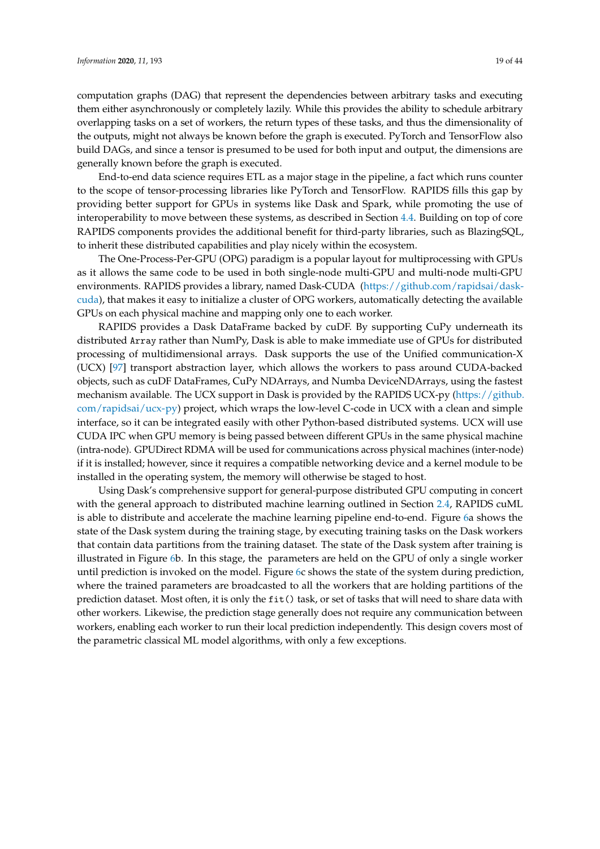computation graphs (DAG) that represent the dependencies between arbitrary tasks and executing them either asynchronously or completely lazily. While this provides the ability to schedule arbitrary overlapping tasks on a set of workers, the return types of these tasks, and thus the dimensionality of the outputs, might not always be known before the graph is executed. PyTorch and TensorFlow also build DAGs, and since a tensor is presumed to be used for both input and output, the dimensions are generally known before the graph is executed.

End-to-end data science requires ETL as a major stage in the pipeline, a fact which runs counter to the scope of tensor-processing libraries like PyTorch and TensorFlow. RAPIDS fills this gap by providing better support for GPUs in systems like Dask and Spark, while promoting the use of interoperability to move between these systems, as described in Section [4.4.](#page-15-0) Building on top of core RAPIDS components provides the additional benefit for third-party libraries, such as BlazingSQL, to inherit these distributed capabilities and play nicely within the ecosystem.

The One-Process-Per-GPU (OPG) paradigm is a popular layout for multiprocessing with GPUs as it allows the same code to be used in both single-node multi-GPU and multi-node multi-GPU environments. RAPIDS provides a library, named Dask-CUDA [\(https://github.com/rapidsai/dask](https://github.com/rapidsai/dask-cuda)[cuda\)](https://github.com/rapidsai/dask-cuda), that makes it easy to initialize a cluster of OPG workers, automatically detecting the available GPUs on each physical machine and mapping only one to each worker.

RAPIDS provides a Dask DataFrame backed by cuDF. By supporting CuPy underneath its distributed Array rather than NumPy, Dask is able to make immediate use of GPUs for distributed processing of multidimensional arrays. Dask supports the use of the Unified communication-X (UCX) [\[97\]](#page-37-0) transport abstraction layer, which allows the workers to pass around CUDA-backed objects, such as cuDF DataFrames, CuPy NDArrays, and Numba DeviceNDArrays, using the fastest mechanism available. The UCX support in Dask is provided by the RAPIDS UCX-py [\(https://github.](https://github.com/rapidsai/ucx-py) [com/rapidsai/ucx-py\)](https://github.com/rapidsai/ucx-py) project, which wraps the low-level C-code in UCX with a clean and simple interface, so it can be integrated easily with other Python-based distributed systems. UCX will use CUDA IPC when GPU memory is being passed between different GPUs in the same physical machine (intra-node). GPUDirect RDMA will be used for communications across physical machines (inter-node) if it is installed; however, since it requires a compatible networking device and a kernel module to be installed in the operating system, the memory will otherwise be staged to host.

Using Dask's comprehensive support for general-purpose distributed GPU computing in concert with the general approach to distributed machine learning outlined in Section [2.4,](#page-8-0) RAPIDS cuML is able to distribute and accelerate the machine learning pipeline end-to-end. Figure [6a](#page-19-0) shows the state of the Dask system during the training stage, by executing training tasks on the Dask workers that contain data partitions from the training dataset. The state of the Dask system after training is illustrated in Figure [6b](#page-19-0). In this stage, the parameters are held on the GPU of only a single worker until prediction is invoked on the model. Figure [6c](#page-19-0) shows the state of the system during prediction, where the trained parameters are broadcasted to all the workers that are holding partitions of the prediction dataset. Most often, it is only the fit() task, or set of tasks that will need to share data with other workers. Likewise, the prediction stage generally does not require any communication between workers, enabling each worker to run their local prediction independently. This design covers most of the parametric classical ML model algorithms, with only a few exceptions.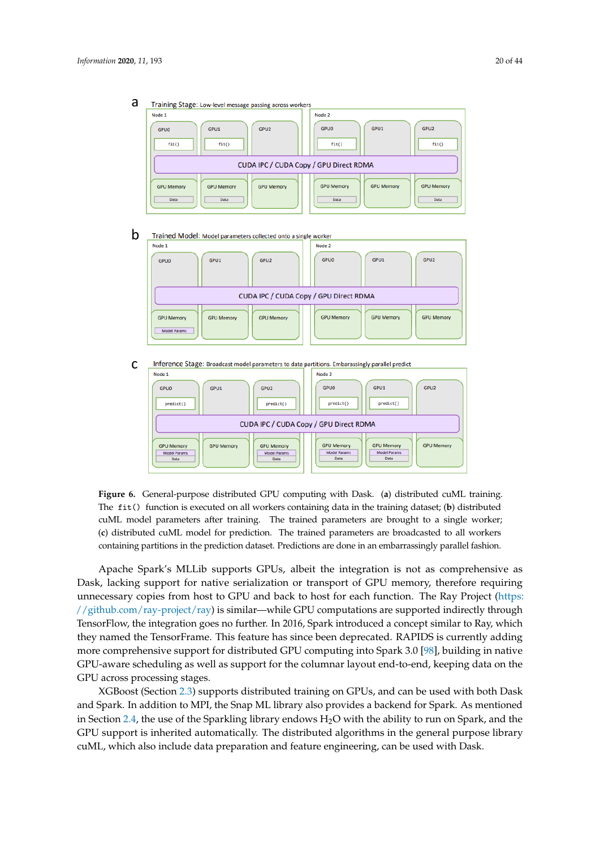Node 1 Node 2 GPU1 GPU2 GPU1 GPU<sub>2</sub> GPUO GPUO  $fit()$  $fit()$  $f(f)$  $fit()$ CUDA IPC / CUDA Copy / GPU Direct RDMA **GRU Momoru GPU Memor GPU Memon** GPU Memory CRU Momor GRU Momon Data Data Data Data b Trained Model: Model parameters collected onto a single worker Node 1 Node 2 GPUO GPU1 GPLIZ GPUO GPU1 GPU<sub>2</sub> CUDA IPC / CUDA Copy / GPU Direct RDMA **GPU Memory GPU Memory GPU Memory GPU Memory GPU Memory GPU Memory** Model Param c Inference Stage: Broadcast model parameters to data partitions. Embarassingly parallel predict GPUO GPU1 GPU<sub>2</sub> GPUO GPU1 GPU<sub>2</sub>  $predict()$  $predict()$  $predict()$  $predict()$ CUDA IPC / CUDA Copy / GPU Direct RDMA **GPU Memory GPU Memory GPU Memory GPU Memory GPU Memory GPU Memory** Model Params<br>Data del Params<br>Data Model Params<br>Data del Params<br>Data

<span id="page-19-0"></span>a Training Stage: Low-level message passing across worker

**Figure 6.** General-purpose distributed GPU computing with Dask. (**a**) distributed cuML training. The fit() function is executed on all workers containing data in the training dataset; (**b**) distributed cuML model parameters after training. The trained parameters are brought to a single worker; (**c**) distributed cuML model for prediction. The trained parameters are broadcasted to all workers containing partitions in the prediction dataset. Predictions are done in an embarrassingly parallel fashion.

Apache Spark's MLLib supports GPUs, albeit the integration is not as comprehensive as Dask, lacking support for native serialization or transport of GPU memory, therefore requiring unnecessary copies from host to GPU and back to host for each function. The Ray Project [\(https:](https://github.com/ray-project/ray) [//github.com/ray-project/ray\)](https://github.com/ray-project/ray) is similar—while GPU computations are supported indirectly through TensorFlow, the integration goes no further. In 2016, Spark introduced a concept similar to Ray, which they named the TensorFrame. This feature has since been deprecated. RAPIDS is currently adding more comprehensive support for distributed GPU computing into Spark 3.0 [\[98\]](#page-37-1), building in native GPU-aware scheduling as well as support for the columnar layout end-to-end, keeping data on the GPU across processing stages.

XGBoost (Section [2.3\)](#page-7-0) supports distributed training on GPUs, and can be used with both Dask and Spark. In addition to MPI, the Snap ML library also provides a backend for Spark. As mentioned in Section [2.4,](#page-8-0) the use of the Sparkling library endows  $H_2O$  with the ability to run on Spark, and the GPU support is inherited automatically. The distributed algorithms in the general purpose library cuML, which also include data preparation and feature engineering, can be used with Dask.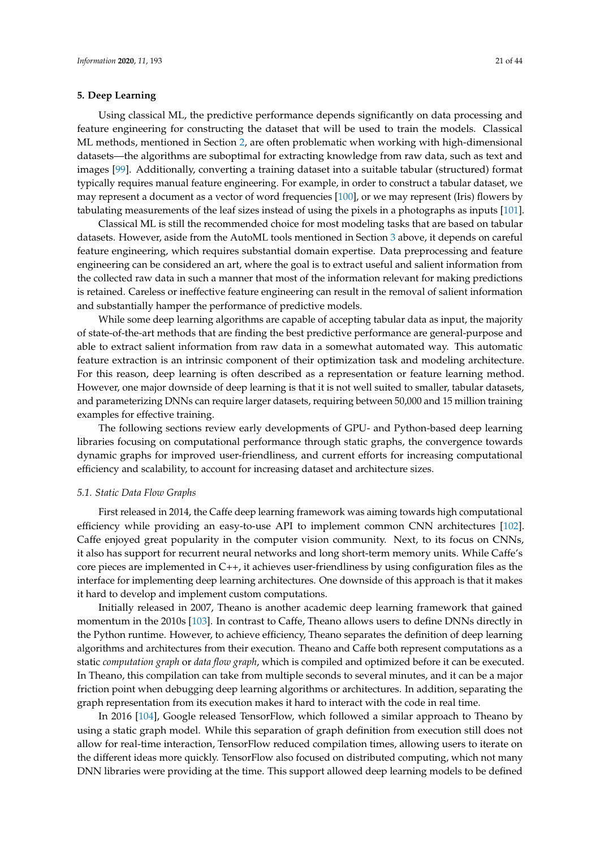# <span id="page-20-0"></span>**5. Deep Learning**

Using classical ML, the predictive performance depends significantly on data processing and feature engineering for constructing the dataset that will be used to train the models. Classical ML methods, mentioned in Section [2,](#page-4-0) are often problematic when working with high-dimensional datasets—the algorithms are suboptimal for extracting knowledge from raw data, such as text and images [\[99\]](#page-37-2). Additionally, converting a training dataset into a suitable tabular (structured) format typically requires manual feature engineering. For example, in order to construct a tabular dataset, we may represent a document as a vector of word frequencies [\[100\]](#page-37-3), or we may represent (Iris) flowers by tabulating measurements of the leaf sizes instead of using the pixels in a photographs as inputs [\[101\]](#page-37-4).

Classical ML is still the recommended choice for most modeling tasks that are based on tabular datasets. However, aside from the AutoML tools mentioned in Section [3](#page-9-0) above, it depends on careful feature engineering, which requires substantial domain expertise. Data preprocessing and feature engineering can be considered an art, where the goal is to extract useful and salient information from the collected raw data in such a manner that most of the information relevant for making predictions is retained. Careless or ineffective feature engineering can result in the removal of salient information and substantially hamper the performance of predictive models.

While some deep learning algorithms are capable of accepting tabular data as input, the majority of state-of-the-art methods that are finding the best predictive performance are general-purpose and able to extract salient information from raw data in a somewhat automated way. This automatic feature extraction is an intrinsic component of their optimization task and modeling architecture. For this reason, deep learning is often described as a representation or feature learning method. However, one major downside of deep learning is that it is not well suited to smaller, tabular datasets, and parameterizing DNNs can require larger datasets, requiring between 50,000 and 15 million training examples for effective training.

The following sections review early developments of GPU- and Python-based deep learning libraries focusing on computational performance through static graphs, the convergence towards dynamic graphs for improved user-friendliness, and current efforts for increasing computational efficiency and scalability, to account for increasing dataset and architecture sizes.

# <span id="page-20-1"></span>*5.1. Static Data Flow Graphs*

First released in 2014, the Caffe deep learning framework was aiming towards high computational efficiency while providing an easy-to-use API to implement common CNN architectures [\[102\]](#page-37-5). Caffe enjoyed great popularity in the computer vision community. Next, to its focus on CNNs, it also has support for recurrent neural networks and long short-term memory units. While Caffe's core pieces are implemented in C++, it achieves user-friendliness by using configuration files as the interface for implementing deep learning architectures. One downside of this approach is that it makes it hard to develop and implement custom computations.

Initially released in 2007, Theano is another academic deep learning framework that gained momentum in the 2010s [\[103\]](#page-37-6). In contrast to Caffe, Theano allows users to define DNNs directly in the Python runtime. However, to achieve efficiency, Theano separates the definition of deep learning algorithms and architectures from their execution. Theano and Caffe both represent computations as a static *computation graph* or *data flow graph*, which is compiled and optimized before it can be executed. In Theano, this compilation can take from multiple seconds to several minutes, and it can be a major friction point when debugging deep learning algorithms or architectures. In addition, separating the graph representation from its execution makes it hard to interact with the code in real time.

In 2016 [\[104\]](#page-37-7), Google released TensorFlow, which followed a similar approach to Theano by using a static graph model. While this separation of graph definition from execution still does not allow for real-time interaction, TensorFlow reduced compilation times, allowing users to iterate on the different ideas more quickly. TensorFlow also focused on distributed computing, which not many DNN libraries were providing at the time. This support allowed deep learning models to be defined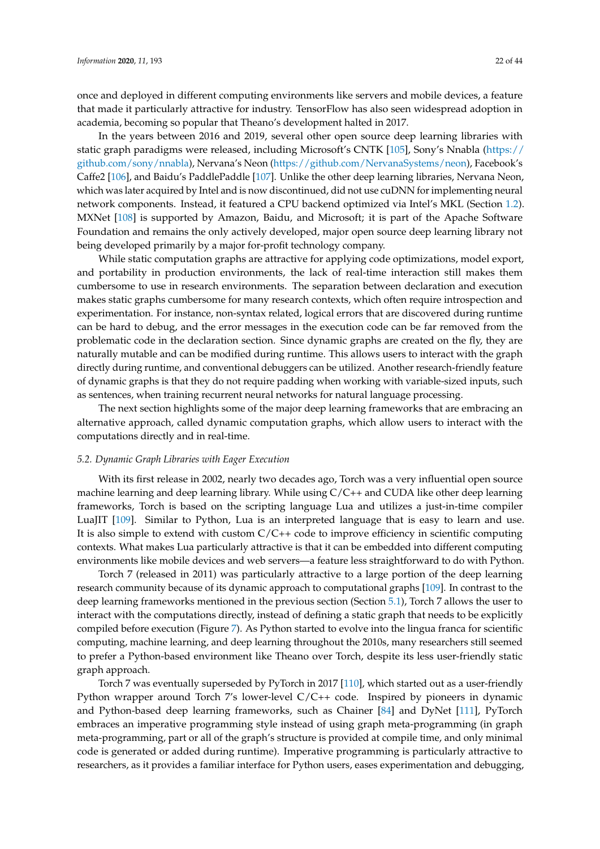once and deployed in different computing environments like servers and mobile devices, a feature that made it particularly attractive for industry. TensorFlow has also seen widespread adoption in academia, becoming so popular that Theano's development halted in 2017.

In the years between 2016 and 2019, several other open source deep learning libraries with static graph paradigms were released, including Microsoft's CNTK [\[105\]](#page-37-8), Sony's Nnabla [\(https://](https://github.com/sony/nnabla) [github.com/sony/nnabla\)](https://github.com/sony/nnabla), Nervana's Neon [\(https://github.com/NervanaSystems/neon\)](https://github.com/NervanaSystems/neon), Facebook's Caffe2 [\[106\]](#page-37-9), and Baidu's PaddlePaddle [\[107\]](#page-37-10). Unlike the other deep learning libraries, Nervana Neon, which was later acquired by Intel and is now discontinued, did not use cuDNN for implementing neural network components. Instead, it featured a CPU backend optimized via Intel's MKL (Section [1.2\)](#page-3-0). MXNet [\[108\]](#page-37-11) is supported by Amazon, Baidu, and Microsoft; it is part of the Apache Software Foundation and remains the only actively developed, major open source deep learning library not being developed primarily by a major for-profit technology company.

While static computation graphs are attractive for applying code optimizations, model export, and portability in production environments, the lack of real-time interaction still makes them cumbersome to use in research environments. The separation between declaration and execution makes static graphs cumbersome for many research contexts, which often require introspection and experimentation. For instance, non-syntax related, logical errors that are discovered during runtime can be hard to debug, and the error messages in the execution code can be far removed from the problematic code in the declaration section. Since dynamic graphs are created on the fly, they are naturally mutable and can be modified during runtime. This allows users to interact with the graph directly during runtime, and conventional debuggers can be utilized. Another research-friendly feature of dynamic graphs is that they do not require padding when working with variable-sized inputs, such as sentences, when training recurrent neural networks for natural language processing.

The next section highlights some of the major deep learning frameworks that are embracing an alternative approach, called dynamic computation graphs, which allow users to interact with the computations directly and in real-time.

## <span id="page-21-0"></span>*5.2. Dynamic Graph Libraries with Eager Execution*

With its first release in 2002, nearly two decades ago, Torch was a very influential open source machine learning and deep learning library. While using  $C/C++$  and CUDA like other deep learning frameworks, Torch is based on the scripting language Lua and utilizes a just-in-time compiler LuaJIT [\[109\]](#page-37-12). Similar to Python, Lua is an interpreted language that is easy to learn and use. It is also simple to extend with custom C/C++ code to improve efficiency in scientific computing contexts. What makes Lua particularly attractive is that it can be embedded into different computing environments like mobile devices and web servers—a feature less straightforward to do with Python.

Torch 7 (released in 2011) was particularly attractive to a large portion of the deep learning research community because of its dynamic approach to computational graphs [\[109\]](#page-37-12). In contrast to the deep learning frameworks mentioned in the previous section (Section [5.1\)](#page-20-1), Torch 7 allows the user to interact with the computations directly, instead of defining a static graph that needs to be explicitly compiled before execution (Figure [7\)](#page-22-0). As Python started to evolve into the lingua franca for scientific computing, machine learning, and deep learning throughout the 2010s, many researchers still seemed to prefer a Python-based environment like Theano over Torch, despite its less user-friendly static graph approach.

Torch 7 was eventually superseded by PyTorch in 2017 [\[110\]](#page-37-13), which started out as a user-friendly Python wrapper around Torch 7's lower-level C/C++ code. Inspired by pioneers in dynamic and Python-based deep learning frameworks, such as Chainer [\[84\]](#page-36-10) and DyNet [\[111\]](#page-37-14), PyTorch embraces an imperative programming style instead of using graph meta-programming (in graph meta-programming, part or all of the graph's structure is provided at compile time, and only minimal code is generated or added during runtime). Imperative programming is particularly attractive to researchers, as it provides a familiar interface for Python users, eases experimentation and debugging,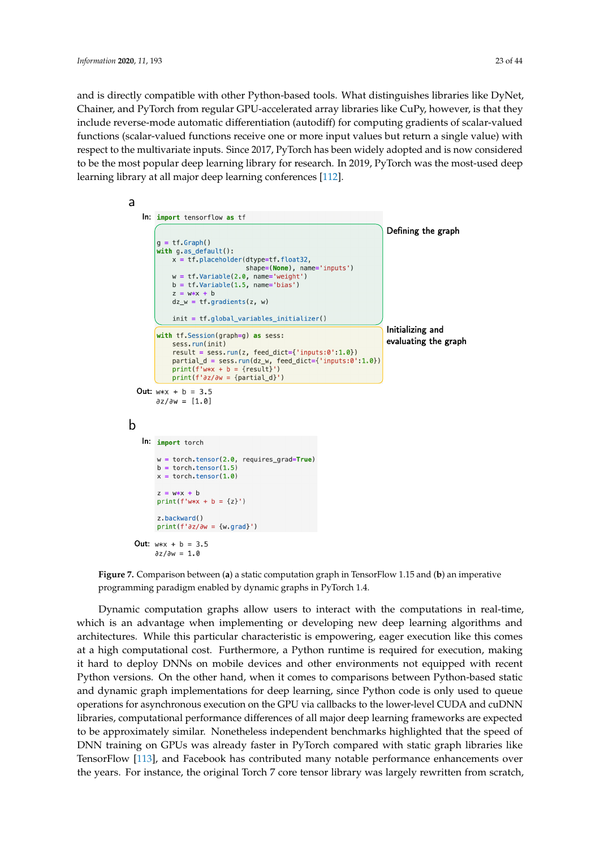and is directly compatible with other Python-based tools. What distinguishes libraries like DyNet, Chainer, and PyTorch from regular GPU-accelerated array libraries like CuPy, however, is that they include reverse-mode automatic differentiation (autodiff) for computing gradients of scalar-valued functions (scalar-valued functions receive one or more input values but return a single value) with respect to the multivariate inputs. Since 2017, PyTorch has been widely adopted and is now considered to be the most popular deep learning library for research. In 2019, PyTorch was the most-used deep

<span id="page-22-0"></span>learning library at all major deep learning conferences [\[112\]](#page-37-15).



**Figure 7.** Comparison between (**a**) a static computation graph in TensorFlow 1.15 and (**b**) an imperative programming paradigm enabled by dynamic graphs in PyTorch 1.4.

Dynamic computation graphs allow users to interact with the computations in real-time, which is an advantage when implementing or developing new deep learning algorithms and architectures. While this particular characteristic is empowering, eager execution like this comes at a high computational cost. Furthermore, a Python runtime is required for execution, making it hard to deploy DNNs on mobile devices and other environments not equipped with recent Python versions. On the other hand, when it comes to comparisons between Python-based static and dynamic graph implementations for deep learning, since Python code is only used to queue operations for asynchronous execution on the GPU via callbacks to the lower-level CUDA and cuDNN libraries, computational performance differences of all major deep learning frameworks are expected to be approximately similar. Nonetheless independent benchmarks highlighted that the speed of DNN training on GPUs was already faster in PyTorch compared with static graph libraries like TensorFlow [\[113\]](#page-37-16), and Facebook has contributed many notable performance enhancements over the years. For instance, the original Torch 7 core tensor library was largely rewritten from scratch,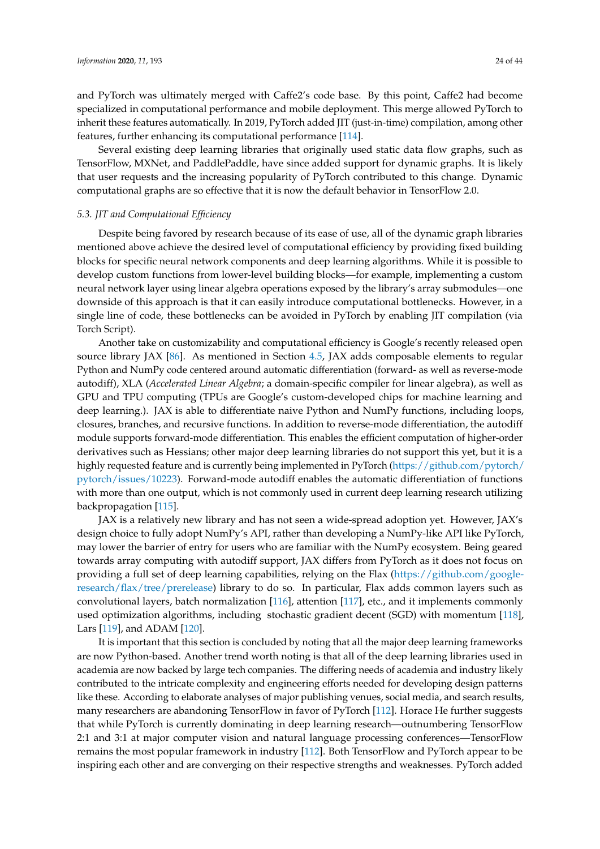and PyTorch was ultimately merged with Caffe2's code base. By this point, Caffe2 had become specialized in computational performance and mobile deployment. This merge allowed PyTorch to inherit these features automatically. In 2019, PyTorch added JIT (just-in-time) compilation, among other features, further enhancing its computational performance [\[114\]](#page-37-17).

Several existing deep learning libraries that originally used static data flow graphs, such as TensorFlow, MXNet, and PaddlePaddle, have since added support for dynamic graphs. It is likely that user requests and the increasing popularity of PyTorch contributed to this change. Dynamic computational graphs are so effective that it is now the default behavior in TensorFlow 2.0.

# *5.3. JIT and Computational Efficiency*

Despite being favored by research because of its ease of use, all of the dynamic graph libraries mentioned above achieve the desired level of computational efficiency by providing fixed building blocks for specific neural network components and deep learning algorithms. While it is possible to develop custom functions from lower-level building blocks—for example, implementing a custom neural network layer using linear algebra operations exposed by the library's array submodules—one downside of this approach is that it can easily introduce computational bottlenecks. However, in a single line of code, these bottlenecks can be avoided in PyTorch by enabling JIT compilation (via Torch Script).

Another take on customizability and computational efficiency is Google's recently released open source library JAX [\[86\]](#page-36-12). As mentioned in Section [4.5,](#page-16-1) JAX adds composable elements to regular Python and NumPy code centered around automatic differentiation (forward- as well as reverse-mode autodiff), XLA (*Accelerated Linear Algebra*; a domain-specific compiler for linear algebra), as well as GPU and TPU computing (TPUs are Google's custom-developed chips for machine learning and deep learning.). JAX is able to differentiate naive Python and NumPy functions, including loops, closures, branches, and recursive functions. In addition to reverse-mode differentiation, the autodiff module supports forward-mode differentiation. This enables the efficient computation of higher-order derivatives such as Hessians; other major deep learning libraries do not support this yet, but it is a highly requested feature and is currently being implemented in PyTorch [\(https://github.com/pytorch/](https://github.com/pytorch/pytorch/issues/10223) [pytorch/issues/10223\)](https://github.com/pytorch/pytorch/issues/10223). Forward-mode autodiff enables the automatic differentiation of functions with more than one output, which is not commonly used in current deep learning research utilizing backpropagation [\[115\]](#page-37-18).

JAX is a relatively new library and has not seen a wide-spread adoption yet. However, JAX's design choice to fully adopt NumPy's API, rather than developing a NumPy-like API like PyTorch, may lower the barrier of entry for users who are familiar with the NumPy ecosystem. Being geared towards array computing with autodiff support, JAX differs from PyTorch as it does not focus on providing a full set of deep learning capabilities, relying on the Flax [\(https://github.com/google](https://github.com/google-research/flax/tree/prerelease)[research/flax/tree/prerelease\)](https://github.com/google-research/flax/tree/prerelease) library to do so. In particular, Flax adds common layers such as convolutional layers, batch normalization [\[116\]](#page-37-19), attention [\[117\]](#page-37-20), etc., and it implements commonly used optimization algorithms, including stochastic gradient decent (SGD) with momentum [\[118\]](#page-37-21), Lars [\[119\]](#page-37-22), and ADAM [\[120\]](#page-38-0).

It is important that this section is concluded by noting that all the major deep learning frameworks are now Python-based. Another trend worth noting is that all of the deep learning libraries used in academia are now backed by large tech companies. The differing needs of academia and industry likely contributed to the intricate complexity and engineering efforts needed for developing design patterns like these. According to elaborate analyses of major publishing venues, social media, and search results, many researchers are abandoning TensorFlow in favor of PyTorch [\[112\]](#page-37-15). Horace He further suggests that while PyTorch is currently dominating in deep learning research—outnumbering TensorFlow 2:1 and 3:1 at major computer vision and natural language processing conferences—TensorFlow remains the most popular framework in industry [\[112\]](#page-37-15). Both TensorFlow and PyTorch appear to be inspiring each other and are converging on their respective strengths and weaknesses. PyTorch added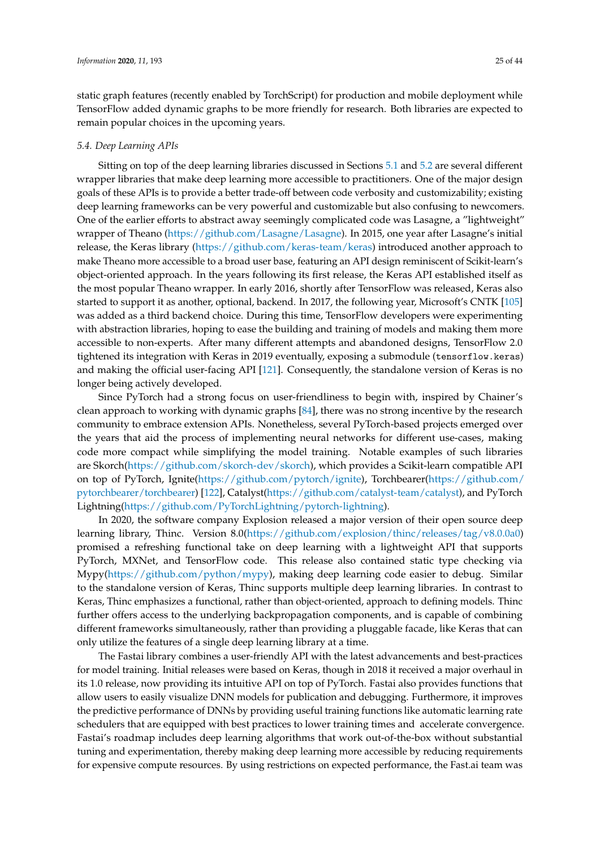static graph features (recently enabled by TorchScript) for production and mobile deployment while TensorFlow added dynamic graphs to be more friendly for research. Both libraries are expected to remain popular choices in the upcoming years.

## *5.4. Deep Learning APIs*

Sitting on top of the deep learning libraries discussed in Sections [5.1](#page-20-1) and [5.2](#page-21-0) are several different wrapper libraries that make deep learning more accessible to practitioners. One of the major design goals of these APIs is to provide a better trade-off between code verbosity and customizability; existing deep learning frameworks can be very powerful and customizable but also confusing to newcomers. One of the earlier efforts to abstract away seemingly complicated code was Lasagne, a "lightweight" wrapper of Theano [\(https://github.com/Lasagne/Lasagne\)](https://github.com/Lasagne/Lasagne). In 2015, one year after Lasagne's initial release, the Keras library [\(https://github.com/keras-team/keras\)](https://github.com/keras-team/keras) introduced another approach to make Theano more accessible to a broad user base, featuring an API design reminiscent of Scikit-learn's object-oriented approach. In the years following its first release, the Keras API established itself as the most popular Theano wrapper. In early 2016, shortly after TensorFlow was released, Keras also started to support it as another, optional, backend. In 2017, the following year, Microsoft's CNTK [\[105\]](#page-37-8) was added as a third backend choice. During this time, TensorFlow developers were experimenting with abstraction libraries, hoping to ease the building and training of models and making them more accessible to non-experts. After many different attempts and abandoned designs, TensorFlow 2.0 tightened its integration with Keras in 2019 eventually, exposing a submodule (tensorflow.keras) and making the official user-facing API [\[121\]](#page-38-1). Consequently, the standalone version of Keras is no longer being actively developed.

Since PyTorch had a strong focus on user-friendliness to begin with, inspired by Chainer's clean approach to working with dynamic graphs [\[84\]](#page-36-10), there was no strong incentive by the research community to embrace extension APIs. Nonetheless, several PyTorch-based projects emerged over the years that aid the process of implementing neural networks for different use-cases, making code more compact while simplifying the model training. Notable examples of such libraries are Skorch[\(https://github.com/skorch-dev/skorch\)](https://github.com/skorch-dev/skorch), which provides a Scikit-learn compatible API on top of PyTorch, Ignite[\(https://github.com/pytorch/ignite\)](https://github.com/pytorch/ignite), Torchbearer[\(https://github.com/](https://github.com/pytorchbearer/torchbearer) [pytorchbearer/torchbearer\)](https://github.com/pytorchbearer/torchbearer) [\[122\]](#page-38-2), Catalyst[\(https://github.com/catalyst-team/catalyst\)](https://github.com/catalyst-team/catalyst), and PyTorch Lightning[\(https://github.com/PyTorchLightning/pytorch-lightning\)](https://github.com/PyTorchLightning/pytorch-lightning).

In 2020, the software company Explosion released a major version of their open source deep learning library, Thinc. Version 8.0[\(https://github.com/explosion/thinc/releases/tag/v8.0.0a0\)](https://github.com/explosion/thinc/releases/tag/v8.0.0a0) promised a refreshing functional take on deep learning with a lightweight API that supports PyTorch, MXNet, and TensorFlow code. This release also contained static type checking via Mypy[\(https://github.com/python/mypy\)](https://github.com/python/mypy), making deep learning code easier to debug. Similar to the standalone version of Keras, Thinc supports multiple deep learning libraries. In contrast to Keras, Thinc emphasizes a functional, rather than object-oriented, approach to defining models. Thinc further offers access to the underlying backpropagation components, and is capable of combining different frameworks simultaneously, rather than providing a pluggable facade, like Keras that can only utilize the features of a single deep learning library at a time.

The Fastai library combines a user-friendly API with the latest advancements and best-practices for model training. Initial releases were based on Keras, though in 2018 it received a major overhaul in its 1.0 release, now providing its intuitive API on top of PyTorch. Fastai also provides functions that allow users to easily visualize DNN models for publication and debugging. Furthermore, it improves the predictive performance of DNNs by providing useful training functions like automatic learning rate schedulers that are equipped with best practices to lower training times and accelerate convergence. Fastai's roadmap includes deep learning algorithms that work out-of-the-box without substantial tuning and experimentation, thereby making deep learning more accessible by reducing requirements for expensive compute resources. By using restrictions on expected performance, the Fast.ai team was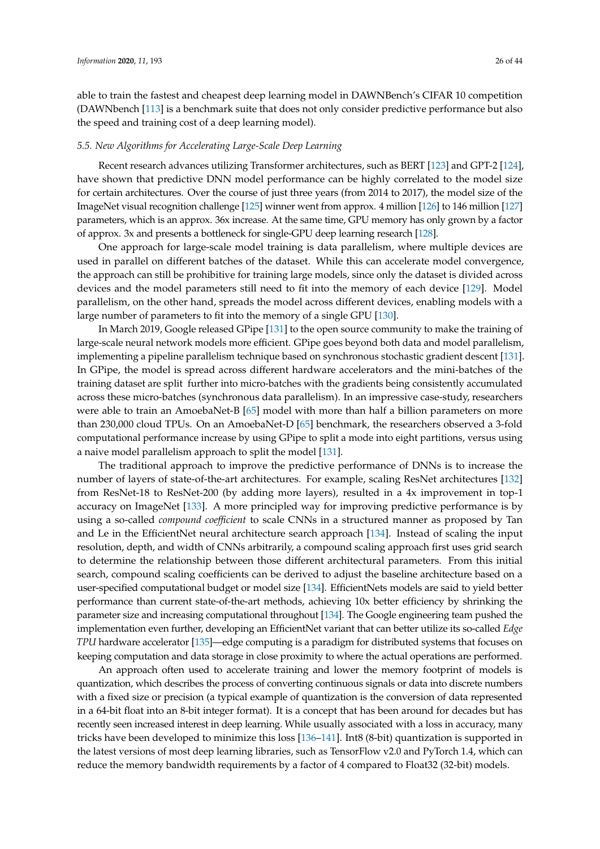able to train the fastest and cheapest deep learning model in DAWNBench's CIFAR 10 competition (DAWNbench [\[113\]](#page-37-16) is a benchmark suite that does not only consider predictive performance but also the speed and training cost of a deep learning model).

#### *5.5. New Algorithms for Accelerating Large-Scale Deep Learning*

Recent research advances utilizing Transformer architectures, such as BERT [\[123\]](#page-38-3) and GPT-2 [\[124\]](#page-38-4), have shown that predictive DNN model performance can be highly correlated to the model size for certain architectures. Over the course of just three years (from 2014 to 2017), the model size of the ImageNet visual recognition challenge [\[125\]](#page-38-5) winner went from approx. 4 million [\[126\]](#page-38-6) to 146 million [\[127\]](#page-38-7) parameters, which is an approx. 36x increase. At the same time, GPU memory has only grown by a factor of approx. 3x and presents a bottleneck for single-GPU deep learning research [\[128\]](#page-38-8).

One approach for large-scale model training is data parallelism, where multiple devices are used in parallel on different batches of the dataset. While this can accelerate model convergence, the approach can still be prohibitive for training large models, since only the dataset is divided across devices and the model parameters still need to fit into the memory of each device [\[129\]](#page-38-9). Model parallelism, on the other hand, spreads the model across different devices, enabling models with a large number of parameters to fit into the memory of a single GPU [\[130\]](#page-38-10).

In March 2019, Google released GPipe [\[131\]](#page-38-11) to the open source community to make the training of large-scale neural network models more efficient. GPipe goes beyond both data and model parallelism, implementing a pipeline parallelism technique based on synchronous stochastic gradient descent [\[131\]](#page-38-11). In GPipe, the model is spread across different hardware accelerators and the mini-batches of the training dataset are split further into micro-batches with the gradients being consistently accumulated across these micro-batches (synchronous data parallelism). In an impressive case-study, researchers were able to train an AmoebaNet-B [\[65\]](#page-35-13) model with more than half a billion parameters on more than 230,000 cloud TPUs. On an AmoebaNet-D [\[65\]](#page-35-13) benchmark, the researchers observed a 3-fold computational performance increase by using GPipe to split a mode into eight partitions, versus using a naive model parallelism approach to split the model [\[131\]](#page-38-11).

The traditional approach to improve the predictive performance of DNNs is to increase the number of layers of state-of-the-art architectures. For example, scaling ResNet architectures [\[132\]](#page-38-12) from ResNet-18 to ResNet-200 (by adding more layers), resulted in a 4x improvement in top-1 accuracy on ImageNet [\[133\]](#page-38-13). A more principled way for improving predictive performance is by using a so-called *compound coefficient* to scale CNNs in a structured manner as proposed by Tan and Le in the EfficientNet neural architecture search approach [\[134\]](#page-38-14). Instead of scaling the input resolution, depth, and width of CNNs arbitrarily, a compound scaling approach first uses grid search to determine the relationship between those different architectural parameters. From this initial search, compound scaling coefficients can be derived to adjust the baseline architecture based on a user-specified computational budget or model size [\[134\]](#page-38-14). EfficientNets models are said to yield better performance than current state-of-the-art methods, achieving 10x better efficiency by shrinking the parameter size and increasing computational throughout [\[134\]](#page-38-14). The Google engineering team pushed the implementation even further, developing an EfficientNet variant that can better utilize its so-called *Edge TPU* hardware accelerator [\[135\]](#page-38-15)—edge computing is a paradigm for distributed systems that focuses on keeping computation and data storage in close proximity to where the actual operations are performed.

An approach often used to accelerate training and lower the memory footprint of models is quantization, which describes the process of converting continuous signals or data into discrete numbers with a fixed size or precision (a typical example of quantization is the conversion of data represented in a 64-bit float into an 8-bit integer format). It is a concept that has been around for decades but has recently seen increased interest in deep learning. While usually associated with a loss in accuracy, many tricks have been developed to minimize this loss [\[136–](#page-38-16)[141\]](#page-38-17). Int8 (8-bit) quantization is supported in the latest versions of most deep learning libraries, such as TensorFlow v2.0 and PyTorch 1.4, which can reduce the memory bandwidth requirements by a factor of 4 compared to Float32 (32-bit) models.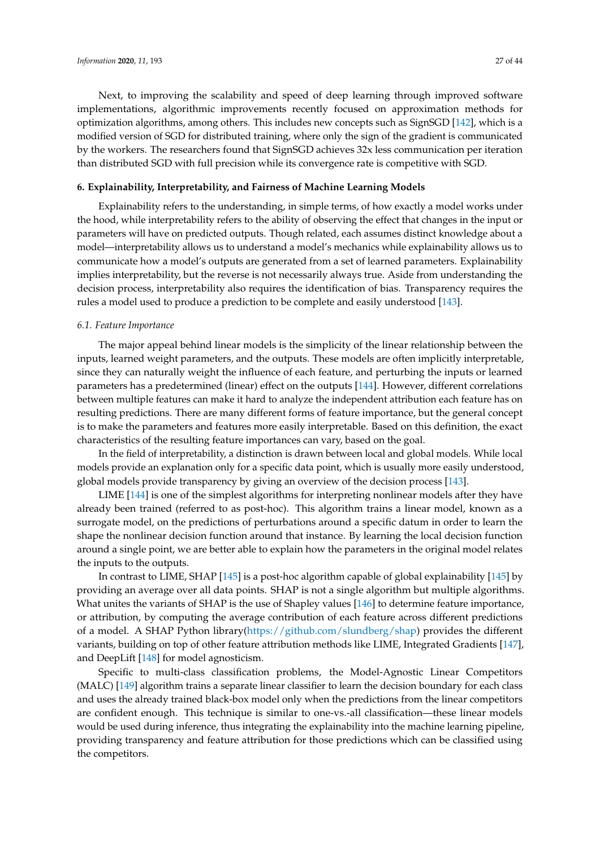Next, to improving the scalability and speed of deep learning through improved software implementations, algorithmic improvements recently focused on approximation methods for optimization algorithms, among others. This includes new concepts such as SignSGD [\[142\]](#page-39-0), which is a modified version of SGD for distributed training, where only the sign of the gradient is communicated by the workers. The researchers found that SignSGD achieves 32x less communication per iteration than distributed SGD with full precision while its convergence rate is competitive with SGD.

# <span id="page-26-0"></span>**6. Explainability, Interpretability, and Fairness of Machine Learning Models**

Explainability refers to the understanding, in simple terms, of how exactly a model works under the hood, while interpretability refers to the ability of observing the effect that changes in the input or parameters will have on predicted outputs. Though related, each assumes distinct knowledge about a model—interpretability allows us to understand a model's mechanics while explainability allows us to communicate how a model's outputs are generated from a set of learned parameters. Explainability implies interpretability, but the reverse is not necessarily always true. Aside from understanding the decision process, interpretability also requires the identification of bias. Transparency requires the rules a model used to produce a prediction to be complete and easily understood [\[143\]](#page-39-1).

# *6.1. Feature Importance*

The major appeal behind linear models is the simplicity of the linear relationship between the inputs, learned weight parameters, and the outputs. These models are often implicitly interpretable, since they can naturally weight the influence of each feature, and perturbing the inputs or learned parameters has a predetermined (linear) effect on the outputs [\[144\]](#page-39-2). However, different correlations between multiple features can make it hard to analyze the independent attribution each feature has on resulting predictions. There are many different forms of feature importance, but the general concept is to make the parameters and features more easily interpretable. Based on this definition, the exact characteristics of the resulting feature importances can vary, based on the goal.

In the field of interpretability, a distinction is drawn between local and global models. While local models provide an explanation only for a specific data point, which is usually more easily understood, global models provide transparency by giving an overview of the decision process [\[143\]](#page-39-1).

LIME [\[144\]](#page-39-2) is one of the simplest algorithms for interpreting nonlinear models after they have already been trained (referred to as post-hoc). This algorithm trains a linear model, known as a surrogate model, on the predictions of perturbations around a specific datum in order to learn the shape the nonlinear decision function around that instance. By learning the local decision function around a single point, we are better able to explain how the parameters in the original model relates the inputs to the outputs.

In contrast to LIME, SHAP [\[145\]](#page-39-3) is a post-hoc algorithm capable of global explainability [\[145\]](#page-39-3) by providing an average over all data points. SHAP is not a single algorithm but multiple algorithms. What unites the variants of SHAP is the use of Shapley values [\[146\]](#page-39-4) to determine feature importance, or attribution, by computing the average contribution of each feature across different predictions of a model. A SHAP Python library[\(https://github.com/slundberg/shap\)](https://github.com/slundberg/shap) provides the different variants, building on top of other feature attribution methods like LIME, Integrated Gradients [\[147\]](#page-39-5), and DeepLift [\[148\]](#page-39-6) for model agnosticism.

Specific to multi-class classification problems, the Model-Agnostic Linear Competitors (MALC) [\[149\]](#page-39-7) algorithm trains a separate linear classifier to learn the decision boundary for each class and uses the already trained black-box model only when the predictions from the linear competitors are confident enough. This technique is similar to one-vs.-all classification—these linear models would be used during inference, thus integrating the explainability into the machine learning pipeline, providing transparency and feature attribution for those predictions which can be classified using the competitors.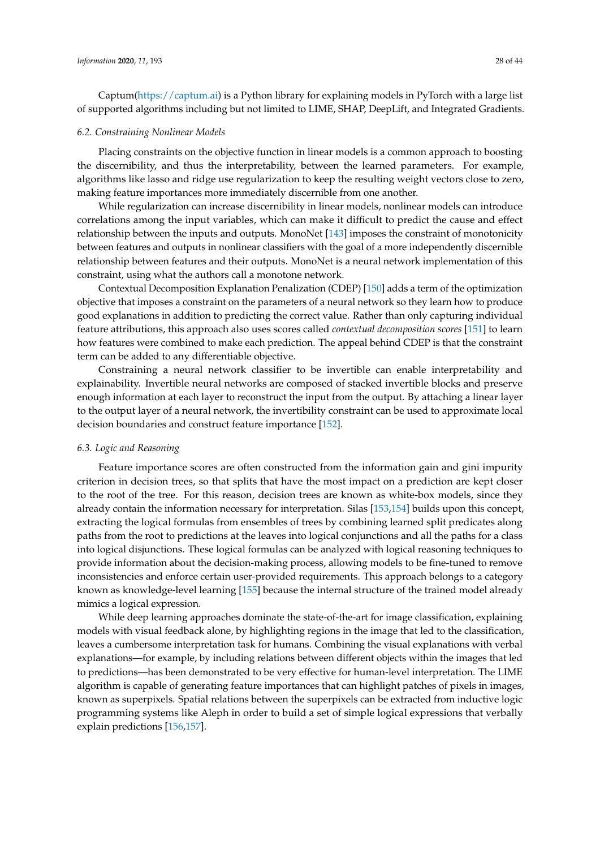Captum[\(https://captum.ai\)](https://captum.ai) is a Python library for explaining models in PyTorch with a large list of supported algorithms including but not limited to LIME, SHAP, DeepLift, and Integrated Gradients.

#### *6.2. Constraining Nonlinear Models*

Placing constraints on the objective function in linear models is a common approach to boosting the discernibility, and thus the interpretability, between the learned parameters. For example, algorithms like lasso and ridge use regularization to keep the resulting weight vectors close to zero, making feature importances more immediately discernible from one another.

While regularization can increase discernibility in linear models, nonlinear models can introduce correlations among the input variables, which can make it difficult to predict the cause and effect relationship between the inputs and outputs. MonoNet [\[143\]](#page-39-1) imposes the constraint of monotonicity between features and outputs in nonlinear classifiers with the goal of a more independently discernible relationship between features and their outputs. MonoNet is a neural network implementation of this constraint, using what the authors call a monotone network.

Contextual Decomposition Explanation Penalization (CDEP) [\[150\]](#page-39-8) adds a term of the optimization objective that imposes a constraint on the parameters of a neural network so they learn how to produce good explanations in addition to predicting the correct value. Rather than only capturing individual feature attributions, this approach also uses scores called *contextual decomposition scores* [\[151\]](#page-39-9) to learn how features were combined to make each prediction. The appeal behind CDEP is that the constraint term can be added to any differentiable objective.

Constraining a neural network classifier to be invertible can enable interpretability and explainability. Invertible neural networks are composed of stacked invertible blocks and preserve enough information at each layer to reconstruct the input from the output. By attaching a linear layer to the output layer of a neural network, the invertibility constraint can be used to approximate local decision boundaries and construct feature importance [\[152\]](#page-39-10).

#### *6.3. Logic and Reasoning*

Feature importance scores are often constructed from the information gain and gini impurity criterion in decision trees, so that splits that have the most impact on a prediction are kept closer to the root of the tree. For this reason, decision trees are known as white-box models, since they already contain the information necessary for interpretation. Silas [\[153](#page-39-11)[,154\]](#page-39-12) builds upon this concept, extracting the logical formulas from ensembles of trees by combining learned split predicates along paths from the root to predictions at the leaves into logical conjunctions and all the paths for a class into logical disjunctions. These logical formulas can be analyzed with logical reasoning techniques to provide information about the decision-making process, allowing models to be fine-tuned to remove inconsistencies and enforce certain user-provided requirements. This approach belongs to a category known as knowledge-level learning [\[155\]](#page-39-13) because the internal structure of the trained model already mimics a logical expression.

While deep learning approaches dominate the state-of-the-art for image classification, explaining models with visual feedback alone, by highlighting regions in the image that led to the classification, leaves a cumbersome interpretation task for humans. Combining the visual explanations with verbal explanations—for example, by including relations between different objects within the images that led to predictions—has been demonstrated to be very effective for human-level interpretation. The LIME algorithm is capable of generating feature importances that can highlight patches of pixels in images, known as superpixels. Spatial relations between the superpixels can be extracted from inductive logic programming systems like Aleph in order to build a set of simple logical expressions that verbally explain predictions [\[156](#page-39-14)[,157\]](#page-39-15).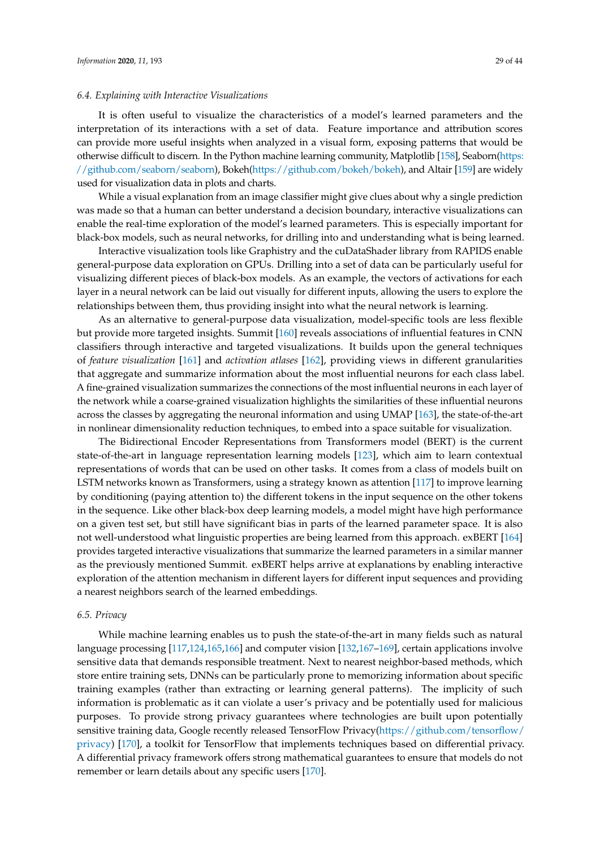# *6.4. Explaining with Interactive Visualizations*

It is often useful to visualize the characteristics of a model's learned parameters and the interpretation of its interactions with a set of data. Feature importance and attribution scores can provide more useful insights when analyzed in a visual form, exposing patterns that would be otherwise difficult to discern. In the Python machine learning community, Matplotlib [\[158\]](#page-39-16), Seaborn[\(https:](https://github.com/seaborn/seaborn) [//github.com/seaborn/seaborn\)](https://github.com/seaborn/seaborn), Bokeh[\(https://github.com/bokeh/bokeh\)](https://github.com/bokeh/bokeh), and Altair [\[159\]](#page-39-17) are widely used for visualization data in plots and charts.

While a visual explanation from an image classifier might give clues about why a single prediction was made so that a human can better understand a decision boundary, interactive visualizations can enable the real-time exploration of the model's learned parameters. This is especially important for black-box models, such as neural networks, for drilling into and understanding what is being learned.

Interactive visualization tools like Graphistry and the cuDataShader library from RAPIDS enable general-purpose data exploration on GPUs. Drilling into a set of data can be particularly useful for visualizing different pieces of black-box models. As an example, the vectors of activations for each layer in a neural network can be laid out visually for different inputs, allowing the users to explore the relationships between them, thus providing insight into what the neural network is learning.

As an alternative to general-purpose data visualization, model-specific tools are less flexible but provide more targeted insights. Summit [\[160\]](#page-39-18) reveals associations of influential features in CNN classifiers through interactive and targeted visualizations. It builds upon the general techniques of *feature visualization* [\[161\]](#page-39-19) and *activation atlases* [\[162\]](#page-39-20), providing views in different granularities that aggregate and summarize information about the most influential neurons for each class label. A fine-grained visualization summarizes the connections of the most influential neurons in each layer of the network while a coarse-grained visualization highlights the similarities of these influential neurons across the classes by aggregating the neuronal information and using UMAP [\[163\]](#page-39-21), the state-of-the-art in nonlinear dimensionality reduction techniques, to embed into a space suitable for visualization.

The Bidirectional Encoder Representations from Transformers model (BERT) is the current state-of-the-art in language representation learning models [\[123\]](#page-38-3), which aim to learn contextual representations of words that can be used on other tasks. It comes from a class of models built on LSTM networks known as Transformers, using a strategy known as attention [\[117\]](#page-37-20) to improve learning by conditioning (paying attention to) the different tokens in the input sequence on the other tokens in the sequence. Like other black-box deep learning models, a model might have high performance on a given test set, but still have significant bias in parts of the learned parameter space. It is also not well-understood what linguistic properties are being learned from this approach. exBERT [\[164\]](#page-39-22) provides targeted interactive visualizations that summarize the learned parameters in a similar manner as the previously mentioned Summit. exBERT helps arrive at explanations by enabling interactive exploration of the attention mechanism in different layers for different input sequences and providing a nearest neighbors search of the learned embeddings.

#### *6.5. Privacy*

While machine learning enables us to push the state-of-the-art in many fields such as natural language processing [\[117,](#page-37-20)[124](#page-38-4)[,165](#page-39-23)[,166\]](#page-40-0) and computer vision [\[132](#page-38-12)[,167](#page-40-1)[–169\]](#page-40-2), certain applications involve sensitive data that demands responsible treatment. Next to nearest neighbor-based methods, which store entire training sets, DNNs can be particularly prone to memorizing information about specific training examples (rather than extracting or learning general patterns). The implicity of such information is problematic as it can violate a user's privacy and be potentially used for malicious purposes. To provide strong privacy guarantees where technologies are built upon potentially sensitive training data, Google recently released TensorFlow Privacy[\(https://github.com/tensorflow/](https://github.com/tensorflow/privacy) [privacy\)](https://github.com/tensorflow/privacy) [\[170\]](#page-40-3), a toolkit for TensorFlow that implements techniques based on differential privacy. A differential privacy framework offers strong mathematical guarantees to ensure that models do not remember or learn details about any specific users [\[170\]](#page-40-3).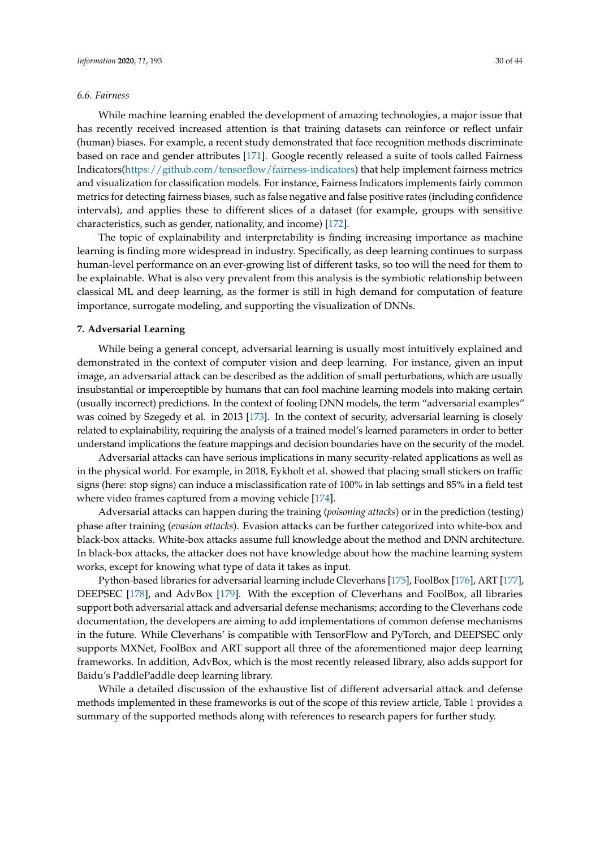### *6.6. Fairness*

While machine learning enabled the development of amazing technologies, a major issue that has recently received increased attention is that training datasets can reinforce or reflect unfair (human) biases. For example, a recent study demonstrated that face recognition methods discriminate based on race and gender attributes [\[171\]](#page-40-4). Google recently released a suite of tools called Fairness Indicators[\(https://github.com/tensorflow/fairness-indicators\)](https://github.com/tensorflow/fairness-indicators) that help implement fairness metrics and visualization for classification models. For instance, Fairness Indicators implements fairly common metrics for detecting fairness biases, such as false negative and false positive rates (including confidence intervals), and applies these to different slices of a dataset (for example, groups with sensitive characteristics, such as gender, nationality, and income) [\[172\]](#page-40-5).

The topic of explainability and interpretability is finding increasing importance as machine learning is finding more widespread in industry. Specifically, as deep learning continues to surpass human-level performance on an ever-growing list of different tasks, so too will the need for them to be explainable. What is also very prevalent from this analysis is the symbiotic relationship between classical ML and deep learning, as the former is still in high demand for computation of feature importance, surrogate modeling, and supporting the visualization of DNNs.

#### <span id="page-29-0"></span>**7. Adversarial Learning**

While being a general concept, adversarial learning is usually most intuitively explained and demonstrated in the context of computer vision and deep learning. For instance, given an input image, an adversarial attack can be described as the addition of small perturbations, which are usually insubstantial or imperceptible by humans that can fool machine learning models into making certain (usually incorrect) predictions. In the context of fooling DNN models, the term "adversarial examples" was coined by Szegedy et al. in 2013 [\[173\]](#page-40-6). In the context of security, adversarial learning is closely related to explainability, requiring the analysis of a trained model's learned parameters in order to better understand implications the feature mappings and decision boundaries have on the security of the model.

Adversarial attacks can have serious implications in many security-related applications as well as in the physical world. For example, in 2018, Eykholt et al. showed that placing small stickers on traffic signs (here: stop signs) can induce a misclassification rate of 100% in lab settings and 85% in a field test where video frames captured from a moving vehicle [\[174\]](#page-40-7).

Adversarial attacks can happen during the training (*poisoning attacks*) or in the prediction (testing) phase after training (*evasion attacks*). Evasion attacks can be further categorized into white-box and black-box attacks. White-box attacks assume full knowledge about the method and DNN architecture. In black-box attacks, the attacker does not have knowledge about how the machine learning system works, except for knowing what type of data it takes as input.

Python-based libraries for adversarial learning include Cleverhans [\[175\]](#page-40-8), FoolBox [\[176\]](#page-40-9), ART [\[177\]](#page-40-10), DEEPSEC [\[178\]](#page-40-11), and AdvBox [\[179\]](#page-40-12). With the exception of Cleverhans and FoolBox, all libraries support both adversarial attack and adversarial defense mechanisms; according to the Cleverhans code documentation, the developers are aiming to add implementations of common defense mechanisms in the future. While Cleverhans' is compatible with TensorFlow and PyTorch, and DEEPSEC only supports MXNet, FoolBox and ART support all three of the aforementioned major deep learning frameworks. In addition, AdvBox, which is the most recently released library, also adds support for Baidu's PaddlePaddle deep learning library.

While a detailed discussion of the exhaustive list of different adversarial attack and defense methods implemented in these frameworks is out of the scope of this review article, Table [1](#page-30-0) provides a summary of the supported methods along with references to research papers for further study.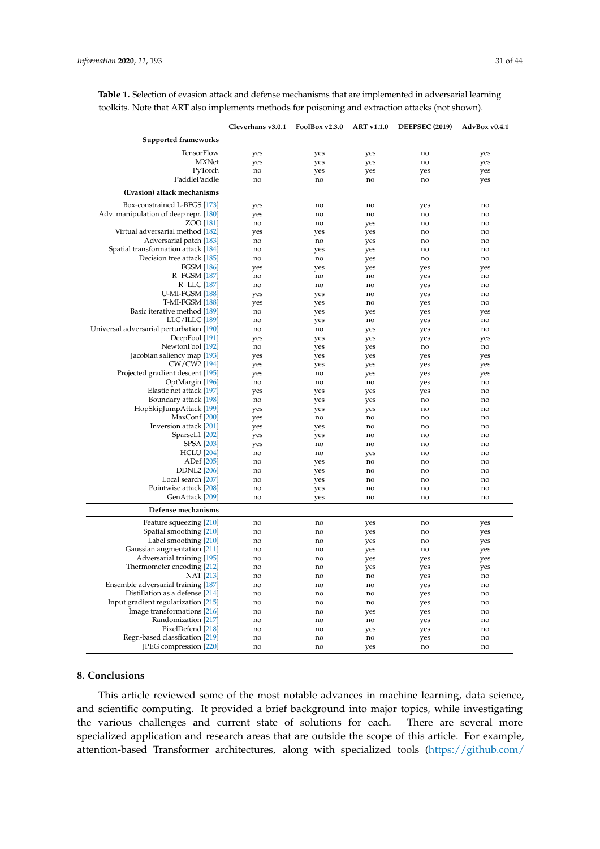|                                                     | Cleverhans v3.0.1 | FoolBox v2.3.0 | <b>ART v1.1.0</b> | <b>DEEPSEC (2019)</b> | AdvBox v0.4.1  |
|-----------------------------------------------------|-------------------|----------------|-------------------|-----------------------|----------------|
| <b>Supported frameworks</b>                         |                   |                |                   |                       |                |
| TensorFlow                                          | yes               | yes            | yes               | no                    | yes            |
| <b>MXNet</b>                                        | yes               | yes            | yes               | no                    | yes            |
| PyTorch                                             | no                | yes            | yes               | yes                   | yes            |
| PaddlePaddle                                        | no                | no             | no                | no                    | yes            |
| (Evasion) attack mechanisms                         |                   |                |                   |                       |                |
| Box-constrained L-BFGS [173]                        | yes               | no             | no                | yes                   | no             |
| Adv. manipulation of deep repr. [180]               | yes               | no             | no                | no                    | no             |
| ZOO [181]                                           | no                | no             | yes               | no                    | no             |
| Virtual adversarial method [182]                    | yes               | yes            | yes               | no                    | no             |
| Adversarial patch [183]                             | no                | no             | yes               | no                    | no             |
| Spatial transformation attack [184]                 | no                | yes            | yes               | no                    | no             |
| Decision tree attack [185]                          | no                | no             | yes               | no                    | no             |
| <b>FGSM</b> [186]                                   | yes               | yes            | yes               | yes                   | yes            |
| R+FGSM [187]                                        | no                | no             | no                | yes                   | no             |
| R+LLC [187]                                         | no                | no             | no                | yes                   | no             |
| <b>U-MI-FGSM</b> [188]                              | yes               | yes            | no                | yes                   | no             |
| <b>T-MI-FGSM</b> [188]                              | yes               | yes            | no                | yes                   | no             |
| Basic iterative method [189]                        | no                | yes            | yes               | yes                   | yes            |
| $LLC/ILLC$ [189]                                    | no                | yes            | no                | yes                   | no             |
| Universal adversarial perturbation [190]            | no                | no             | yes               | yes                   | no             |
| DeepFool <sup>[191]</sup>                           | yes               | yes            | yes               | yes                   | yes            |
| NewtonFool [192]                                    | no                |                |                   | no                    | no             |
| Jacobian saliency map [193]                         |                   | yes            | yes               |                       |                |
| CW/CW2 [194]                                        | yes               | yes            | yes               | yes                   | yes            |
|                                                     | yes               | yes            | yes               | yes                   | yes            |
| Projected gradient descent [195]<br>OptMargin [196] | yes               | no             | yes               | yes                   | yes            |
| Elastic net attack [197]                            | no                | no             | no                | yes                   | no             |
|                                                     | yes               | yes            | yes               | yes                   | no             |
| Boundary attack [198]                               | no                | yes            | yes               | no                    | no             |
| HopSkipJumpAttack [199]                             | yes               | yes            | yes               | no                    | no             |
| MaxConf <sup>[200]</sup>                            | yes               | no             | no                | no                    | no             |
| Inversion attack [201]                              | yes               | yes            | no                | no                    | no             |
| SparseL1 [202]                                      | yes               | yes            | no                | no                    | no             |
| <b>SPSA</b> [203]                                   | yes               | no             | no                | no                    | no             |
| <b>HCLU</b> [204]                                   | no                | no             | yes               | no                    | no             |
| ADef [205]                                          | no                | yes            | no                | no                    | no             |
| <b>DDNL2</b> [206]                                  | no                | yes            | no                | no                    | no             |
| Local search [207]                                  | no                | yes            | no                | no                    | no             |
| Pointwise attack [208]                              | no                | yes            | no                | no                    | no             |
| GenAttack [209]                                     | no                | yes            | no                | no                    | no             |
| Defense mechanisms                                  |                   |                |                   |                       |                |
| Feature squeezing [210]                             | no                | no             | yes               | no                    | yes            |
| Spatial smoothing [210]                             | no                | no             | yes               | no                    | yes            |
| Label smoothing [210]                               | no                | no             | yes               | no                    | yes            |
| Gaussian augmentation [211]                         | no                | no             | yes               | no                    | yes            |
| Adversarial training [195]                          | no                | no             | yes               | yes                   | yes            |
| Thermometer encoding [212]                          | no                | no             | yes               | yes                   | yes            |
| NAT [213]                                           | n <sub>0</sub>    | n <sub>0</sub> | n <sub>0</sub>    | <b>Ves</b>            | n <sub>0</sub> |

NAT [\[213\]](#page-42-4) no no no no yes no

Randomization [\[217\]](#page-42-8) no no no yes no PixelDefend [\[218\]](#page-42-9) no no yes yes no

Regr.-based classfication [\[219\]](#page-42-10) no no no yes no no percent and the compression [220] no no no yes no no

<span id="page-30-0"></span>**Table 1.** Selection of evasion attack and defense mechanisms that are implemented in adversarial learning toolkits. Note that ART also implements methods for poisoning and extraction attacks (not shown).

# **8. Conclusions**

JPEG compression [\[220\]](#page-42-11)

This article reviewed some of the most notable advances in machine learning, data science, and scientific computing. It provided a brief background into major topics, while investigating the various challenges and current state of solutions for each. There are several more specialized application and research areas that are outside the scope of this article. For example, attention-based Transformer architectures, along with specialized tools [\(https://github.com/](https://github.com/huggingface/transformers)

Ensemble adversarial training [\[187\]](#page-40-20) no no no yes no<br>
Distillation as a defense [214] no no no yes no no no yes no no no yes no Distillation as a defense [\[214\]](#page-42-5) no no no yes no po yes no yes no yes no yes no yes no yes no no yes no no yes no no yes no no yes no no yes no no yes no no yes no no yes no no yes no no no yes no no no no no no no no no no Input gradient regularization [\[215\]](#page-42-6) no no no yes no no no yes no no no yes no no no no no no no no no no no no

Image transformations [\[216\]](#page-42-7) no no no yes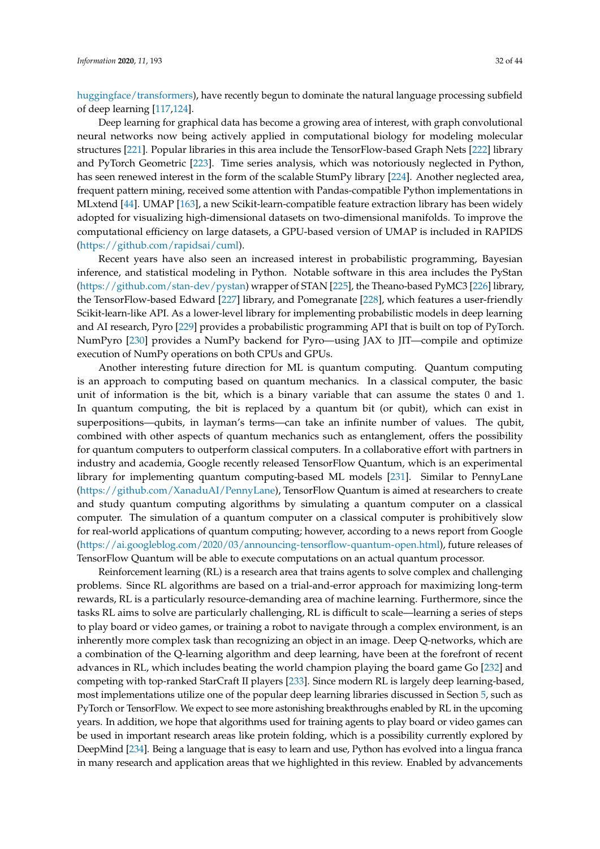[huggingface/transformers\)](https://github.com/huggingface/transformers), have recently begun to dominate the natural language processing subfield of deep learning [\[117](#page-37-20)[,124\]](#page-38-4).

Deep learning for graphical data has become a growing area of interest, with graph convolutional neural networks now being actively applied in computational biology for modeling molecular structures [\[221\]](#page-42-12). Popular libraries in this area include the TensorFlow-based Graph Nets [\[222\]](#page-42-13) library and PyTorch Geometric [\[223\]](#page-42-14). Time series analysis, which was notoriously neglected in Python, has seen renewed interest in the form of the scalable StumPy library [\[224\]](#page-42-15). Another neglected area, frequent pattern mining, received some attention with Pandas-compatible Python implementations in MLxtend [\[44\]](#page-34-17). UMAP [\[163\]](#page-39-21), a new Scikit-learn-compatible feature extraction library has been widely adopted for visualizing high-dimensional datasets on two-dimensional manifolds. To improve the computational efficiency on large datasets, a GPU-based version of UMAP is included in RAPIDS [\(https://github.com/rapidsai/cuml\)](https://github.com/rapidsai/cuml).

Recent years have also seen an increased interest in probabilistic programming, Bayesian inference, and statistical modeling in Python. Notable software in this area includes the PyStan [\(https://github.com/stan-dev/pystan\)](https://github.com/stan-dev/pystan) wrapper of STAN [\[225\]](#page-42-16), the Theano-based PyMC3 [\[226\]](#page-42-17) library, the TensorFlow-based Edward [\[227\]](#page-42-18) library, and Pomegranate [\[228\]](#page-42-19), which features a user-friendly Scikit-learn-like API. As a lower-level library for implementing probabilistic models in deep learning and AI research, Pyro [\[229\]](#page-42-20) provides a probabilistic programming API that is built on top of PyTorch. NumPyro [\[230\]](#page-42-21) provides a NumPy backend for Pyro—using JAX to JIT—compile and optimize execution of NumPy operations on both CPUs and GPUs.

Another interesting future direction for ML is quantum computing. Quantum computing is an approach to computing based on quantum mechanics. In a classical computer, the basic unit of information is the bit, which is a binary variable that can assume the states 0 and 1. In quantum computing, the bit is replaced by a quantum bit (or qubit), which can exist in superpositions—qubits, in layman's terms—can take an infinite number of values. The qubit, combined with other aspects of quantum mechanics such as entanglement, offers the possibility for quantum computers to outperform classical computers. In a collaborative effort with partners in industry and academia, Google recently released TensorFlow Quantum, which is an experimental library for implementing quantum computing-based ML models [\[231\]](#page-42-22). Similar to PennyLane [\(https://github.com/XanaduAI/PennyLane\)](https://github.com/XanaduAI/PennyLane), TensorFlow Quantum is aimed at researchers to create and study quantum computing algorithms by simulating a quantum computer on a classical computer. The simulation of a quantum computer on a classical computer is prohibitively slow for real-world applications of quantum computing; however, according to a news report from Google [\(https://ai.googleblog.com/2020/03/announcing-tensorflow-quantum-open.html\)](https://ai.googleblog.com/2020/03/announcing-tensorflow-quantum-open.html), future releases of TensorFlow Quantum will be able to execute computations on an actual quantum processor.

Reinforcement learning (RL) is a research area that trains agents to solve complex and challenging problems. Since RL algorithms are based on a trial-and-error approach for maximizing long-term rewards, RL is a particularly resource-demanding area of machine learning. Furthermore, since the tasks RL aims to solve are particularly challenging, RL is difficult to scale—learning a series of steps to play board or video games, or training a robot to navigate through a complex environment, is an inherently more complex task than recognizing an object in an image. Deep Q-networks, which are a combination of the Q-learning algorithm and deep learning, have been at the forefront of recent advances in RL, which includes beating the world champion playing the board game Go [\[232\]](#page-43-0) and competing with top-ranked StarCraft II players [\[233\]](#page-43-1). Since modern RL is largely deep learning-based, most implementations utilize one of the popular deep learning libraries discussed in Section [5,](#page-20-0) such as PyTorch or TensorFlow. We expect to see more astonishing breakthroughs enabled by RL in the upcoming years. In addition, we hope that algorithms used for training agents to play board or video games can be used in important research areas like protein folding, which is a possibility currently explored by DeepMind [\[234\]](#page-43-2). Being a language that is easy to learn and use, Python has evolved into a lingua franca in many research and application areas that we highlighted in this review. Enabled by advancements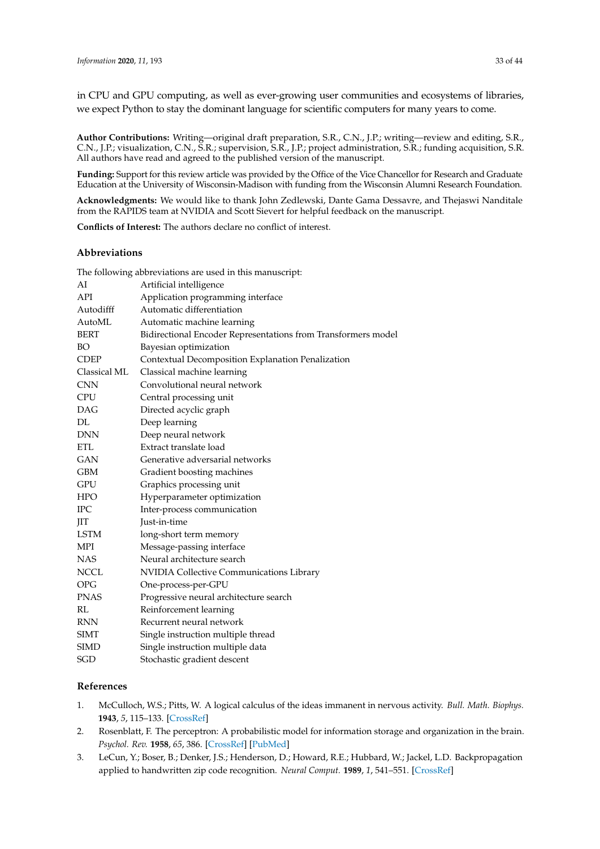in CPU and GPU computing, as well as ever-growing user communities and ecosystems of libraries, we expect Python to stay the dominant language for scientific computers for many years to come.

**Author Contributions:** Writing—original draft preparation, S.R., C.N., J.P.; writing—review and editing, S.R., C.N., J.P.; visualization, C.N., S.R.; supervision, S.R., J.P.; project administration, S.R.; funding acquisition, S.R. All authors have read and agreed to the published version of the manuscript.

**Funding:** Support for this review article was provided by the Office of the Vice Chancellor for Research and Graduate Education at the University of Wisconsin-Madison with funding from the Wisconsin Alumni Research Foundation.

**Acknowledgments:** We would like to thank John Zedlewski, Dante Gama Dessavre, and Thejaswi Nanditale from the RAPIDS team at NVIDIA and Scott Sievert for helpful feedback on the manuscript.

**Conflicts of Interest:** The authors declare no conflict of interest.

## **Abbreviations**

|              | The following abbreviations are used in this manuscript:      |
|--------------|---------------------------------------------------------------|
| AI           | Artificial intelligence                                       |
| API          | Application programming interface                             |
| Autodifff    | Automatic differentiation                                     |
| AutoML       | Automatic machine learning                                    |
| <b>BERT</b>  | Bidirectional Encoder Representations from Transformers model |
| <b>BO</b>    | Bayesian optimization                                         |
| <b>CDEP</b>  | Contextual Decomposition Explanation Penalization             |
| Classical ML | Classical machine learning                                    |
| <b>CNN</b>   | Convolutional neural network                                  |
| <b>CPU</b>   | Central processing unit                                       |
| <b>DAG</b>   | Directed acyclic graph                                        |
| DL           | Deep learning                                                 |
| <b>DNN</b>   | Deep neural network                                           |
| <b>ETL</b>   | Extract translate load                                        |
| GAN          | Generative adversarial networks                               |
| <b>GBM</b>   | Gradient boosting machines                                    |
| GPU          | Graphics processing unit                                      |
| HPO.         | Hyperparameter optimization                                   |
| <b>IPC</b>   | Inter-process communication                                   |
| JIT          | Just-in-time                                                  |
| LSTM         | long-short term memory                                        |
| MPI          | Message-passing interface                                     |
| <b>NAS</b>   | Neural architecture search                                    |
| NCCL         | NVIDIA Collective Communications Library                      |
| <b>OPG</b>   | One-process-per-GPU                                           |
| <b>PNAS</b>  | Progressive neural architecture search                        |
| RL           | Reinforcement learning                                        |
| <b>RNN</b>   | Recurrent neural network                                      |
| SIMT         | Single instruction multiple thread                            |
| <b>SIMD</b>  | Single instruction multiple data                              |
| SGD          | Stochastic gradient descent                                   |
|              |                                                               |

# **References**

- <span id="page-32-0"></span>1. McCulloch, W.S.; Pitts, W. A logical calculus of the ideas immanent in nervous activity. *Bull. Math. Biophys.* **1943**, *5*, 115–133. [\[CrossRef\]](http://dx.doi.org/10.1007/BF02478259)
- <span id="page-32-1"></span>2. Rosenblatt, F. The perceptron: A probabilistic model for information storage and organization in the brain. *Psychol. Rev.* **1958**, *65*, 386. [\[CrossRef\]](http://dx.doi.org/10.1037/h0042519) [\[PubMed\]](http://www.ncbi.nlm.nih.gov/pubmed/13602029)
- <span id="page-32-2"></span>3. LeCun, Y.; Boser, B.; Denker, J.S.; Henderson, D.; Howard, R.E.; Hubbard, W.; Jackel, L.D. Backpropagation applied to handwritten zip code recognition. *Neural Comput.* **1989**, *1*, 541–551. [\[CrossRef\]](http://dx.doi.org/10.1162/neco.1989.1.4.541)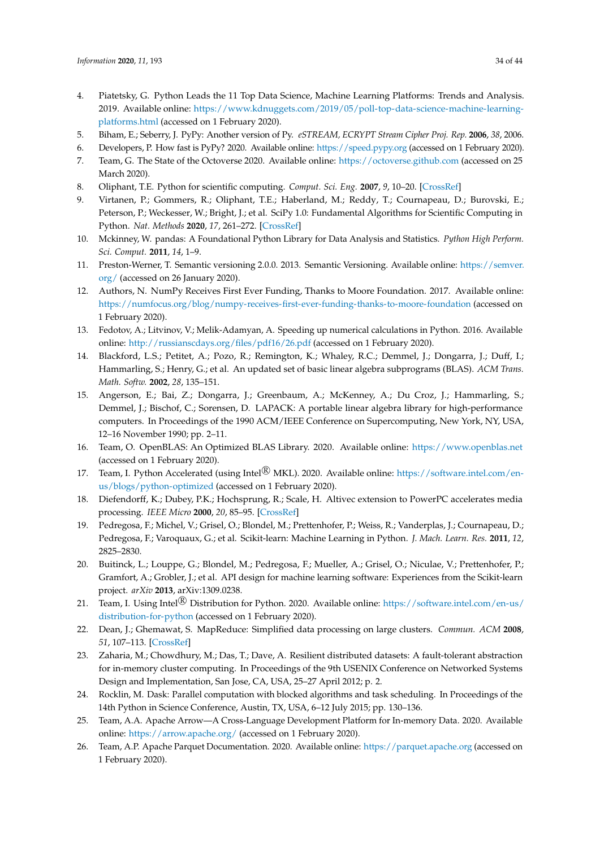- <span id="page-33-0"></span>4. Piatetsky, G. Python Leads the 11 Top Data Science, Machine Learning Platforms: Trends and Analysis. 2019. Available online: [https://www.kdnuggets.com/2019/05/poll-top-data-science-machine-learning](https://www.kdnuggets.com/2019/05/poll-top-data-science-machine-learning-platforms.html)[platforms.html](https://www.kdnuggets.com/2019/05/poll-top-data-science-machine-learning-platforms.html) (accessed on 1 February 2020).
- <span id="page-33-1"></span>5. Biham, E.; Seberry, J. PyPy: Another version of Py. *eSTREAM, ECRYPT Stream Cipher Proj. Rep.* **2006**, *38*, 2006.
- <span id="page-33-2"></span>6. Developers, P. How fast is PyPy? 2020. Available online: <https://speed.pypy.org> (accessed on 1 February 2020).
- <span id="page-33-3"></span>7. Team, G. The State of the Octoverse 2020. Available online: <https://octoverse.github.com> (accessed on 25 March 2020).
- <span id="page-33-4"></span>8. Oliphant, T.E. Python for scientific computing. *Comput. Sci. Eng.* **2007**, *9*, 10–20. [\[CrossRef\]](http://dx.doi.org/10.1109/MCSE.2007.58)
- <span id="page-33-5"></span>9. Virtanen, P.; Gommers, R.; Oliphant, T.E.; Haberland, M.; Reddy, T.; Cournapeau, D.; Burovski, E.; Peterson, P.; Weckesser, W.; Bright, J.; et al. SciPy 1.0: Fundamental Algorithms for Scientific Computing in Python. *Nat. Methods* **2020**, *17*, 261–272. [\[CrossRef\]](http://dx.doi.org/10.1038/s41592-019-0686-2)
- <span id="page-33-6"></span>10. Mckinney, W. pandas: A Foundational Python Library for Data Analysis and Statistics. *Python High Perform. Sci. Comput.* **2011**, *14*, 1–9.
- <span id="page-33-7"></span>11. Preston-Werner, T. Semantic versioning 2.0.0. 2013. Semantic Versioning. Available online: [https://semver.](https://semver.org/) [org/](https://semver.org/) (accessed on 26 January 2020).
- <span id="page-33-8"></span>12. Authors, N. NumPy Receives First Ever Funding, Thanks to Moore Foundation. 2017. Available online: <https://numfocus.org/blog/numpy-receives-first-ever-funding-thanks-to-moore-foundation> (accessed on 1 February 2020).
- <span id="page-33-9"></span>13. Fedotov, A.; Litvinov, V.; Melik-Adamyan, A. Speeding up numerical calculations in Python. 2016. Available online: <http://russianscdays.org/files/pdf16/26.pdf> (accessed on 1 February 2020).
- <span id="page-33-10"></span>14. Blackford, L.S.; Petitet, A.; Pozo, R.; Remington, K.; Whaley, R.C.; Demmel, J.; Dongarra, J.; Duff, I.; Hammarling, S.; Henry, G.; et al. An updated set of basic linear algebra subprograms (BLAS). *ACM Trans. Math. Softw.* **2002**, *28*, 135–151.
- <span id="page-33-11"></span>15. Angerson, E.; Bai, Z.; Dongarra, J.; Greenbaum, A.; McKenney, A.; Du Croz, J.; Hammarling, S.; Demmel, J.; Bischof, C.; Sorensen, D. LAPACK: A portable linear algebra library for high-performance computers. In Proceedings of the 1990 ACM/IEEE Conference on Supercomputing, New York, NY, USA, 12–16 November 1990; pp. 2–11.
- <span id="page-33-12"></span>16. Team, O. OpenBLAS: An Optimized BLAS Library. 2020. Available online: <https://www.openblas.net> (accessed on 1 February 2020).
- <span id="page-33-13"></span>17. Team, I. Python Accelerated (using Intel $\circledR$  MKL). 2020. Available online: [https://software.intel.com/en](https://software.intel.com/en-us/blogs/python-optimized)[us/blogs/python-optimized](https://software.intel.com/en-us/blogs/python-optimized) (accessed on 1 February 2020).
- <span id="page-33-14"></span>18. Diefendorff, K.; Dubey, P.K.; Hochsprung, R.; Scale, H. Altivec extension to PowerPC accelerates media processing. *IEEE Micro* **2000**, *20*, 85–95. [\[CrossRef\]](http://dx.doi.org/10.1109/40.848475)
- <span id="page-33-15"></span>19. Pedregosa, F.; Michel, V.; Grisel, O.; Blondel, M.; Prettenhofer, P.; Weiss, R.; Vanderplas, J.; Cournapeau, D.; Pedregosa, F.; Varoquaux, G.; et al. Scikit-learn: Machine Learning in Python. *J. Mach. Learn. Res.* **2011**, *12*, 2825–2830.
- <span id="page-33-16"></span>20. Buitinck, L.; Louppe, G.; Blondel, M.; Pedregosa, F.; Mueller, A.; Grisel, O.; Niculae, V.; Prettenhofer, P.; Gramfort, A.; Grobler, J.; et al. API design for machine learning software: Experiences from the Scikit-learn project. *arXiv* **2013**, arXiv:1309.0238.
- <span id="page-33-17"></span>21. Team, I. Using Intel<sup>®</sup> Distribution for Python. 2020. Available online: [https://software.intel.com/en-us/](https://software.intel.com/en-us/distribution-for-python) [distribution-for-python](https://software.intel.com/en-us/distribution-for-python) (accessed on 1 February 2020).
- <span id="page-33-18"></span>22. Dean, J.; Ghemawat, S. MapReduce: Simplified data processing on large clusters. *Commun. ACM* **2008**, *51*, 107–113. [\[CrossRef\]](http://dx.doi.org/10.1145/1327452.1327492)
- <span id="page-33-19"></span>23. Zaharia, M.; Chowdhury, M.; Das, T.; Dave, A. Resilient distributed datasets: A fault-tolerant abstraction for in-memory cluster computing. In Proceedings of the 9th USENIX Conference on Networked Systems Design and Implementation, San Jose, CA, USA, 25–27 April 2012; p. 2.
- <span id="page-33-20"></span>24. Rocklin, M. Dask: Parallel computation with blocked algorithms and task scheduling. In Proceedings of the 14th Python in Science Conference, Austin, TX, USA, 6–12 July 2015; pp. 130–136.
- <span id="page-33-21"></span>25. Team, A.A. Apache Arrow—A Cross-Language Development Platform for In-memory Data. 2020. Available online: <https://arrow.apache.org/> (accessed on 1 February 2020).
- <span id="page-33-22"></span>26. Team, A.P. Apache Parquet Documentation. 2020. Available online: <https://parquet.apache.org> (accessed on 1 February 2020).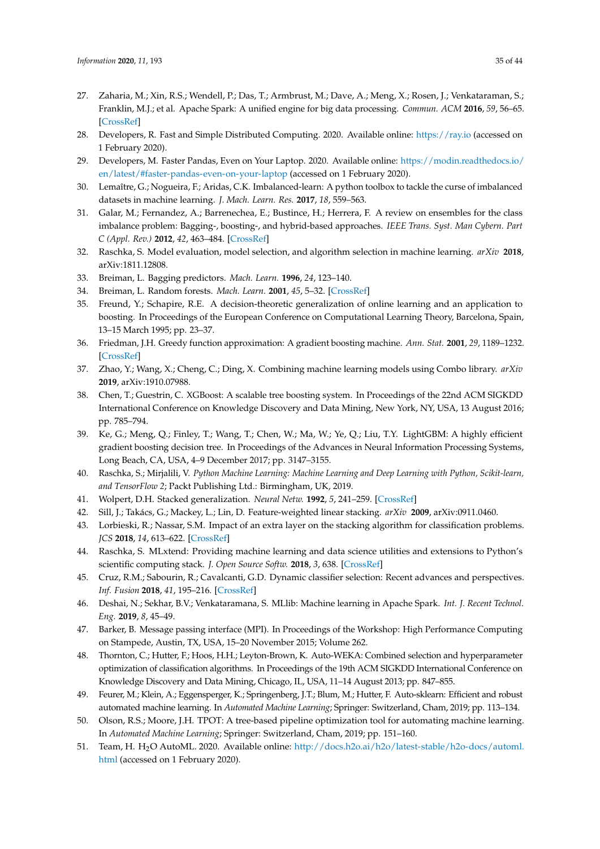- <span id="page-34-0"></span>27. Zaharia, M.; Xin, R.S.; Wendell, P.; Das, T.; Armbrust, M.; Dave, A.; Meng, X.; Rosen, J.; Venkataraman, S.; Franklin, M.J.; et al. Apache Spark: A unified engine for big data processing. *Commun. ACM* **2016**, *59*, 56–65. [\[CrossRef\]](http://dx.doi.org/10.1145/2934664)
- <span id="page-34-1"></span>28. Developers, R. Fast and Simple Distributed Computing. 2020. Available online: <https://ray.io> (accessed on 1 February 2020).
- <span id="page-34-2"></span>29. Developers, M. Faster Pandas, Even on Your Laptop. 2020. Available online: [https://modin.readthedocs.io/](https://modin.readthedocs.io/en/latest/#faster-pandas-even-on-your-laptop) [en/latest/#faster-pandas-even-on-your-laptop](https://modin.readthedocs.io/en/latest/#faster-pandas-even-on-your-laptop) (accessed on 1 February 2020).
- <span id="page-34-3"></span>30. Lemaître, G.; Nogueira, F.; Aridas, C.K. Imbalanced-learn: A python toolbox to tackle the curse of imbalanced datasets in machine learning. *J. Mach. Learn. Res.* **2017**, *18*, 559–563.
- <span id="page-34-4"></span>31. Galar, M.; Fernandez, A.; Barrenechea, E.; Bustince, H.; Herrera, F. A review on ensembles for the class imbalance problem: Bagging-, boosting-, and hybrid-based approaches. *IEEE Trans. Syst. Man Cybern. Part C (Appl. Rev.)* **2012**, *42*, 463–484. [\[CrossRef\]](http://dx.doi.org/10.1109/TSMCC.2011.2161285)
- <span id="page-34-5"></span>32. Raschka, S. Model evaluation, model selection, and algorithm selection in machine learning. *arXiv* **2018**, arXiv:1811.12808.
- <span id="page-34-6"></span>33. Breiman, L. Bagging predictors. *Mach. Learn.* **1996**, *24*, 123–140.
- <span id="page-34-7"></span>34. Breiman, L. Random forests. *Mach. Learn.* **2001**, *45*, 5–32. [\[CrossRef\]](http://dx.doi.org/10.1023/A:1010933404324)
- <span id="page-34-8"></span>35. Freund, Y.; Schapire, R.E. A decision-theoretic generalization of online learning and an application to boosting. In Proceedings of the European Conference on Computational Learning Theory, Barcelona, Spain, 13–15 March 1995; pp. 23–37.
- <span id="page-34-9"></span>36. Friedman, J.H. Greedy function approximation: A gradient boosting machine. *Ann. Stat.* **2001**, *29*, 1189–1232. [\[CrossRef\]](http://dx.doi.org/10.1214/aos/1013203451)
- <span id="page-34-10"></span>37. Zhao, Y.; Wang, X.; Cheng, C.; Ding, X. Combining machine learning models using Combo library. *arXiv* **2019**, arXiv:1910.07988.
- <span id="page-34-11"></span>38. Chen, T.; Guestrin, C. XGBoost: A scalable tree boosting system. In Proceedings of the 22nd ACM SIGKDD International Conference on Knowledge Discovery and Data Mining, New York, NY, USA, 13 August 2016; pp. 785–794.
- <span id="page-34-12"></span>39. Ke, G.; Meng, Q.; Finley, T.; Wang, T.; Chen, W.; Ma, W.; Ye, Q.; Liu, T.Y. LightGBM: A highly efficient gradient boosting decision tree. In Proceedings of the Advances in Neural Information Processing Systems, Long Beach, CA, USA, 4–9 December 2017; pp. 3147–3155.
- <span id="page-34-13"></span>40. Raschka, S.; Mirjalili, V. *Python Machine Learning: Machine Learning and Deep Learning with Python, Scikit-learn, and TensorFlow 2*; Packt Publishing Ltd.: Birmingham, UK, 2019.
- <span id="page-34-14"></span>41. Wolpert, D.H. Stacked generalization. *Neural Netw.* **1992**, *5*, 241–259. [\[CrossRef\]](http://dx.doi.org/10.1016/S0893-6080(05)80023-1)
- <span id="page-34-15"></span>42. Sill, J.; Takács, G.; Mackey, L.; Lin, D. Feature-weighted linear stacking. *arXiv* **2009**, arXiv:0911.0460.
- <span id="page-34-16"></span>43. Lorbieski, R.; Nassar, S.M. Impact of an extra layer on the stacking algorithm for classification problems. *JCS* **2018**, *14*, 613–622. [\[CrossRef\]](http://dx.doi.org/10.3844/jcssp.2018.613.622)
- <span id="page-34-17"></span>44. Raschka, S. MLxtend: Providing machine learning and data science utilities and extensions to Python's scientific computing stack. *J. Open Source Softw.* **2018**, *3*, 638. [\[CrossRef\]](http://dx.doi.org/10.21105/joss.00638)
- <span id="page-34-18"></span>45. Cruz, R.M.; Sabourin, R.; Cavalcanti, G.D. Dynamic classifier selection: Recent advances and perspectives. *Inf. Fusion* **2018**, *41*, 195–216. [\[CrossRef\]](http://dx.doi.org/10.1016/j.inffus.2017.09.010)
- <span id="page-34-19"></span>46. Deshai, N.; Sekhar, B.V.; Venkataramana, S. MLlib: Machine learning in Apache Spark. *Int. J. Recent Technol. Eng.* **2019**, *8*, 45–49.
- <span id="page-34-20"></span>47. Barker, B. Message passing interface (MPI). In Proceedings of the Workshop: High Performance Computing on Stampede, Austin, TX, USA, 15–20 November 2015; Volume 262.
- <span id="page-34-21"></span>48. Thornton, C.; Hutter, F.; Hoos, H.H.; Leyton-Brown, K. Auto-WEKA: Combined selection and hyperparameter optimization of classification algorithms. In Proceedings of the 19th ACM SIGKDD International Conference on Knowledge Discovery and Data Mining, Chicago, IL, USA, 11–14 August 2013; pp. 847–855.
- <span id="page-34-22"></span>49. Feurer, M.; Klein, A.; Eggensperger, K.; Springenberg, J.T.; Blum, M.; Hutter, F. Auto-sklearn: Efficient and robust automated machine learning. In *Automated Machine Learning*; Springer: Switzerland, Cham, 2019; pp. 113–134.
- <span id="page-34-23"></span>50. Olson, R.S.; Moore, J.H. TPOT: A tree-based pipeline optimization tool for automating machine learning. In *Automated Machine Learning*; Springer: Switzerland, Cham, 2019; pp. 151–160.
- <span id="page-34-24"></span>51. Team, H. H2O AutoML. 2020. Available online: [http://docs.h2o.ai/h2o/latest-stable/h2o-docs/automl.](http://docs.h2o.ai/h2o/latest-stable/h2o-docs/automl.html) [html](http://docs.h2o.ai/h2o/latest-stable/h2o-docs/automl.html) (accessed on 1 February 2020).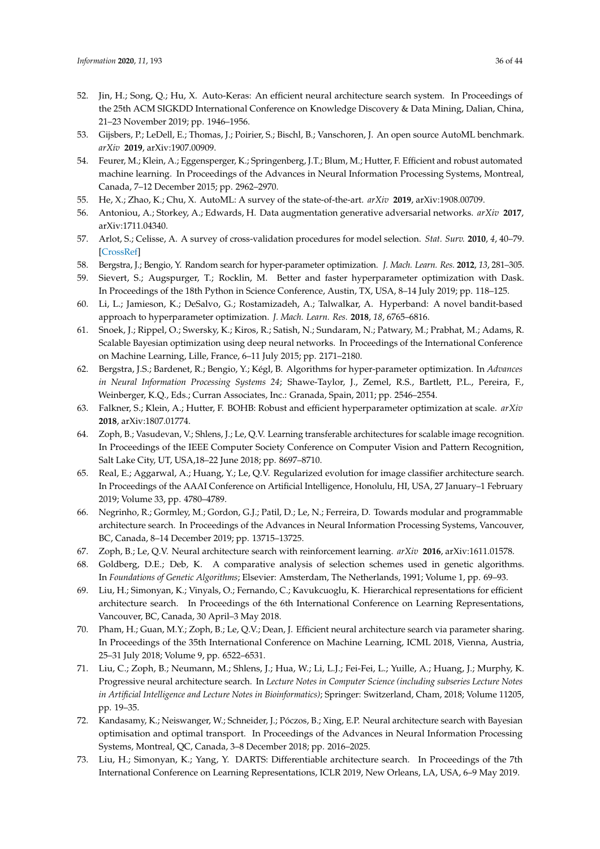- <span id="page-35-0"></span>52. Jin, H.; Song, Q.; Hu, X. Auto-Keras: An efficient neural architecture search system. In Proceedings of the 25th ACM SIGKDD International Conference on Knowledge Discovery & Data Mining, Dalian, China, 21–23 November 2019; pp. 1946–1956.
- <span id="page-35-1"></span>53. Gijsbers, P.; LeDell, E.; Thomas, J.; Poirier, S.; Bischl, B.; Vanschoren, J. An open source AutoML benchmark. *arXiv* **2019**, arXiv:1907.00909.
- <span id="page-35-2"></span>54. Feurer, M.; Klein, A.; Eggensperger, K.; Springenberg, J.T.; Blum, M.; Hutter, F. Efficient and robust automated machine learning. In Proceedings of the Advances in Neural Information Processing Systems, Montreal, Canada, 7–12 December 2015; pp. 2962–2970.
- <span id="page-35-3"></span>55. He, X.; Zhao, K.; Chu, X. AutoML: A survey of the state-of-the-art. *arXiv* **2019**, arXiv:1908.00709.
- <span id="page-35-4"></span>56. Antoniou, A.; Storkey, A.; Edwards, H. Data augmentation generative adversarial networks. *arXiv* **2017**, arXiv:1711.04340.
- <span id="page-35-5"></span>57. Arlot, S.; Celisse, A. A survey of cross-validation procedures for model selection. *Stat. Surv.* **2010**, *4*, 40–79. [\[CrossRef\]](http://dx.doi.org/10.1214/09-SS054)
- <span id="page-35-6"></span>58. Bergstra, J.; Bengio, Y. Random search for hyper-parameter optimization. *J. Mach. Learn. Res.* **2012**, *13*, 281–305.
- <span id="page-35-7"></span>59. Sievert, S.; Augspurger, T.; Rocklin, M. Better and faster hyperparameter optimization with Dask. In Proceedings of the 18th Python in Science Conference, Austin, TX, USA, 8–14 July 2019; pp. 118–125.
- <span id="page-35-8"></span>60. Li, L.; Jamieson, K.; DeSalvo, G.; Rostamizadeh, A.; Talwalkar, A. Hyperband: A novel bandit-based approach to hyperparameter optimization. *J. Mach. Learn. Res.* **2018**, *18*, 6765–6816.
- <span id="page-35-9"></span>61. Snoek, J.; Rippel, O.; Swersky, K.; Kiros, R.; Satish, N.; Sundaram, N.; Patwary, M.; Prabhat, M.; Adams, R. Scalable Bayesian optimization using deep neural networks. In Proceedings of the International Conference on Machine Learning, Lille, France, 6–11 July 2015; pp. 2171–2180.
- <span id="page-35-10"></span>62. Bergstra, J.S.; Bardenet, R.; Bengio, Y.; Kégl, B. Algorithms for hyper-parameter optimization. In *Advances in Neural Information Processing Systems 24*; Shawe-Taylor, J., Zemel, R.S., Bartlett, P.L., Pereira, F., Weinberger, K.Q., Eds.; Curran Associates, Inc.: Granada, Spain, 2011; pp. 2546–2554.
- <span id="page-35-11"></span>63. Falkner, S.; Klein, A.; Hutter, F. BOHB: Robust and efficient hyperparameter optimization at scale. *arXiv* **2018**, arXiv:1807.01774.
- <span id="page-35-12"></span>64. Zoph, B.; Vasudevan, V.; Shlens, J.; Le, Q.V. Learning transferable architectures for scalable image recognition. In Proceedings of the IEEE Computer Society Conference on Computer Vision and Pattern Recognition, Salt Lake City, UT, USA,18–22 June 2018; pp. 8697–8710.
- <span id="page-35-13"></span>65. Real, E.; Aggarwal, A.; Huang, Y.; Le, Q.V. Regularized evolution for image classifier architecture search. In Proceedings of the AAAI Conference on Artificial Intelligence, Honolulu, HI, USA, 27 January–1 February 2019; Volume 33, pp. 4780–4789.
- <span id="page-35-14"></span>66. Negrinho, R.; Gormley, M.; Gordon, G.J.; Patil, D.; Le, N.; Ferreira, D. Towards modular and programmable architecture search. In Proceedings of the Advances in Neural Information Processing Systems, Vancouver, BC, Canada, 8–14 December 2019; pp. 13715–13725.
- <span id="page-35-15"></span>67. Zoph, B.; Le, Q.V. Neural architecture search with reinforcement learning. *arXiv* **2016**, arXiv:1611.01578.
- <span id="page-35-16"></span>68. Goldberg, D.E.; Deb, K. A comparative analysis of selection schemes used in genetic algorithms. In *Foundations of Genetic Algorithms*; Elsevier: Amsterdam, The Netherlands, 1991; Volume 1, pp. 69–93.
- <span id="page-35-17"></span>69. Liu, H.; Simonyan, K.; Vinyals, O.; Fernando, C.; Kavukcuoglu, K. Hierarchical representations for efficient architecture search. In Proceedings of the 6th International Conference on Learning Representations, Vancouver, BC, Canada, 30 April–3 May 2018.
- <span id="page-35-18"></span>70. Pham, H.; Guan, M.Y.; Zoph, B.; Le, Q.V.; Dean, J. Efficient neural architecture search via parameter sharing. In Proceedings of the 35th International Conference on Machine Learning, ICML 2018, Vienna, Austria, 25–31 July 2018; Volume 9, pp. 6522–6531.
- <span id="page-35-19"></span>71. Liu, C.; Zoph, B.; Neumann, M.; Shlens, J.; Hua, W.; Li, L.J.; Fei-Fei, L.; Yuille, A.; Huang, J.; Murphy, K. Progressive neural architecture search. In *Lecture Notes in Computer Science (including subseries Lecture Notes in Artificial Intelligence and Lecture Notes in Bioinformatics)*; Springer: Switzerland, Cham, 2018; Volume 11205, pp. 19–35.
- <span id="page-35-20"></span>72. Kandasamy, K.; Neiswanger, W.; Schneider, J.; Póczos, B.; Xing, E.P. Neural architecture search with Bayesian optimisation and optimal transport. In Proceedings of the Advances in Neural Information Processing Systems, Montreal, QC, Canada, 3–8 December 2018; pp. 2016–2025.
- <span id="page-35-21"></span>73. Liu, H.; Simonyan, K.; Yang, Y. DARTS: Differentiable architecture search. In Proceedings of the 7th International Conference on Learning Representations, ICLR 2019, New Orleans, LA, USA, 6–9 May 2019.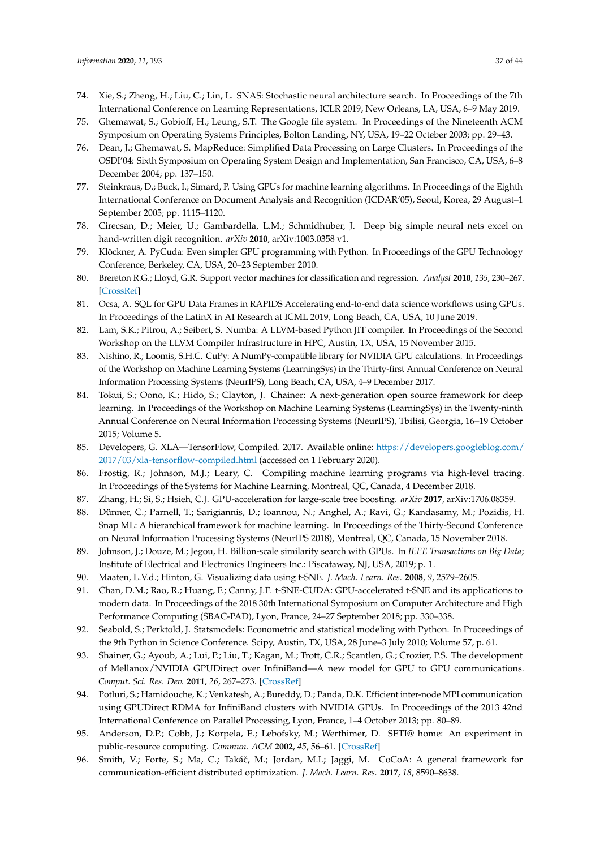- <span id="page-36-0"></span>74. Xie, S.; Zheng, H.; Liu, C.; Lin, L. SNAS: Stochastic neural architecture search. In Proceedings of the 7th International Conference on Learning Representations, ICLR 2019, New Orleans, LA, USA, 6–9 May 2019.
- <span id="page-36-1"></span>75. Ghemawat, S.; Gobioff, H.; Leung, S.T. The Google file system. In Proceedings of the Nineteenth ACM Symposium on Operating Systems Principles, Bolton Landing, NY, USA, 19–22 Octeber 2003; pp. 29–43.
- <span id="page-36-2"></span>76. Dean, J.; Ghemawat, S. MapReduce: Simplified Data Processing on Large Clusters. In Proceedings of the OSDI'04: Sixth Symposium on Operating System Design and Implementation, San Francisco, CA, USA, 6–8 December 2004; pp. 137–150.
- <span id="page-36-3"></span>77. Steinkraus, D.; Buck, I.; Simard, P. Using GPUs for machine learning algorithms. In Proceedings of the Eighth International Conference on Document Analysis and Recognition (ICDAR'05), Seoul, Korea, 29 August–1 September 2005; pp. 1115–1120.
- <span id="page-36-4"></span>78. Cirecsan, D.; Meier, U.; Gambardella, L.M.; Schmidhuber, J. Deep big simple neural nets excel on hand-written digit recognition. *arXiv* **2010**, arXiv:1003.0358 v1.
- <span id="page-36-5"></span>79. Klöckner, A. PyCuda: Even simpler GPU programming with Python. In Proceedings of the GPU Technology Conference, Berkeley, CA, USA, 20–23 September 2010.
- <span id="page-36-6"></span>80. Brereton R.G.; Lloyd, G.R. Support vector machines for classification and regression. *Analyst* **2010**, *135*, 230–267. [\[CrossRef\]](http://dx.doi.org/10.1039/B918972F)
- <span id="page-36-7"></span>81. Ocsa, A. SQL for GPU Data Frames in RAPIDS Accelerating end-to-end data science workflows using GPUs. In Proceedings of the LatinX in AI Research at ICML 2019, Long Beach, CA, USA, 10 June 2019.
- <span id="page-36-8"></span>82. Lam, S.K.; Pitrou, A.; Seibert, S. Numba: A LLVM-based Python JIT compiler. In Proceedings of the Second Workshop on the LLVM Compiler Infrastructure in HPC, Austin, TX, USA, 15 November 2015.
- <span id="page-36-9"></span>83. Nishino, R.; Loomis, S.H.C. CuPy: A NumPy-compatible library for NVIDIA GPU calculations. In Proceedings of the Workshop on Machine Learning Systems (LearningSys) in the Thirty-first Annual Conference on Neural Information Processing Systems (NeurIPS), Long Beach, CA, USA, 4–9 December 2017.
- <span id="page-36-10"></span>84. Tokui, S.; Oono, K.; Hido, S.; Clayton, J. Chainer: A next-generation open source framework for deep learning. In Proceedings of the Workshop on Machine Learning Systems (LearningSys) in the Twenty-ninth Annual Conference on Neural Information Processing Systems (NeurIPS), Tbilisi, Georgia, 16–19 October 2015; Volume 5.
- <span id="page-36-11"></span>85. Developers, G. XLA—TensorFlow, Compiled. 2017. Available online: [https://developers.googleblog.com/](https://developers.googleblog.com/2017/03/xla-tensorflow-compiled.html) [2017/03/xla-tensorflow-compiled.html](https://developers.googleblog.com/2017/03/xla-tensorflow-compiled.html) (accessed on 1 February 2020).
- <span id="page-36-12"></span>86. Frostig, R.; Johnson, M.J.; Leary, C. Compiling machine learning programs via high-level tracing. In Proceedings of the Systems for Machine Learning, Montreal, QC, Canada, 4 December 2018.
- <span id="page-36-13"></span>87. Zhang, H.; Si, S.; Hsieh, C.J. GPU-acceleration for large-scale tree boosting. *arXiv* **2017**, arXiv:1706.08359.
- <span id="page-36-14"></span>88. Dünner, C.; Parnell, T.; Sarigiannis, D.; Ioannou, N.; Anghel, A.; Ravi, G.; Kandasamy, M.; Pozidis, H. Snap ML: A hierarchical framework for machine learning. In Proceedings of the Thirty-Second Conference on Neural Information Processing Systems (NeurIPS 2018), Montreal, QC, Canada, 15 November 2018.
- <span id="page-36-15"></span>89. Johnson, J.; Douze, M.; Jegou, H. Billion-scale similarity search with GPUs. In *IEEE Transactions on Big Data*; Institute of Electrical and Electronics Engineers Inc.: Piscataway, NJ, USA, 2019; p. 1.
- <span id="page-36-16"></span>90. Maaten, L.V.d.; Hinton, G. Visualizing data using t-SNE. *J. Mach. Learn. Res.* **2008**, *9*, 2579–2605.
- <span id="page-36-17"></span>91. Chan, D.M.; Rao, R.; Huang, F.; Canny, J.F. t-SNE-CUDA: GPU-accelerated t-SNE and its applications to modern data. In Proceedings of the 2018 30th International Symposium on Computer Architecture and High Performance Computing (SBAC-PAD), Lyon, France, 24–27 September 2018; pp. 330–338.
- <span id="page-36-18"></span>92. Seabold, S.; Perktold, J. Statsmodels: Econometric and statistical modeling with Python. In Proceedings of the 9th Python in Science Conference. Scipy, Austin, TX, USA, 28 June–3 July 2010; Volume 57, p. 61.
- <span id="page-36-19"></span>93. Shainer, G.; Ayoub, A.; Lui, P.; Liu, T.; Kagan, M.; Trott, C.R.; Scantlen, G.; Crozier, P.S. The development of Mellanox/NVIDIA GPUDirect over InfiniBand—A new model for GPU to GPU communications. *Comput. Sci. Res. Dev.* **2011**, *26*, 267–273. [\[CrossRef\]](http://dx.doi.org/10.1007/s00450-011-0157-1)
- <span id="page-36-20"></span>94. Potluri, S.; Hamidouche, K.; Venkatesh, A.; Bureddy, D.; Panda, D.K. Efficient inter-node MPI communication using GPUDirect RDMA for InfiniBand clusters with NVIDIA GPUs. In Proceedings of the 2013 42nd International Conference on Parallel Processing, Lyon, France, 1–4 October 2013; pp. 80–89.
- <span id="page-36-21"></span>95. Anderson, D.P.; Cobb, J.; Korpela, E.; Lebofsky, M.; Werthimer, D. SETI@ home: An experiment in public-resource computing. *Commun. ACM* **2002**, *45*, 56–61. [\[CrossRef\]](http://dx.doi.org/10.1145/581571.581573)
- <span id="page-36-22"></span>96. Smith, V.; Forte, S.; Ma, C.; Takáč, M.; Jordan, M.I.; Jaggi, M. CoCoA: A general framework for communication-efficient distributed optimization. *J. Mach. Learn. Res.* **2017**, *18*, 8590–8638.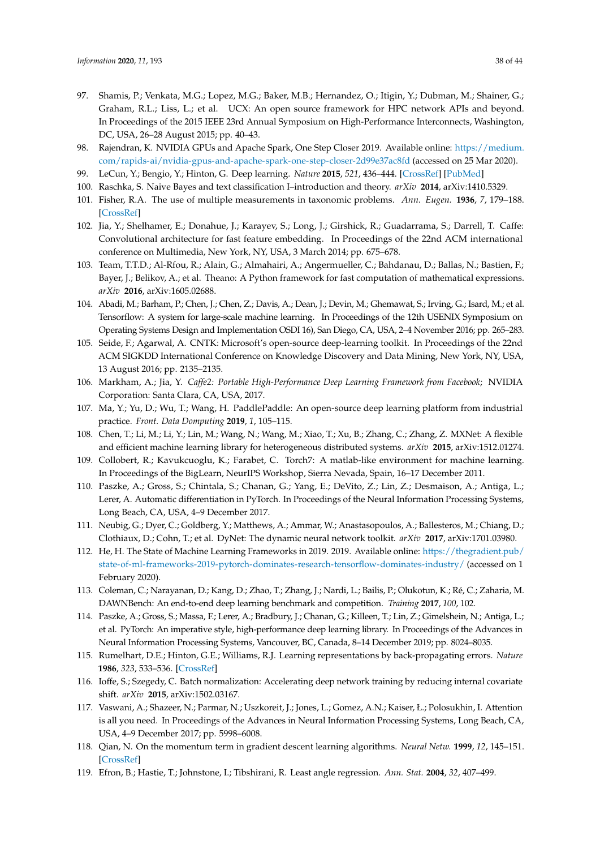- <span id="page-37-0"></span>97. Shamis, P.; Venkata, M.G.; Lopez, M.G.; Baker, M.B.; Hernandez, O.; Itigin, Y.; Dubman, M.; Shainer, G.; Graham, R.L.; Liss, L.; et al. UCX: An open source framework for HPC network APIs and beyond. In Proceedings of the 2015 IEEE 23rd Annual Symposium on High-Performance Interconnects, Washington, DC, USA, 26–28 August 2015; pp. 40–43.
- <span id="page-37-1"></span>98. Rajendran, K. NVIDIA GPUs and Apache Spark, One Step Closer 2019. Available online: [https://medium.](https://medium.com/rapids-ai/nvidia-gpus-and-apache-spark-one-step-closer-2d99e37ac8fd) [com/rapids-ai/nvidia-gpus-and-apache-spark-one-step-closer-2d99e37ac8fd](https://medium.com/rapids-ai/nvidia-gpus-and-apache-spark-one-step-closer-2d99e37ac8fd) (accessed on 25 Mar 2020).
- <span id="page-37-3"></span><span id="page-37-2"></span>99. LeCun, Y.; Bengio, Y.; Hinton, G. Deep learning. *Nature* **2015**, *521*, 436–444. [\[CrossRef\]](http://dx.doi.org/10.1038/nature14539) [\[PubMed\]](http://www.ncbi.nlm.nih.gov/pubmed/26017442)
- 100. Raschka, S. Naive Bayes and text classification I–introduction and theory. *arXiv* **2014**, arXiv:1410.5329.
- <span id="page-37-4"></span>101. Fisher, R.A. The use of multiple measurements in taxonomic problems. *Ann. Eugen.* **1936**, *7*, 179–188. [\[CrossRef\]](http://dx.doi.org/10.1111/j.1469-1809.1936.tb02137.x)
- <span id="page-37-5"></span>102. Jia, Y.; Shelhamer, E.; Donahue, J.; Karayev, S.; Long, J.; Girshick, R.; Guadarrama, S.; Darrell, T. Caffe: Convolutional architecture for fast feature embedding. In Proceedings of the 22nd ACM international conference on Multimedia, New York, NY, USA, 3 March 2014; pp. 675–678.
- <span id="page-37-6"></span>103. Team, T.T.D.; Al-Rfou, R.; Alain, G.; Almahairi, A.; Angermueller, C.; Bahdanau, D.; Ballas, N.; Bastien, F.; Bayer, J.; Belikov, A.; et al. Theano: A Python framework for fast computation of mathematical expressions. *arXiv* **2016**, arXiv:1605.02688.
- <span id="page-37-7"></span>104. Abadi, M.; Barham, P.; Chen, J.; Chen, Z.; Davis, A.; Dean, J.; Devin, M.; Ghemawat, S.; Irving, G.; Isard, M.; et al. Tensorflow: A system for large-scale machine learning. In Proceedings of the 12th USENIX Symposium on Operating Systems Design and Implementation OSDI 16), San Diego, CA, USA, 2–4 November 2016; pp. 265–283.
- <span id="page-37-8"></span>105. Seide, F.; Agarwal, A. CNTK: Microsoft's open-source deep-learning toolkit. In Proceedings of the 22nd ACM SIGKDD International Conference on Knowledge Discovery and Data Mining, New York, NY, USA, 13 August 2016; pp. 2135–2135.
- <span id="page-37-9"></span>106. Markham, A.; Jia, Y. *Caffe2: Portable High-Performance Deep Learning Framework from Facebook*; NVIDIA Corporation: Santa Clara, CA, USA, 2017.
- <span id="page-37-10"></span>107. Ma, Y.; Yu, D.; Wu, T.; Wang, H. PaddlePaddle: An open-source deep learning platform from industrial practice. *Front. Data Domputing* **2019**, *1*, 105–115.
- <span id="page-37-11"></span>108. Chen, T.; Li, M.; Li, Y.; Lin, M.; Wang, N.; Wang, M.; Xiao, T.; Xu, B.; Zhang, C.; Zhang, Z. MXNet: A flexible and efficient machine learning library for heterogeneous distributed systems. *arXiv* **2015**, arXiv:1512.01274.
- <span id="page-37-12"></span>109. Collobert, R.; Kavukcuoglu, K.; Farabet, C. Torch7: A matlab-like environment for machine learning. In Proceedings of the BigLearn, NeurIPS Workshop, Sierra Nevada, Spain, 16–17 December 2011.
- <span id="page-37-13"></span>110. Paszke, A.; Gross, S.; Chintala, S.; Chanan, G.; Yang, E.; DeVito, Z.; Lin, Z.; Desmaison, A.; Antiga, L.; Lerer, A. Automatic differentiation in PyTorch. In Proceedings of the Neural Information Processing Systems, Long Beach, CA, USA, 4–9 December 2017.
- <span id="page-37-14"></span>111. Neubig, G.; Dyer, C.; Goldberg, Y.; Matthews, A.; Ammar, W.; Anastasopoulos, A.; Ballesteros, M.; Chiang, D.; Clothiaux, D.; Cohn, T.; et al. DyNet: The dynamic neural network toolkit. *arXiv* **2017**, arXiv:1701.03980.
- <span id="page-37-15"></span>112. He, H. The State of Machine Learning Frameworks in 2019. 2019. Available online: [https://thegradient.pub/](https://thegradient.pub/state-of-ml-frameworks-2019-pytorch-dominates-research-tensorflow-dominates-industry/) [state-of-ml-frameworks-2019-pytorch-dominates-research-tensorflow-dominates-industry/](https://thegradient.pub/state-of-ml-frameworks-2019-pytorch-dominates-research-tensorflow-dominates-industry/) (accessed on 1 February 2020).
- <span id="page-37-16"></span>113. Coleman, C.; Narayanan, D.; Kang, D.; Zhao, T.; Zhang, J.; Nardi, L.; Bailis, P.; Olukotun, K.; Ré, C.; Zaharia, M. DAWNBench: An end-to-end deep learning benchmark and competition. *Training* **2017**, *100*, 102.
- <span id="page-37-17"></span>114. Paszke, A.; Gross, S.; Massa, F.; Lerer, A.; Bradbury, J.; Chanan, G.; Killeen, T.; Lin, Z.; Gimelshein, N.; Antiga, L.; et al. PyTorch: An imperative style, high-performance deep learning library. In Proceedings of the Advances in Neural Information Processing Systems, Vancouver, BC, Canada, 8–14 December 2019; pp. 8024–8035.
- <span id="page-37-18"></span>115. Rumelhart, D.E.; Hinton, G.E.; Williams, R.J. Learning representations by back-propagating errors. *Nature* **1986**, *323*, 533–536. [\[CrossRef\]](http://dx.doi.org/10.1038/323533a0)
- <span id="page-37-19"></span>116. Ioffe, S.; Szegedy, C. Batch normalization: Accelerating deep network training by reducing internal covariate shift. *arXiv* **2015**, arXiv:1502.03167.
- <span id="page-37-20"></span>117. Vaswani, A.; Shazeer, N.; Parmar, N.; Uszkoreit, J.; Jones, L.; Gomez, A.N.; Kaiser, Ł.; Polosukhin, I. Attention is all you need. In Proceedings of the Advances in Neural Information Processing Systems, Long Beach, CA, USA, 4–9 December 2017; pp. 5998–6008.
- <span id="page-37-21"></span>118. Qian, N. On the momentum term in gradient descent learning algorithms. *Neural Netw.* **1999**, *12*, 145–151. [\[CrossRef\]](http://dx.doi.org/10.1016/S0893-6080(98)00116-6)
- <span id="page-37-22"></span>119. Efron, B.; Hastie, T.; Johnstone, I.; Tibshirani, R. Least angle regression. *Ann. Stat.* **2004**, *32*, 407–499.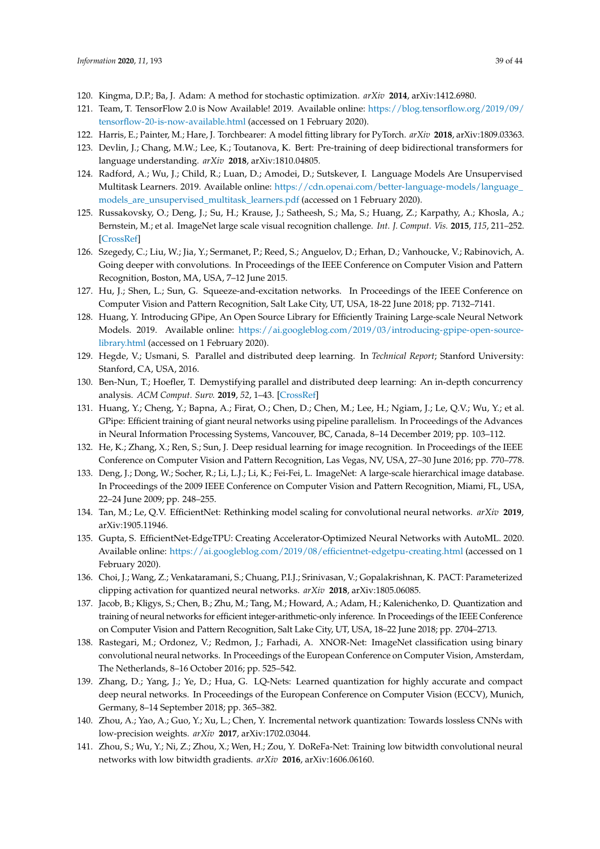- <span id="page-38-0"></span>120. Kingma, D.P.; Ba, J. Adam: A method for stochastic optimization. *arXiv* **2014**, arXiv:1412.6980.
- <span id="page-38-1"></span>121. Team, T. TensorFlow 2.0 is Now Available! 2019. Available online: [https://blog.tensorflow.org/2019/09/](https://blog.tensorflow.org/2019/09/tensorflow-20-is-now-available.html) [tensorflow-20-is-now-available.html](https://blog.tensorflow.org/2019/09/tensorflow-20-is-now-available.html) (accessed on 1 February 2020).
- <span id="page-38-2"></span>122. Harris, E.; Painter, M.; Hare, J. Torchbearer: A model fitting library for PyTorch. *arXiv* **2018**, arXiv:1809.03363.
- <span id="page-38-3"></span>123. Devlin, J.; Chang, M.W.; Lee, K.; Toutanova, K. Bert: Pre-training of deep bidirectional transformers for language understanding. *arXiv* **2018**, arXiv:1810.04805.
- <span id="page-38-4"></span>124. Radford, A.; Wu, J.; Child, R.; Luan, D.; Amodei, D.; Sutskever, I. Language Models Are Unsupervised Multitask Learners. 2019. Available online: [https://cdn.openai.com/better-language-models/language\\_](https://cdn.openai.com/better-language-models/language_models_are_unsupervised_multitask_learners.pdf) [models\\_are\\_unsupervised\\_multitask\\_learners.pdf](https://cdn.openai.com/better-language-models/language_models_are_unsupervised_multitask_learners.pdf) (accessed on 1 February 2020).
- <span id="page-38-5"></span>125. Russakovsky, O.; Deng, J.; Su, H.; Krause, J.; Satheesh, S.; Ma, S.; Huang, Z.; Karpathy, A.; Khosla, A.; Bernstein, M.; et al. ImageNet large scale visual recognition challenge. *Int. J. Comput. Vis.* **2015**, *115*, 211–252. [\[CrossRef\]](http://dx.doi.org/10.1007/s11263-015-0816-y)
- <span id="page-38-6"></span>126. Szegedy, C.; Liu, W.; Jia, Y.; Sermanet, P.; Reed, S.; Anguelov, D.; Erhan, D.; Vanhoucke, V.; Rabinovich, A. Going deeper with convolutions. In Proceedings of the IEEE Conference on Computer Vision and Pattern Recognition, Boston, MA, USA, 7–12 June 2015.
- <span id="page-38-7"></span>127. Hu, J.; Shen, L.; Sun, G. Squeeze-and-excitation networks. In Proceedings of the IEEE Conference on Computer Vision and Pattern Recognition, Salt Lake City, UT, USA, 18-22 June 2018; pp. 7132–7141.
- <span id="page-38-8"></span>128. Huang, Y. Introducing GPipe, An Open Source Library for Efficiently Training Large-scale Neural Network Models. 2019. Available online: [https://ai.googleblog.com/2019/03/introducing-gpipe-open-source](https://ai.googleblog.com/2019/03/introducing-gpipe-open-source-library.html)[library.html](https://ai.googleblog.com/2019/03/introducing-gpipe-open-source-library.html) (accessed on 1 February 2020).
- <span id="page-38-9"></span>129. Hegde, V.; Usmani, S. Parallel and distributed deep learning. In *Technical Report*; Stanford University: Stanford, CA, USA, 2016.
- <span id="page-38-10"></span>130. Ben-Nun, T.; Hoefler, T. Demystifying parallel and distributed deep learning: An in-depth concurrency analysis. *ACM Comput. Surv.* **2019**, *52*, 1–43. [\[CrossRef\]](http://dx.doi.org/10.1145/3320060)
- <span id="page-38-11"></span>131. Huang, Y.; Cheng, Y.; Bapna, A.; Firat, O.; Chen, D.; Chen, M.; Lee, H.; Ngiam, J.; Le, Q.V.; Wu, Y.; et al. GPipe: Efficient training of giant neural networks using pipeline parallelism. In Proceedings of the Advances in Neural Information Processing Systems, Vancouver, BC, Canada, 8–14 December 2019; pp. 103–112.
- <span id="page-38-12"></span>132. He, K.; Zhang, X.; Ren, S.; Sun, J. Deep residual learning for image recognition. In Proceedings of the IEEE Conference on Computer Vision and Pattern Recognition, Las Vegas, NV, USA, 27–30 June 2016; pp. 770–778.
- <span id="page-38-13"></span>133. Deng, J.; Dong, W.; Socher, R.; Li, L.J.; Li, K.; Fei-Fei, L. ImageNet: A large-scale hierarchical image database. In Proceedings of the 2009 IEEE Conference on Computer Vision and Pattern Recognition, Miami, FL, USA, 22–24 June 2009; pp. 248–255.
- <span id="page-38-14"></span>134. Tan, M.; Le, Q.V. EfficientNet: Rethinking model scaling for convolutional neural networks. *arXiv* **2019**, arXiv:1905.11946.
- <span id="page-38-15"></span>135. Gupta, S. EfficientNet-EdgeTPU: Creating Accelerator-Optimized Neural Networks with AutoML. 2020. Available online: <https://ai.googleblog.com/2019/08/efficientnet-edgetpu-creating.html> (accessed on 1 February 2020).
- <span id="page-38-16"></span>136. Choi, J.; Wang, Z.; Venkataramani, S.; Chuang, P.I.J.; Srinivasan, V.; Gopalakrishnan, K. PACT: Parameterized clipping activation for quantized neural networks. *arXiv* **2018**, arXiv:1805.06085.
- 137. Jacob, B.; Kligys, S.; Chen, B.; Zhu, M.; Tang, M.; Howard, A.; Adam, H.; Kalenichenko, D. Quantization and training of neural networks for efficient integer-arithmetic-only inference. In Proceedings of the IEEE Conference on Computer Vision and Pattern Recognition, Salt Lake City, UT, USA, 18–22 June 2018; pp. 2704–2713.
- 138. Rastegari, M.; Ordonez, V.; Redmon, J.; Farhadi, A. XNOR-Net: ImageNet classification using binary convolutional neural networks. In Proceedings of the European Conference on Computer Vision, Amsterdam, The Netherlands, 8–16 October 2016; pp. 525–542.
- 139. Zhang, D.; Yang, J.; Ye, D.; Hua, G. LQ-Nets: Learned quantization for highly accurate and compact deep neural networks. In Proceedings of the European Conference on Computer Vision (ECCV), Munich, Germany, 8–14 September 2018; pp. 365–382.
- 140. Zhou, A.; Yao, A.; Guo, Y.; Xu, L.; Chen, Y. Incremental network quantization: Towards lossless CNNs with low-precision weights. *arXiv* **2017**, arXiv:1702.03044.
- <span id="page-38-17"></span>141. Zhou, S.; Wu, Y.; Ni, Z.; Zhou, X.; Wen, H.; Zou, Y. DoReFa-Net: Training low bitwidth convolutional neural networks with low bitwidth gradients. *arXiv* **2016**, arXiv:1606.06160.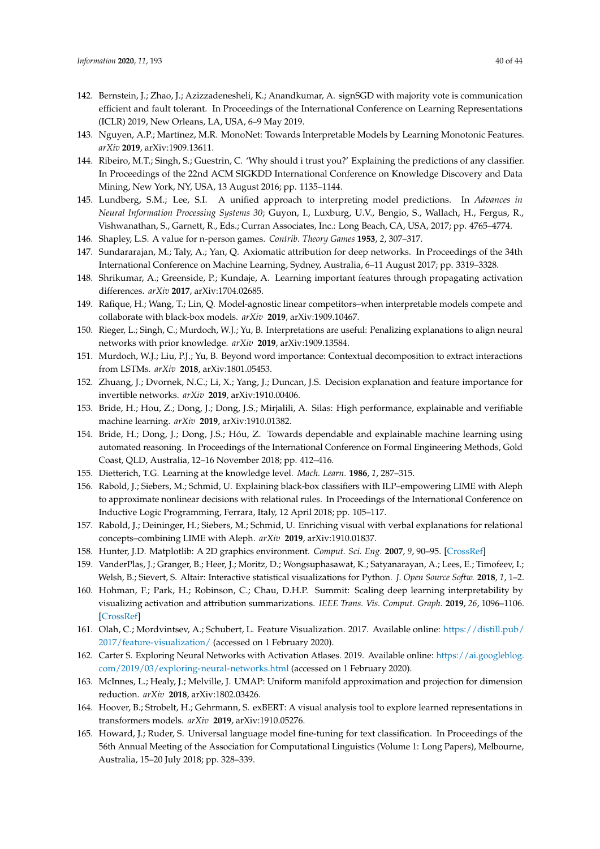- <span id="page-39-0"></span>142. Bernstein, J.; Zhao, J.; Azizzadenesheli, K.; Anandkumar, A. signSGD with majority vote is communication efficient and fault tolerant. In Proceedings of the International Conference on Learning Representations (ICLR) 2019, New Orleans, LA, USA, 6–9 May 2019.
- <span id="page-39-1"></span>143. Nguyen, A.P.; Martínez, M.R. MonoNet: Towards Interpretable Models by Learning Monotonic Features. *arXiv* **2019**, arXiv:1909.13611.
- <span id="page-39-2"></span>144. Ribeiro, M.T.; Singh, S.; Guestrin, C. 'Why should i trust you?' Explaining the predictions of any classifier. In Proceedings of the 22nd ACM SIGKDD International Conference on Knowledge Discovery and Data Mining, New York, NY, USA, 13 August 2016; pp. 1135–1144.
- <span id="page-39-3"></span>145. Lundberg, S.M.; Lee, S.I. A unified approach to interpreting model predictions. In *Advances in Neural Information Processing Systems 30*; Guyon, I., Luxburg, U.V., Bengio, S., Wallach, H., Fergus, R., Vishwanathan, S., Garnett, R., Eds.; Curran Associates, Inc.: Long Beach, CA, USA, 2017; pp. 4765–4774.
- <span id="page-39-4"></span>146. Shapley, L.S. A value for n-person games. *Contrib. Theory Games* **1953**, *2*, 307–317.
- <span id="page-39-5"></span>147. Sundararajan, M.; Taly, A.; Yan, Q. Axiomatic attribution for deep networks. In Proceedings of the 34th International Conference on Machine Learning, Sydney, Australia, 6–11 August 2017; pp. 3319–3328.
- <span id="page-39-6"></span>148. Shrikumar, A.; Greenside, P.; Kundaje, A. Learning important features through propagating activation differences. *arXiv* **2017**, arXiv:1704.02685.
- <span id="page-39-7"></span>149. Rafique, H.; Wang, T.; Lin, Q. Model-agnostic linear competitors–when interpretable models compete and collaborate with black-box models. *arXiv* **2019**, arXiv:1909.10467.
- <span id="page-39-8"></span>150. Rieger, L.; Singh, C.; Murdoch, W.J.; Yu, B. Interpretations are useful: Penalizing explanations to align neural networks with prior knowledge. *arXiv* **2019**, arXiv:1909.13584.
- <span id="page-39-9"></span>151. Murdoch, W.J.; Liu, P.J.; Yu, B. Beyond word importance: Contextual decomposition to extract interactions from LSTMs. *arXiv* **2018**, arXiv:1801.05453.
- <span id="page-39-10"></span>152. Zhuang, J.; Dvornek, N.C.; Li, X.; Yang, J.; Duncan, J.S. Decision explanation and feature importance for invertible networks. *arXiv* **2019**, arXiv:1910.00406.
- <span id="page-39-11"></span>153. Bride, H.; Hou, Z.; Dong, J.; Dong, J.S.; Mirjalili, A. Silas: High performance, explainable and verifiable machine learning. *arXiv* **2019**, arXiv:1910.01382.
- <span id="page-39-12"></span>154. Bride, H.; Dong, J.; Dong, J.S.; Hóu, Z. Towards dependable and explainable machine learning using automated reasoning. In Proceedings of the International Conference on Formal Engineering Methods, Gold Coast, QLD, Australia, 12–16 November 2018; pp. 412–416.
- <span id="page-39-13"></span>155. Dietterich, T.G. Learning at the knowledge level. *Mach. Learn.* **1986**, *1*, 287–315.
- <span id="page-39-14"></span>156. Rabold, J.; Siebers, M.; Schmid, U. Explaining black-box classifiers with ILP–empowering LIME with Aleph to approximate nonlinear decisions with relational rules. In Proceedings of the International Conference on Inductive Logic Programming, Ferrara, Italy, 12 April 2018; pp. 105–117.
- <span id="page-39-15"></span>157. Rabold, J.; Deininger, H.; Siebers, M.; Schmid, U. Enriching visual with verbal explanations for relational concepts–combining LIME with Aleph. *arXiv* **2019**, arXiv:1910.01837.
- <span id="page-39-16"></span>158. Hunter, J.D. Matplotlib: A 2D graphics environment. *Comput. Sci. Eng.* **2007**, *9*, 90–95. [\[CrossRef\]](http://dx.doi.org/10.1109/MCSE.2007.55)
- <span id="page-39-17"></span>159. VanderPlas, J.; Granger, B.; Heer, J.; Moritz, D.; Wongsuphasawat, K.; Satyanarayan, A.; Lees, E.; Timofeev, I.; Welsh, B.; Sievert, S. Altair: Interactive statistical visualizations for Python. *J. Open Source Softw.* **2018**, *1*, 1–2.
- <span id="page-39-18"></span>160. Hohman, F.; Park, H.; Robinson, C.; Chau, D.H.P. Summit: Scaling deep learning interpretability by visualizing activation and attribution summarizations. *IEEE Trans. Vis. Comput. Graph.* **2019**, *26*, 1096–1106. [\[CrossRef\]](http://dx.doi.org/10.1109/TVCG.2019.2934659)
- <span id="page-39-19"></span>161. Olah, C.; Mordvintsev, A.; Schubert, L. Feature Visualization. 2017. Available online: [https://distill.pub/](https://distill.pub/2017/feature-visualization/) [2017/feature-visualization/](https://distill.pub/2017/feature-visualization/) (accessed on 1 February 2020).
- <span id="page-39-20"></span>162. Carter S. Exploring Neural Networks with Activation Atlases. 2019. Available online: [https://ai.googleblog.](https://ai.googleblog.com/2019/03/exploring-neural-networks.html) [com/2019/03/exploring-neural-networks.html](https://ai.googleblog.com/2019/03/exploring-neural-networks.html) (accessed on 1 February 2020).
- <span id="page-39-21"></span>163. McInnes, L.; Healy, J.; Melville, J. UMAP: Uniform manifold approximation and projection for dimension reduction. *arXiv* **2018**, arXiv:1802.03426.
- <span id="page-39-22"></span>164. Hoover, B.; Strobelt, H.; Gehrmann, S. exBERT: A visual analysis tool to explore learned representations in transformers models. *arXiv* **2019**, arXiv:1910.05276.
- <span id="page-39-23"></span>165. Howard, J.; Ruder, S. Universal language model fine-tuning for text classification. In Proceedings of the 56th Annual Meeting of the Association for Computational Linguistics (Volume 1: Long Papers), Melbourne, Australia, 15–20 July 2018; pp. 328–339.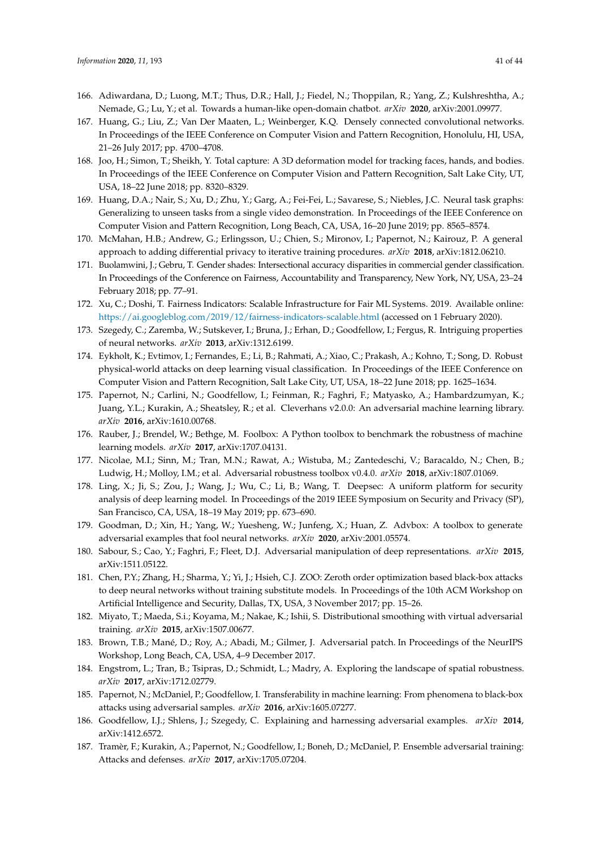- <span id="page-40-0"></span>166. Adiwardana, D.; Luong, M.T.; Thus, D.R.; Hall, J.; Fiedel, N.; Thoppilan, R.; Yang, Z.; Kulshreshtha, A.; Nemade, G.; Lu, Y.; et al. Towards a human-like open-domain chatbot. *arXiv* **2020**, arXiv:2001.09977.
- <span id="page-40-1"></span>167. Huang, G.; Liu, Z.; Van Der Maaten, L.; Weinberger, K.Q. Densely connected convolutional networks. In Proceedings of the IEEE Conference on Computer Vision and Pattern Recognition, Honolulu, HI, USA, 21–26 July 2017; pp. 4700–4708.
- 168. Joo, H.; Simon, T.; Sheikh, Y. Total capture: A 3D deformation model for tracking faces, hands, and bodies. In Proceedings of the IEEE Conference on Computer Vision and Pattern Recognition, Salt Lake City, UT, USA, 18–22 June 2018; pp. 8320–8329.
- <span id="page-40-2"></span>169. Huang, D.A.; Nair, S.; Xu, D.; Zhu, Y.; Garg, A.; Fei-Fei, L.; Savarese, S.; Niebles, J.C. Neural task graphs: Generalizing to unseen tasks from a single video demonstration. In Proceedings of the IEEE Conference on Computer Vision and Pattern Recognition, Long Beach, CA, USA, 16–20 June 2019; pp. 8565–8574.
- <span id="page-40-3"></span>170. McMahan, H.B.; Andrew, G.; Erlingsson, U.; Chien, S.; Mironov, I.; Papernot, N.; Kairouz, P. A general approach to adding differential privacy to iterative training procedures. *arXiv* **2018**, arXiv:1812.06210.
- <span id="page-40-4"></span>171. Buolamwini, J.; Gebru, T. Gender shades: Intersectional accuracy disparities in commercial gender classification. In Proceedings of the Conference on Fairness, Accountability and Transparency, New York, NY, USA, 23–24 February 2018; pp. 77–91.
- <span id="page-40-5"></span>172. Xu, C.; Doshi, T. Fairness Indicators: Scalable Infrastructure for Fair ML Systems. 2019. Available online: <https://ai.googleblog.com/2019/12/fairness-indicators-scalable.html> (accessed on 1 February 2020).
- <span id="page-40-6"></span>173. Szegedy, C.; Zaremba, W.; Sutskever, I.; Bruna, J.; Erhan, D.; Goodfellow, I.; Fergus, R. Intriguing properties of neural networks. *arXiv* **2013**, arXiv:1312.6199.
- <span id="page-40-7"></span>174. Eykholt, K.; Evtimov, I.; Fernandes, E.; Li, B.; Rahmati, A.; Xiao, C.; Prakash, A.; Kohno, T.; Song, D. Robust physical-world attacks on deep learning visual classification. In Proceedings of the IEEE Conference on Computer Vision and Pattern Recognition, Salt Lake City, UT, USA, 18–22 June 2018; pp. 1625–1634.
- <span id="page-40-8"></span>175. Papernot, N.; Carlini, N.; Goodfellow, I.; Feinman, R.; Faghri, F.; Matyasko, A.; Hambardzumyan, K.; Juang, Y.L.; Kurakin, A.; Sheatsley, R.; et al. Cleverhans v2.0.0: An adversarial machine learning library. *arXiv* **2016**, arXiv:1610.00768.
- <span id="page-40-9"></span>176. Rauber, J.; Brendel, W.; Bethge, M. Foolbox: A Python toolbox to benchmark the robustness of machine learning models. *arXiv* **2017**, arXiv:1707.04131.
- <span id="page-40-10"></span>177. Nicolae, M.I.; Sinn, M.; Tran, M.N.; Rawat, A.; Wistuba, M.; Zantedeschi, V.; Baracaldo, N.; Chen, B.; Ludwig, H.; Molloy, I.M.; et al. Adversarial robustness toolbox v0.4.0. *arXiv* **2018**, arXiv:1807.01069.
- <span id="page-40-11"></span>178. Ling, X.; Ji, S.; Zou, J.; Wang, J.; Wu, C.; Li, B.; Wang, T. Deepsec: A uniform platform for security analysis of deep learning model. In Proceedings of the 2019 IEEE Symposium on Security and Privacy (SP), San Francisco, CA, USA, 18–19 May 2019; pp. 673–690.
- <span id="page-40-12"></span>179. Goodman, D.; Xin, H.; Yang, W.; Yuesheng, W.; Junfeng, X.; Huan, Z. Advbox: A toolbox to generate adversarial examples that fool neural networks. *arXiv* **2020**, arXiv:2001.05574.
- <span id="page-40-13"></span>180. Sabour, S.; Cao, Y.; Faghri, F.; Fleet, D.J. Adversarial manipulation of deep representations. *arXiv* **2015**, arXiv:1511.05122.
- <span id="page-40-14"></span>181. Chen, P.Y.; Zhang, H.; Sharma, Y.; Yi, J.; Hsieh, C.J. ZOO: Zeroth order optimization based black-box attacks to deep neural networks without training substitute models. In Proceedings of the 10th ACM Workshop on Artificial Intelligence and Security, Dallas, TX, USA, 3 November 2017; pp. 15–26.
- <span id="page-40-15"></span>182. Miyato, T.; Maeda, S.i.; Koyama, M.; Nakae, K.; Ishii, S. Distributional smoothing with virtual adversarial training. *arXiv* **2015**, arXiv:1507.00677.
- <span id="page-40-16"></span>183. Brown, T.B.; Mané, D.; Roy, A.; Abadi, M.; Gilmer, J. Adversarial patch. In Proceedings of the NeurIPS Workshop, Long Beach, CA, USA, 4–9 December 2017.
- <span id="page-40-17"></span>184. Engstrom, L.; Tran, B.; Tsipras, D.; Schmidt, L.; Madry, A. Exploring the landscape of spatial robustness. *arXiv* **2017**, arXiv:1712.02779.
- <span id="page-40-18"></span>185. Papernot, N.; McDaniel, P.; Goodfellow, I. Transferability in machine learning: From phenomena to black-box attacks using adversarial samples. *arXiv* **2016**, arXiv:1605.07277.
- <span id="page-40-19"></span>186. Goodfellow, I.J.; Shlens, J.; Szegedy, C. Explaining and harnessing adversarial examples. *arXiv* **2014**, arXiv:1412.6572.
- <span id="page-40-20"></span>187. Tramèr, F.; Kurakin, A.; Papernot, N.; Goodfellow, I.; Boneh, D.; McDaniel, P. Ensemble adversarial training: Attacks and defenses. *arXiv* **2017**, arXiv:1705.07204.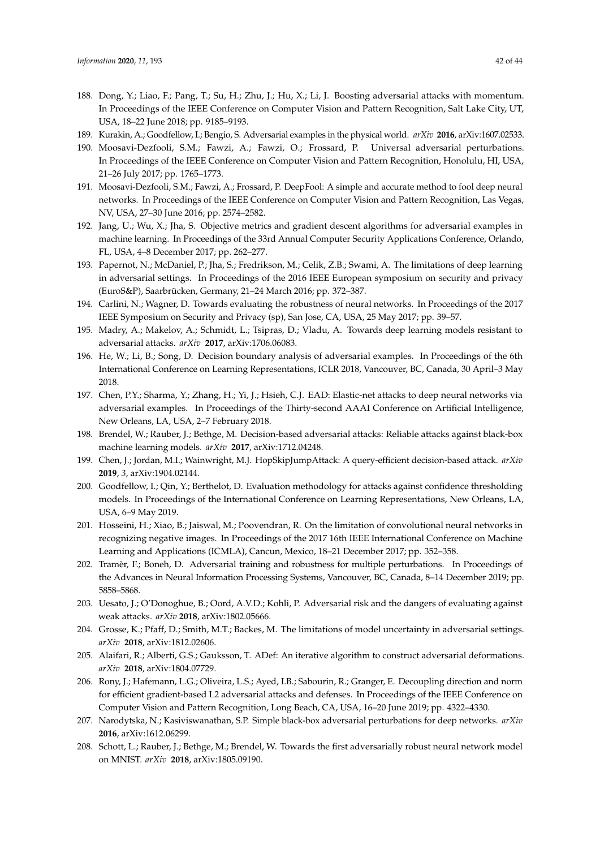- <span id="page-41-0"></span>188. Dong, Y.; Liao, F.; Pang, T.; Su, H.; Zhu, J.; Hu, X.; Li, J. Boosting adversarial attacks with momentum. In Proceedings of the IEEE Conference on Computer Vision and Pattern Recognition, Salt Lake City, UT, USA, 18–22 June 2018; pp. 9185–9193.
- <span id="page-41-1"></span>189. Kurakin, A.; Goodfellow, I.; Bengio, S. Adversarial examples in the physical world. *arXiv* **2016**, arXiv:1607.02533.
- <span id="page-41-2"></span>190. Moosavi-Dezfooli, S.M.; Fawzi, A.; Fawzi, O.; Frossard, P. Universal adversarial perturbations. In Proceedings of the IEEE Conference on Computer Vision and Pattern Recognition, Honolulu, HI, USA, 21–26 July 2017; pp. 1765–1773.
- <span id="page-41-3"></span>191. Moosavi-Dezfooli, S.M.; Fawzi, A.; Frossard, P. DeepFool: A simple and accurate method to fool deep neural networks. In Proceedings of the IEEE Conference on Computer Vision and Pattern Recognition, Las Vegas, NV, USA, 27–30 June 2016; pp. 2574–2582.
- <span id="page-41-4"></span>192. Jang, U.; Wu, X.; Jha, S. Objective metrics and gradient descent algorithms for adversarial examples in machine learning. In Proceedings of the 33rd Annual Computer Security Applications Conference, Orlando, FL, USA, 4–8 December 2017; pp. 262–277.
- <span id="page-41-5"></span>193. Papernot, N.; McDaniel, P.; Jha, S.; Fredrikson, M.; Celik, Z.B.; Swami, A. The limitations of deep learning in adversarial settings. In Proceedings of the 2016 IEEE European symposium on security and privacy (EuroS&P), Saarbrücken, Germany, 21–24 March 2016; pp. 372–387.
- <span id="page-41-6"></span>194. Carlini, N.; Wagner, D. Towards evaluating the robustness of neural networks. In Proceedings of the 2017 IEEE Symposium on Security and Privacy (sp), San Jose, CA, USA, 25 May 2017; pp. 39–57.
- <span id="page-41-7"></span>195. Madry, A.; Makelov, A.; Schmidt, L.; Tsipras, D.; Vladu, A. Towards deep learning models resistant to adversarial attacks. *arXiv* **2017**, arXiv:1706.06083.
- <span id="page-41-8"></span>196. He, W.; Li, B.; Song, D. Decision boundary analysis of adversarial examples. In Proceedings of the 6th International Conference on Learning Representations, ICLR 2018, Vancouver, BC, Canada, 30 April–3 May 2018.
- <span id="page-41-9"></span>197. Chen, P.Y.; Sharma, Y.; Zhang, H.; Yi, J.; Hsieh, C.J. EAD: Elastic-net attacks to deep neural networks via adversarial examples. In Proceedings of the Thirty-second AAAI Conference on Artificial Intelligence, New Orleans, LA, USA, 2–7 February 2018.
- <span id="page-41-10"></span>198. Brendel, W.; Rauber, J.; Bethge, M. Decision-based adversarial attacks: Reliable attacks against black-box machine learning models. *arXiv* **2017**, arXiv:1712.04248.
- <span id="page-41-11"></span>199. Chen, J.; Jordan, M.I.; Wainwright, M.J. HopSkipJumpAttack: A query-efficient decision-based attack. *arXiv* **2019**, *3*, arXiv:1904.02144.
- <span id="page-41-12"></span>200. Goodfellow, I.; Qin, Y.; Berthelot, D. Evaluation methodology for attacks against confidence thresholding models. In Proceedings of the International Conference on Learning Representations, New Orleans, LA, USA, 6–9 May 2019.
- <span id="page-41-13"></span>201. Hosseini, H.; Xiao, B.; Jaiswal, M.; Poovendran, R. On the limitation of convolutional neural networks in recognizing negative images. In Proceedings of the 2017 16th IEEE International Conference on Machine Learning and Applications (ICMLA), Cancun, Mexico, 18–21 December 2017; pp. 352–358.
- <span id="page-41-14"></span>202. Tramèr, F.; Boneh, D. Adversarial training and robustness for multiple perturbations. In Proceedings of the Advances in Neural Information Processing Systems, Vancouver, BC, Canada, 8–14 December 2019; pp. 5858–5868.
- <span id="page-41-15"></span>203. Uesato, J.; O'Donoghue, B.; Oord, A.V.D.; Kohli, P. Adversarial risk and the dangers of evaluating against weak attacks. *arXiv* **2018**, arXiv:1802.05666.
- <span id="page-41-16"></span>204. Grosse, K.; Pfaff, D.; Smith, M.T.; Backes, M. The limitations of model uncertainty in adversarial settings. *arXiv* **2018**, arXiv:1812.02606.
- <span id="page-41-17"></span>205. Alaifari, R.; Alberti, G.S.; Gauksson, T. ADef: An iterative algorithm to construct adversarial deformations. *arXiv* **2018**, arXiv:1804.07729.
- <span id="page-41-18"></span>206. Rony, J.; Hafemann, L.G.; Oliveira, L.S.; Ayed, I.B.; Sabourin, R.; Granger, E. Decoupling direction and norm for efficient gradient-based L2 adversarial attacks and defenses. In Proceedings of the IEEE Conference on Computer Vision and Pattern Recognition, Long Beach, CA, USA, 16–20 June 2019; pp. 4322–4330.
- <span id="page-41-19"></span>207. Narodytska, N.; Kasiviswanathan, S.P. Simple black-box adversarial perturbations for deep networks. *arXiv* **2016**, arXiv:1612.06299.
- <span id="page-41-20"></span>208. Schott, L.; Rauber, J.; Bethge, M.; Brendel, W. Towards the first adversarially robust neural network model on MNIST. *arXiv* **2018**, arXiv:1805.09190.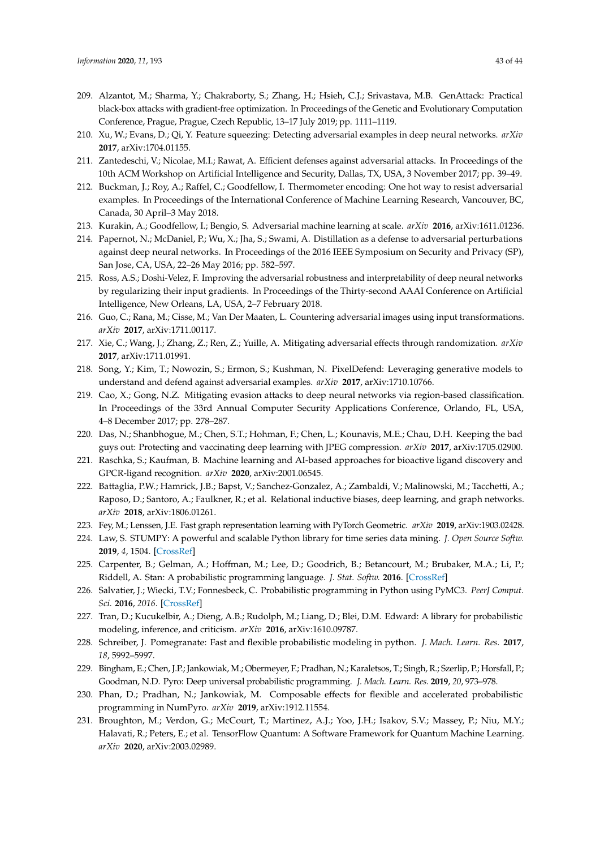- <span id="page-42-0"></span>209. Alzantot, M.; Sharma, Y.; Chakraborty, S.; Zhang, H.; Hsieh, C.J.; Srivastava, M.B. GenAttack: Practical black-box attacks with gradient-free optimization. In Proceedings of the Genetic and Evolutionary Computation Conference, Prague, Prague, Czech Republic, 13–17 July 2019; pp. 1111–1119.
- <span id="page-42-1"></span>210. Xu, W.; Evans, D.; Qi, Y. Feature squeezing: Detecting adversarial examples in deep neural networks. *arXiv* **2017**, arXiv:1704.01155.
- <span id="page-42-2"></span>211. Zantedeschi, V.; Nicolae, M.I.; Rawat, A. Efficient defenses against adversarial attacks. In Proceedings of the 10th ACM Workshop on Artificial Intelligence and Security, Dallas, TX, USA, 3 November 2017; pp. 39–49.
- <span id="page-42-3"></span>212. Buckman, J.; Roy, A.; Raffel, C.; Goodfellow, I. Thermometer encoding: One hot way to resist adversarial examples. In Proceedings of the International Conference of Machine Learning Research, Vancouver, BC, Canada, 30 April–3 May 2018.
- <span id="page-42-4"></span>213. Kurakin, A.; Goodfellow, I.; Bengio, S. Adversarial machine learning at scale. *arXiv* **2016**, arXiv:1611.01236.
- <span id="page-42-5"></span>214. Papernot, N.; McDaniel, P.; Wu, X.; Jha, S.; Swami, A. Distillation as a defense to adversarial perturbations against deep neural networks. In Proceedings of the 2016 IEEE Symposium on Security and Privacy (SP), San Jose, CA, USA, 22–26 May 2016; pp. 582–597.
- <span id="page-42-6"></span>215. Ross, A.S.; Doshi-Velez, F. Improving the adversarial robustness and interpretability of deep neural networks by regularizing their input gradients. In Proceedings of the Thirty-second AAAI Conference on Artificial Intelligence, New Orleans, LA, USA, 2–7 February 2018.
- <span id="page-42-7"></span>216. Guo, C.; Rana, M.; Cisse, M.; Van Der Maaten, L. Countering adversarial images using input transformations. *arXiv* **2017**, arXiv:1711.00117.
- <span id="page-42-8"></span>217. Xie, C.; Wang, J.; Zhang, Z.; Ren, Z.; Yuille, A. Mitigating adversarial effects through randomization. *arXiv* **2017**, arXiv:1711.01991.
- <span id="page-42-9"></span>218. Song, Y.; Kim, T.; Nowozin, S.; Ermon, S.; Kushman, N. PixelDefend: Leveraging generative models to understand and defend against adversarial examples. *arXiv* **2017**, arXiv:1710.10766.
- <span id="page-42-10"></span>219. Cao, X.; Gong, N.Z. Mitigating evasion attacks to deep neural networks via region-based classification. In Proceedings of the 33rd Annual Computer Security Applications Conference, Orlando, FL, USA, 4–8 December 2017; pp. 278–287.
- <span id="page-42-11"></span>220. Das, N.; Shanbhogue, M.; Chen, S.T.; Hohman, F.; Chen, L.; Kounavis, M.E.; Chau, D.H. Keeping the bad guys out: Protecting and vaccinating deep learning with JPEG compression. *arXiv* **2017**, arXiv:1705.02900.
- <span id="page-42-12"></span>221. Raschka, S.; Kaufman, B. Machine learning and AI-based approaches for bioactive ligand discovery and GPCR-ligand recognition. *arXiv* **2020**, arXiv:2001.06545.
- <span id="page-42-13"></span>222. Battaglia, P.W.; Hamrick, J.B.; Bapst, V.; Sanchez-Gonzalez, A.; Zambaldi, V.; Malinowski, M.; Tacchetti, A.; Raposo, D.; Santoro, A.; Faulkner, R.; et al. Relational inductive biases, deep learning, and graph networks. *arXiv* **2018**, arXiv:1806.01261.
- <span id="page-42-14"></span>223. Fey, M.; Lenssen, J.E. Fast graph representation learning with PyTorch Geometric. *arXiv* **2019**, arXiv:1903.02428.
- <span id="page-42-15"></span>224. Law, S. STUMPY: A powerful and scalable Python library for time series data mining. *J. Open Source Softw.* **2019**, *4*, 1504. [\[CrossRef\]](http://dx.doi.org/10.21105/joss.01504)
- <span id="page-42-16"></span>225. Carpenter, B.; Gelman, A.; Hoffman, M.; Lee, D.; Goodrich, B.; Betancourt, M.; Brubaker, M.A.; Li, P.; Riddell, A. Stan: A probabilistic programming language. *J. Stat. Softw.* **2016**. [\[CrossRef\]](http://dx.doi.org/10.18637/jss.v076.i01)
- <span id="page-42-17"></span>226. Salvatier, J.; Wiecki, T.V.; Fonnesbeck, C. Probabilistic programming in Python using PyMC3. *PeerJ Comput. Sci.* **2016**, *2016*. [\[CrossRef\]](http://dx.doi.org/10.7717/peerj-cs.55)
- <span id="page-42-18"></span>227. Tran, D.; Kucukelbir, A.; Dieng, A.B.; Rudolph, M.; Liang, D.; Blei, D.M. Edward: A library for probabilistic modeling, inference, and criticism. *arXiv* **2016**, arXiv:1610.09787.
- <span id="page-42-19"></span>228. Schreiber, J. Pomegranate: Fast and flexible probabilistic modeling in python. *J. Mach. Learn. Res.* **2017**, *18*, 5992–5997.
- <span id="page-42-20"></span>229. Bingham, E.; Chen, J.P.; Jankowiak, M.; Obermeyer, F.; Pradhan, N.; Karaletsos, T.; Singh, R.; Szerlip, P.; Horsfall, P.; Goodman, N.D. Pyro: Deep universal probabilistic programming. *J. Mach. Learn. Res.* **2019**, *20*, 973–978.
- <span id="page-42-21"></span>230. Phan, D.; Pradhan, N.; Jankowiak, M. Composable effects for flexible and accelerated probabilistic programming in NumPyro. *arXiv* **2019**, arXiv:1912.11554.
- <span id="page-42-22"></span>231. Broughton, M.; Verdon, G.; McCourt, T.; Martinez, A.J.; Yoo, J.H.; Isakov, S.V.; Massey, P.; Niu, M.Y.; Halavati, R.; Peters, E.; et al. TensorFlow Quantum: A Software Framework for Quantum Machine Learning. *arXiv* **2020**, arXiv:2003.02989.